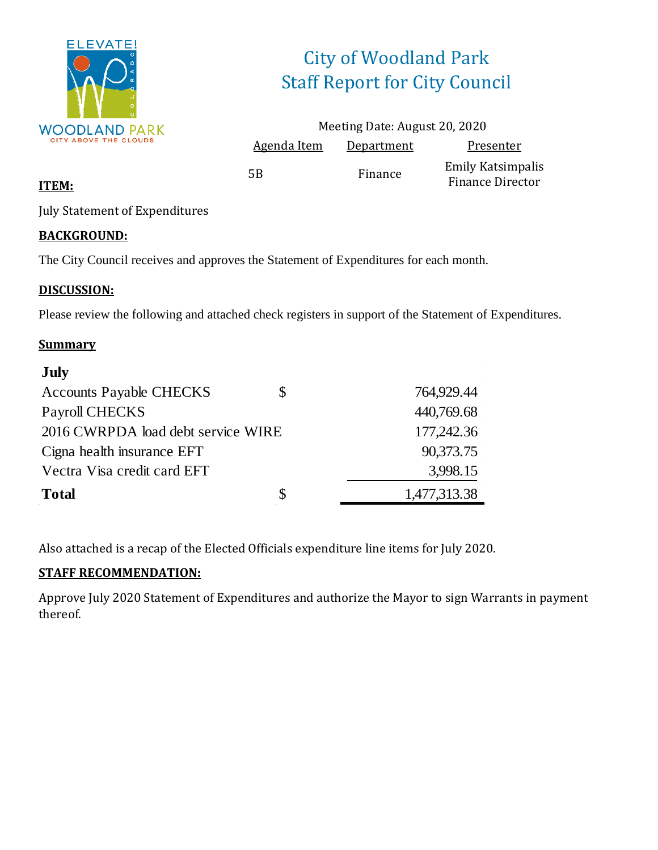

# City of Woodland Park Staff Report for City Council

|                    | Meeting Date: August 20, 2020 |                                                     |
|--------------------|-------------------------------|-----------------------------------------------------|
| <b>Agenda Item</b> | Department                    | Presenter                                           |
| 5B                 | Finance                       | <b>Emily Katsimpalis</b><br><b>Finance Director</b> |

#### **ITEM:**

July Statement of Expenditures

#### **BACKGROUND:**

The City Council receives and approves the Statement of Expenditures for each month.

#### **DISCUSSION:**

Please review the following and attached check registers in support of the Statement of Expenditures.

#### **Summary**

| <b>July</b>                        |    |              |
|------------------------------------|----|--------------|
| <b>Accounts Payable CHECKS</b>     | S  | 764,929.44   |
| Payroll CHECKS                     |    | 440,769.68   |
| 2016 CWRPDA load debt service WIRE |    | 177,242.36   |
| Cigna health insurance EFT         |    | 90,373.75    |
| Vectra Visa credit card EFT        |    | 3,998.15     |
| <b>Total</b>                       | \$ | 1,477,313.38 |

Also attached is a recap of the Elected Officials expenditure line items for July 2020.

#### **STAFF RECOMMENDATION:**

Approve July 2020 Statement of Expenditures and authorize the Mayor to sign Warrants in payment thereof.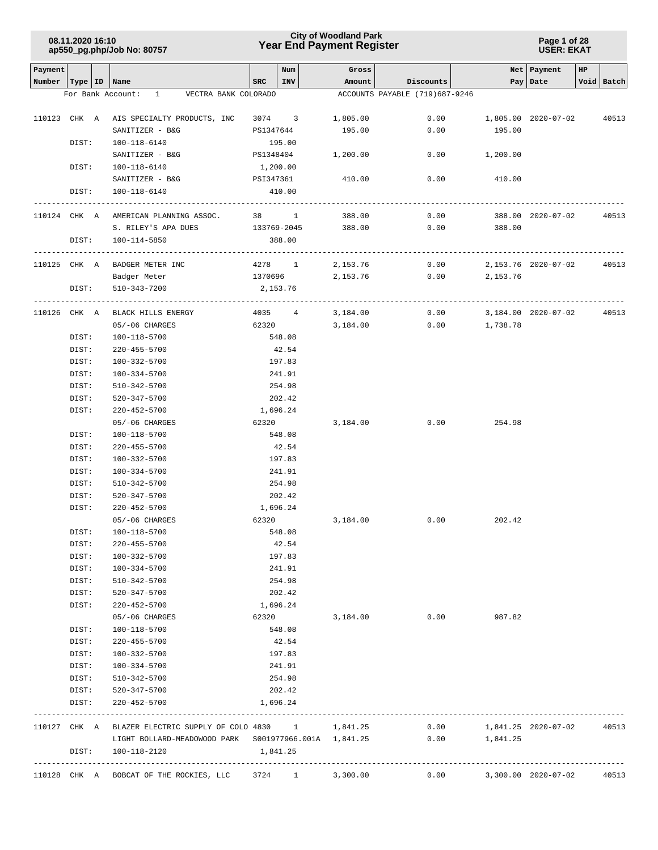### **Year End Payment Register City of Woodland Park 08.11.2020 16:10**

**Page 1 of 28 USER: EKAT**

| Payment |                           |                                                             |           | Num    | Gross              |                                |                            | Net   Payment       | HP |            |
|---------|---------------------------|-------------------------------------------------------------|-----------|--------|--------------------|--------------------------------|----------------------------|---------------------|----|------------|
|         | Number   Type   ID   Name |                                                             | SRC       | INV    | Amount             | Discounts                      |                            | Pay Date            |    | Void Batch |
|         |                           | For Bank Account: 1 VECTRA BANK COLORADO                    |           |        |                    | ACCOUNTS PAYABLE (719)687-9246 |                            |                     |    |            |
|         |                           | 110123 CHK A AIS SPECIALTY PRODUCTS, INC                    |           |        | 3074 3 1,805.00    |                                | $0.00$ 1,805.00 2020-07-02 |                     |    | 40513      |
|         |                           | SANITIZER - B&G                                             | PS1347644 |        | 195.00             | 0.00                           | 195.00                     |                     |    |            |
|         | DIST:                     | 100-118-6140                                                | 195.00    |        |                    |                                |                            |                     |    |            |
|         |                           | SANITIZER - B&G                                             | PS1348404 |        | 1,200.00           |                                | $0.00$ 1,200.00            |                     |    |            |
|         | DIST:                     | 100-118-6140                                                | 1,200.00  |        |                    |                                |                            |                     |    |            |
|         |                           | SANITIZER - B&G                                             | PSI347361 |        | 410.00             | 0.00                           | 410.00                     |                     |    |            |
|         | DIST:                     | 100-118-6140                                                | 410.00    |        |                    |                                |                            |                     |    |            |
|         |                           |                                                             |           |        |                    |                                |                            |                     |    |            |
|         |                           | 110124 CHK A AMERICAN PLANNING ASSOC. 38 1 388.00           |           |        |                    | 0.00                           |                            | 388.00 2020-07-02   |    | 40513      |
|         |                           | S. RILEY'S APA DUES                                         |           |        | 133769-2045 388.00 | 0.00                           | 388.00                     |                     |    |            |
|         | DIST:                     | 100-114-5850                                                | 388.00    |        |                    |                                |                            |                     |    |            |
|         |                           |                                                             |           |        |                    |                                |                            |                     |    |            |
|         |                           | 110125 CHK A BADGER METER INC                               | 4278 1    |        | 2,153.76           | 0.00                           | 2,153.76 2020-07-02        |                     |    | 40513      |
|         |                           | Badger Meter                                                | 1370696   |        | 2,153.76           |                                | $0.00$ 2,153.76            |                     |    |            |
|         | DIST:                     | 510-343-7200                                                | 2,153.76  |        |                    |                                |                            |                     |    |            |
|         | 110126 CHK A              | BLACK HILLS ENERGY                                          | 4035 4    |        | 3,184.00           | 0.00                           |                            | 3,184.00 2020-07-02 |    | 40513      |
|         |                           | 05/-06 CHARGES                                              | 62320     |        | 3,184.00           | 0.00                           | 1,738.78                   |                     |    |            |
|         | DIST:                     | 100-118-5700                                                | 548.08    |        |                    |                                |                            |                     |    |            |
|         | DIST:                     | 220-455-5700                                                | 42.54     |        |                    |                                |                            |                     |    |            |
|         | DIST:                     | 100-332-5700                                                | 197.83    |        |                    |                                |                            |                     |    |            |
|         | DIST:                     | 100-334-5700                                                | 241.91    |        |                    |                                |                            |                     |    |            |
|         | DIST:                     | 510-342-5700                                                | 254.98    |        |                    |                                |                            |                     |    |            |
|         | DIST:                     | 520-347-5700                                                | 202.42    |        |                    |                                |                            |                     |    |            |
|         | DIST:                     | 220-452-5700                                                | 1,696.24  |        |                    |                                |                            |                     |    |            |
|         |                           | 05/-06 CHARGES                                              | 62320     |        | 3,184.00           | 0.00                           | 254.98                     |                     |    |            |
|         | DIST:                     | 100-118-5700                                                | 548.08    |        |                    |                                |                            |                     |    |            |
|         | DIST:                     | $220 - 455 - 5700$                                          | 42.54     |        |                    |                                |                            |                     |    |            |
|         | DIST:                     | 100-332-5700                                                | 197.83    |        |                    |                                |                            |                     |    |            |
|         | DIST:                     | 100-334-5700                                                |           | 241.91 |                    |                                |                            |                     |    |            |
|         | DIST:                     | 510-342-5700                                                | 254.98    |        |                    |                                |                            |                     |    |            |
|         | DIST:                     | 520-347-5700                                                | 202.42    |        |                    |                                |                            |                     |    |            |
|         | DIST:                     | 220-452-5700                                                | 1,696.24  |        |                    |                                |                            |                     |    |            |
|         |                           | 05/-06 CHARGES                                              | 62320     |        | 3,184.00           | 0.00                           | 202.42                     |                     |    |            |
|         | DIST:                     | 100-118-5700                                                |           | 548.08 |                    |                                |                            |                     |    |            |
|         | DIST:                     | 220-455-5700                                                |           | 42.54  |                    |                                |                            |                     |    |            |
|         | DIST:                     | 100-332-5700                                                |           | 197.83 |                    |                                |                            |                     |    |            |
|         | DIST:                     | 100-334-5700                                                |           | 241.91 |                    |                                |                            |                     |    |            |
|         | DIST:                     | 510-342-5700                                                | 254.98    |        |                    |                                |                            |                     |    |            |
|         | DIST:                     | 520-347-5700                                                | 202.42    |        |                    |                                |                            |                     |    |            |
|         | DIST:                     | 220-452-5700                                                | 1,696.24  |        |                    |                                |                            |                     |    |            |
|         |                           | 05/-06 CHARGES                                              | 62320     |        | 3,184.00           | 0.00                           | 987.82                     |                     |    |            |
|         | DIST:                     | 100-118-5700                                                | 548.08    |        |                    |                                |                            |                     |    |            |
|         | DIST:                     | $220 - 455 - 5700$                                          | 42.54     |        |                    |                                |                            |                     |    |            |
|         | DIST:                     | 100-332-5700                                                | 197.83    |        |                    |                                |                            |                     |    |            |
|         | DIST:                     | 100-334-5700                                                | 241.91    |        |                    |                                |                            |                     |    |            |
|         | DIST:                     | 510-342-5700                                                | 254.98    |        |                    |                                |                            |                     |    |            |
|         | DIST:                     | 520-347-5700                                                | 202.42    |        |                    |                                |                            |                     |    |            |
|         | DIST:                     | $220 - 452 - 5700$                                          | 1,696.24  |        |                    |                                |                            |                     |    |            |
|         |                           |                                                             |           |        |                    |                                |                            |                     |    |            |
|         |                           | 110127 CHK A BLAZER ELECTRIC SUPPLY OF COLO 4830 1 1,841.25 |           |        |                    | 0.00                           | 1,841.25 2020-07-02        |                     |    | 40513      |
|         |                           | LIGHT BOLLARD-MEADOWOOD PARK S001977966.001A 1,841.25       |           |        |                    | 0.00                           | 1,841.25                   |                     |    |            |
|         | DIST:                     | 100-118-2120                                                | 1,841.25  |        |                    |                                |                            |                     |    |            |
|         |                           | 110128 CHK A BOBCAT OF THE ROCKIES, LLC 3724 1 3,300.00     |           |        |                    | 0.00                           |                            | 3,300.00 2020-07-02 |    | 40513      |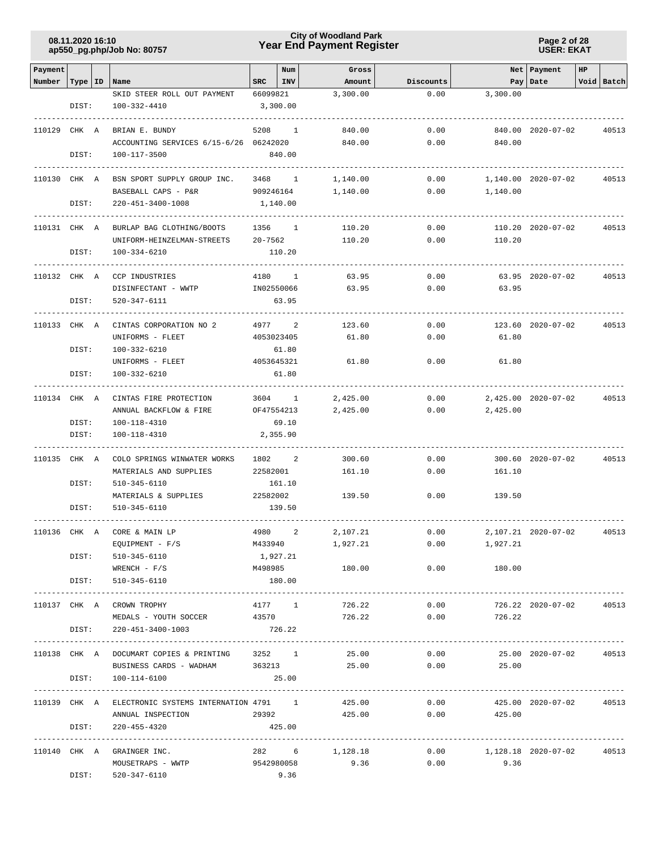### **Year End Payment Register City of Woodland Park 08.11.2020 16:10**

**Page 2 of 28 USER: EKAT**

| Payment      |           |                                                         |           | Num          | Gross            |              |                            | Net Payment             | HP |            |
|--------------|-----------|---------------------------------------------------------|-----------|--------------|------------------|--------------|----------------------------|-------------------------|----|------------|
| Number       | Type   ID | Name                                                    | SRC       | INV          | Amount           | Discounts    |                            | Pay   Date              |    | Void Batch |
|              |           | SKID STEER ROLL OUT PAYMENT                             | 66099821  |              | 3,300.00         | 0.00         | 3,300.00                   |                         |    |            |
|              | DIST:     | 100-332-4410                                            |           | 3,300.00     |                  |              |                            |                         |    |            |
| 110129 CHK A |           | BRIAN E. BUNDY                                          | 5208      | <sup>1</sup> | 840.00           | 0.00         |                            | 840.00 2020-07-02       |    |            |
|              |           | ACCOUNTING SERVICES 6/15-6/26 06242020                  |           |              | 840.00           | 0.00         | 840.00                     |                         |    | 40513      |
|              | DIST:     | 100-117-3500                                            |           | 840.00       |                  |              |                            |                         |    |            |
|              |           |                                                         |           |              |                  |              |                            |                         |    |            |
| 110130 CHK A |           | BSN SPORT SUPPLY GROUP INC.                             |           | 3468 1       | 1,140.00         | 0.00         |                            | 1,140.00 2020-07-02     |    | 40513      |
|              |           | BASEBALL CAPS - P&R                                     | 909246164 |              | 1,140.00         | 0.00         | 1,140.00                   |                         |    |            |
|              | DIST:     | 220-451-3400-1008                                       |           | 1,140.00     |                  |              |                            |                         |    |            |
|              |           |                                                         |           |              |                  |              |                            |                         |    |            |
| 110131 CHK A |           | BURLAP BAG CLOTHING/BOOTS<br>UNIFORM-HEINZELMAN-STREETS | 20-7562   | 1356 1       | 110.20<br>110.20 | 0.00<br>0.00 | 110.20                     | 110.20 2020-07-02       |    | 40513      |
|              | DIST:     | 100-334-6210                                            |           | 110.20       |                  |              |                            |                         |    |            |
|              |           |                                                         |           |              |                  |              |                            |                         |    |            |
| 110132 CHK A |           | CCP INDUSTRIES                                          |           | 4180 1       | 63.95            | 0.00         |                            | 63.95 2020-07-02        |    | 40513      |
|              |           | DISINFECTANT - WWTP                                     |           | IN02550066   | 63.95            | 0.00         | 63.95                      |                         |    |            |
|              | DIST:     | 520-347-6111                                            |           | 63.95        |                  |              |                            |                         |    |            |
| 110133 CHK A |           | . <u>.</u> .<br>CINTAS CORPORATION NO 2                 | 4977      | 2            | 123.60           | 0.00         |                            | 123.60 2020-07-02       |    | 40513      |
|              |           | UNIFORMS - FLEET                                        |           | 4053023405   | 61.80            | 0.00         | 61.80                      |                         |    |            |
|              | DIST:     | 100-332-6210                                            |           | 61.80        |                  |              |                            |                         |    |            |
|              |           | UNIFORMS - FLEET                                        |           | 4053645321   | 61.80            | 0.00         | 61.80                      |                         |    |            |
|              | DIST:     | 100-332-6210                                            |           | 61.80        |                  |              |                            |                         |    |            |
|              |           |                                                         |           |              |                  |              |                            |                         |    |            |
| 110134 CHK A |           | CINTAS FIRE PROTECTION                                  |           | 3604 1       | 2,425.00         | 0.00         |                            | 2,425.00 2020-07-02     |    | 40513      |
|              |           | ANNUAL BACKFLOW & FIRE                                  |           | OF47554213   | 2,425.00         | 0.00         | 2,425.00                   |                         |    |            |
|              | DIST:     | 100-118-4310                                            |           | 69.10        |                  |              |                            |                         |    |            |
|              | DIST:     | 100-118-4310                                            |           | 2,355.90     |                  |              |                            |                         |    |            |
| 110135 CHK A |           | COLO SPRINGS WINWATER WORKS                             | 1802      | 2            | 300.60           | 0.00         |                            | 300.60 2020-07-02       |    | 40513      |
|              |           | MATERIALS AND SUPPLIES                                  | 22582001  |              | 161.10           | 0.00         | 161.10                     |                         |    |            |
|              | DIST:     | 510-345-6110                                            |           | 161.10       |                  |              |                            |                         |    |            |
|              |           | MATERIALS & SUPPLIES                                    | 22582002  |              | 139.50           | 0.00         | 139.50                     |                         |    |            |
|              | DIST:     | 510-345-6110                                            |           | 139.50       |                  |              |                            |                         |    |            |
| 110136 CHK A |           | CORE & MAIN LP                                          | 4980      | 2            | 2,107.21         | 0.00         |                            | 2,107.21 2020-07-02     |    | 40513      |
|              |           | $EQUIPMENT - F/S$                                       | M433940   |              | 1,927.21         |              | 0.00<br>1,927.21           |                         |    |            |
|              |           | DIST: 510-345-6110                                      |           | 1,927.21     |                  |              |                            |                         |    |            |
|              |           | $WRENCH$ - $F/S$                                        |           | M498985      | 180.00           |              | $0.00$ 180.00              |                         |    |            |
|              |           | DIST: 510-345-6110                                      |           | 180.00       |                  |              |                            |                         |    |            |
|              |           |                                                         |           |              |                  |              |                            |                         |    |            |
|              |           | 110137 CHK A CROWN TROPHY                               |           | 4177 1       | 726.22           | 0.00         |                            | 726.22 2020-07-02       |    | 40513      |
|              |           | MEDALS - YOUTH SOCCER                                   | 43570     |              | 726.22           | 0.00         | 726.22                     |                         |    |            |
|              |           | DIST: 220-451-3400-1003                                 |           | 726.22       |                  |              |                            |                         |    |            |
|              |           | 110138 CHK A DOCUMART COPIES & PRINTING 3252 1          |           |              |                  |              |                            |                         |    |            |
|              |           | BUSINESS CARDS - WADHAM 363213                          |           |              |                  |              | 25.00 0.00 25.00           |                         |    |            |
|              | DIST:     | 100-114-6100                                            |           | 25.00        |                  |              |                            |                         |    |            |
|              |           |                                                         |           |              |                  |              |                            |                         |    |            |
|              |           | 110139 CHK A ELECTRONIC SYSTEMS INTERNATION 4791 1      |           |              | 425.00           | 0.00         |                            | 425.00 2020-07-02 40513 |    |            |
|              | DIST:     | ANNUAL INSPECTION<br>220-455-4320                       | 29392     | 425.00       | 425.00           | 0.00         | 425.00                     |                         |    |            |
|              |           |                                                         |           |              |                  |              |                            |                         |    |            |
|              |           | 110140 CHK A GRAINGER INC.                              |           |              | 282 6 1,128.18   |              | $0.00$ 1,128.18 2020-07-02 |                         |    | 40513      |
|              |           | MOUSETRAPS - WWTP                                       |           |              | 9542980058 9.36  |              | $0.00$ 9.36                |                         |    |            |
|              | DIST:     | 520-347-6110                                            |           | 9.36         |                  |              |                            |                         |    |            |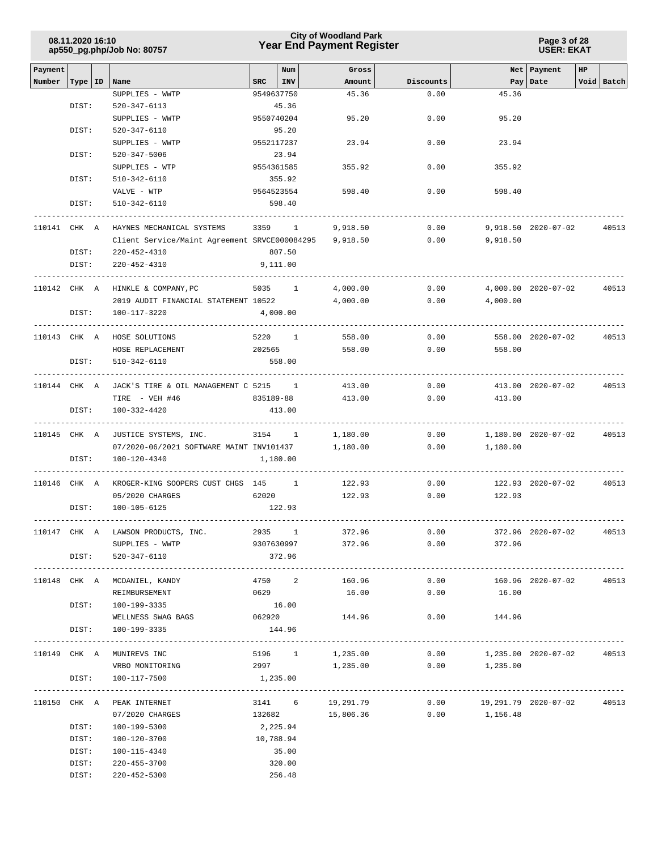|         | 08.11.2020 16:10 | ap550_pg.php/Job No: 80757                             |                      | <b>City of Woodland Park</b><br><b>Year End Payment Register</b> |              | Page 3 of 28<br><b>USER: EKAT</b> |                     |                |  |  |
|---------|------------------|--------------------------------------------------------|----------------------|------------------------------------------------------------------|--------------|-----------------------------------|---------------------|----------------|--|--|
| Payment |                  |                                                        | Num                  | Gross                                                            |              |                                   | Net Payment         | HP             |  |  |
| Number  | Type   ID        | Name                                                   | <b>SRC</b><br>INV    | Amount                                                           | Discounts    |                                   | Pay Date            | Void Batch     |  |  |
|         |                  | SUPPLIES - WWTP                                        | 9549637750           | 45.36                                                            | 0.00         | 45.36                             |                     |                |  |  |
|         | DIST:            | $520 - 347 - 6113$                                     | 45.36                |                                                                  |              |                                   |                     |                |  |  |
|         |                  | SUPPLIES - WWTP                                        | 9550740204           | 95.20                                                            | 0.00         | 95.20                             |                     |                |  |  |
|         | DIST:            | 520-347-6110                                           | 95.20                |                                                                  |              |                                   |                     |                |  |  |
|         |                  | SUPPLIES - WWTP                                        | 9552117237           | 23.94                                                            | 0.00         | 23.94                             |                     |                |  |  |
|         | DIST:            | 520-347-5006                                           | 23.94                |                                                                  |              |                                   |                     |                |  |  |
|         |                  | SUPPLIES - WTP                                         | 9554361585           | 355.92                                                           | 0.00         | 355.92                            |                     |                |  |  |
|         | DIST:            | 510-342-6110<br>VALVE - WTP                            | 355.92<br>9564523554 | 598.40                                                           | 0.00         | 598.40                            |                     |                |  |  |
|         | DIST:            | 510-342-6110                                           | 598.40               |                                                                  |              |                                   |                     |                |  |  |
|         |                  |                                                        |                      |                                                                  |              |                                   |                     |                |  |  |
|         | 110141 CHK A     | HAYNES MECHANICAL SYSTEMS                              | 3359 1               | 9,918.50                                                         | 0.00         |                                   | 9,918.50 2020-07-02 | 40513          |  |  |
|         |                  | Client Service/Maint Agreement SRVCE000084295          |                      | 9,918.50                                                         | 0.00         | 9,918.50                          |                     |                |  |  |
|         | DIST:            | $220 - 452 - 4310$                                     | 807.50               |                                                                  |              |                                   |                     |                |  |  |
|         | DIST:            | 220-452-4310                                           | 9,111.00             |                                                                  |              |                                   |                     |                |  |  |
|         |                  |                                                        |                      |                                                                  |              |                                   |                     |                |  |  |
|         |                  | 110142 CHK A HINKLE & COMPANY, PC                      | 5035 1               | 4,000.00                                                         | 0.00         |                                   | 4,000.00 2020-07-02 | 40513          |  |  |
|         |                  | 2019 AUDIT FINANCIAL STATEMENT 10522                   |                      | 4,000.00                                                         | 0.00         | 4,000.00                          |                     |                |  |  |
|         | DIST:            | 100-117-3220                                           | 4,000.00             |                                                                  |              |                                   |                     |                |  |  |
|         |                  |                                                        |                      |                                                                  |              |                                   |                     |                |  |  |
|         | 110143 CHK A     | HOSE SOLUTIONS                                         | 5220 1               | 558.00                                                           | 0.00         |                                   | 558.00 2020-07-02   | 40513          |  |  |
|         |                  | HOSE REPLACEMENT                                       | 202565               | 558.00                                                           | 0.00         | 558.00                            |                     |                |  |  |
|         | DIST:            | 510-342-6110                                           | 558.00               |                                                                  |              |                                   |                     |                |  |  |
|         | 110144 CHK A     | JACK'S TIRE & OIL MANAGEMENT C 5215 1                  |                      | 413.00                                                           | 0.00         |                                   | 413.00 2020-07-02   | 40513          |  |  |
|         |                  | TIRE - VEH #46                                         | 835189-88            | 413.00                                                           | 0.00         | 413.00                            |                     |                |  |  |
|         | DIST:            | 100-332-4420                                           | 413.00               |                                                                  |              |                                   |                     |                |  |  |
|         |                  |                                                        |                      |                                                                  |              |                                   |                     |                |  |  |
|         | 110145 CHK A     | JUSTICE SYSTEMS, INC.                                  | 3154 1               | 1,180.00                                                         | 0.00         |                                   | 1,180.00 2020-07-02 | 40513          |  |  |
|         |                  | 07/2020-06/2021 SOFTWARE MAINT INV101437               |                      | 1,180.00                                                         | 0.00         | 1,180.00                          |                     |                |  |  |
|         | DIST:            | 100-120-4340                                           | 1,180.00             |                                                                  |              |                                   |                     |                |  |  |
|         |                  |                                                        |                      |                                                                  |              |                                   |                     |                |  |  |
|         | 110146 CHK A     | KROGER-KING SOOPERS CUST CHGS 145 1<br>05/2020 CHARGES | 62020                | 122.93<br>122.93                                                 | 0.00<br>0.00 | 122.93                            | 122.93 2020-07-02   | 40513          |  |  |
|         | DIST:            | 100-105-6125                                           | 122.93               |                                                                  |              |                                   |                     |                |  |  |
|         |                  |                                                        |                      |                                                                  |              |                                   |                     |                |  |  |
|         |                  | 110147 CHK A LAWSON PRODUCTS, INC.                     | 2935 1               | 372.96                                                           | 0.00         |                                   | 372.96 2020-07-02   | 40513          |  |  |
|         |                  | SUPPLIES - WWTP                                        |                      | 9307630997 372.96                                                | 0.00         | 372.96                            |                     |                |  |  |
|         |                  | DIST: 520-347-6110                                     | 372.96               |                                                                  |              |                                   |                     |                |  |  |
|         |                  |                                                        |                      |                                                                  |              |                                   |                     | -------------- |  |  |
|         |                  | 110148 CHK A MCDANIEL, KANDY                           | 4750 2 160.96        |                                                                  | 0.00         |                                   | 160.96 2020-07-02   | 40513          |  |  |
|         |                  | REIMBURSEMENT                                          | 0629                 | 16.00                                                            | 0.00         | 16.00                             |                     |                |  |  |
|         | DIST:            | 100-199-3335                                           | 16.00                |                                                                  |              |                                   |                     |                |  |  |
|         | DIST:            | WELLNESS SWAG BAGS<br>100-199-3335                     | 062920<br>144.96     | 144.96                                                           |              | $0.00$ 144.96                     |                     |                |  |  |
|         |                  |                                                        |                      |                                                                  |              |                                   |                     |                |  |  |
|         |                  | 110149 CHK A MUNIREVS INC                              | 5196 1 1,235.00      |                                                                  |              | $0.00$ 1,235.00 2020-07-02        |                     | 40513          |  |  |
|         |                  | VRBO MONITORING                                        |                      | 2997 1, 235.00                                                   |              | $0.00$ 1,235.00                   |                     |                |  |  |
|         | DIST:            | 100-117-7500                                           | 1,235.00             |                                                                  |              |                                   |                     |                |  |  |
|         |                  |                                                        |                      |                                                                  |              |                                   |                     |                |  |  |
|         |                  | 110150 CHK A PEAK INTERNET                             | 3141 6 19,291.79     |                                                                  |              | $0.00$ 19,291.79 2020-07-02       |                     | 40513          |  |  |
|         |                  | 07/2020 CHARGES                                        | 132682               | 15,806.36                                                        | 0.00         | 1,156.48                          |                     |                |  |  |
|         | DIST:            | 100-199-5300                                           | 2,225.94             |                                                                  |              |                                   |                     |                |  |  |
|         | DIST:            | 100-120-3700                                           | 10,788.94            |                                                                  |              |                                   |                     |                |  |  |
|         | DIST:            | 100-115-4340                                           | 35.00                |                                                                  |              |                                   |                     |                |  |  |
|         | DIST:<br>DIST:   | 220-455-3700<br>220-452-5300                           | 320.00<br>256.48     |                                                                  |              |                                   |                     |                |  |  |
|         |                  |                                                        |                      |                                                                  |              |                                   |                     |                |  |  |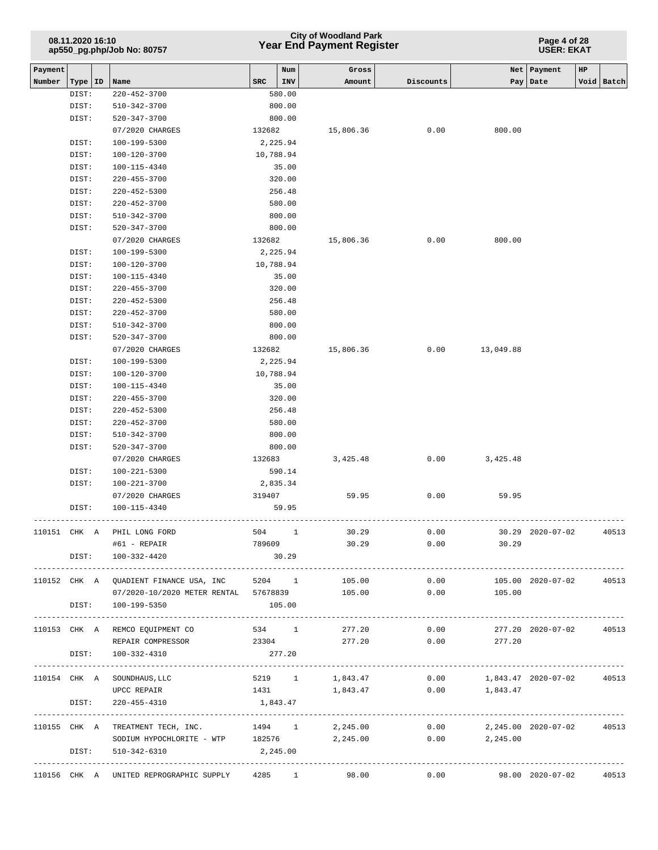### **Year End Payment Register City of Woodland Park 08.11.2020 16:10**

**Page 4 of 28 USER: EKAT**

|                   |           |                                              |        | Num        |                 |           |                            |                          | HP           |       |
|-------------------|-----------|----------------------------------------------|--------|------------|-----------------|-----------|----------------------------|--------------------------|--------------|-------|
| Payment<br>Number | Type   ID | Name                                         | SRC    | <b>INV</b> | Gross<br>Amount | Discounts | Pay                        | Net   Payment<br>Date    | Void   Batch |       |
|                   | DIST:     | 220-452-3700                                 |        | 580.00     |                 |           |                            |                          |              |       |
|                   | DIST:     | 510-342-3700                                 |        | 800.00     |                 |           |                            |                          |              |       |
|                   | DIST:     | 520-347-3700                                 |        | 800.00     |                 |           |                            |                          |              |       |
|                   |           | 07/2020 CHARGES                              | 132682 |            | 15,806.36       | 0.00      | 800.00                     |                          |              |       |
|                   | DIST:     | 100-199-5300                                 |        | 2,225.94   |                 |           |                            |                          |              |       |
|                   | DIST:     | 100-120-3700                                 |        | 10,788.94  |                 |           |                            |                          |              |       |
|                   | DIST:     | 100-115-4340                                 |        | 35.00      |                 |           |                            |                          |              |       |
|                   | DIST:     | 220-455-3700                                 |        | 320.00     |                 |           |                            |                          |              |       |
|                   | DIST:     | $220 - 452 - 5300$                           |        | 256.48     |                 |           |                            |                          |              |       |
|                   | DIST:     | 220-452-3700                                 |        | 580.00     |                 |           |                            |                          |              |       |
|                   | DIST:     | 510-342-3700                                 |        | 800.00     |                 |           |                            |                          |              |       |
|                   | DIST:     | 520-347-3700                                 |        | 800.00     |                 |           |                            |                          |              |       |
|                   |           | 07/2020 CHARGES                              |        | 132682     | 15,806.36       | 0.00      | 800.00                     |                          |              |       |
|                   | DIST:     | 100-199-5300                                 |        | 2,225.94   |                 |           |                            |                          |              |       |
|                   | DIST:     | 100-120-3700                                 |        | 10,788.94  |                 |           |                            |                          |              |       |
|                   | DIST:     | 100-115-4340                                 |        | 35.00      |                 |           |                            |                          |              |       |
|                   | DIST:     | 220-455-3700                                 |        | 320.00     |                 |           |                            |                          |              |       |
|                   | DIST:     | $220 - 452 - 5300$                           |        | 256.48     |                 |           |                            |                          |              |       |
|                   | DIST:     | 220-452-3700                                 |        | 580.00     |                 |           |                            |                          |              |       |
|                   | DIST:     | 510-342-3700                                 |        | 800.00     |                 |           |                            |                          |              |       |
|                   | DIST:     | 520-347-3700                                 |        | 800.00     |                 |           |                            |                          |              |       |
|                   |           | 07/2020 CHARGES                              | 132682 |            | 15,806.36       |           | $0.00$ 13,049.88           |                          |              |       |
|                   | DIST:     | 100-199-5300                                 |        | 2,225.94   |                 |           |                            |                          |              |       |
|                   | DIST:     | 100-120-3700                                 |        | 10,788.94  |                 |           |                            |                          |              |       |
|                   | DIST:     | 100-115-4340                                 |        | 35.00      |                 |           |                            |                          |              |       |
|                   | DIST:     | 220-455-3700                                 |        | 320.00     |                 |           |                            |                          |              |       |
|                   | DIST:     | $220 - 452 - 5300$                           |        | 256.48     |                 |           |                            |                          |              |       |
|                   | DIST:     | 220-452-3700                                 |        | 580.00     |                 |           |                            |                          |              |       |
|                   | DIST:     | 510-342-3700                                 |        | 800.00     |                 |           |                            |                          |              |       |
|                   | DIST:     | 520-347-3700                                 |        | 800.00     |                 |           |                            |                          |              |       |
|                   |           | 07/2020 CHARGES                              |        | 132683     | 3,425.48        | 0.00      | 3,425.48                   |                          |              |       |
|                   | DIST:     | 100-221-5300                                 |        | 590.14     |                 |           |                            |                          |              |       |
|                   | DIST:     | 100-221-3700                                 |        | 2,835.34   |                 |           |                            |                          |              |       |
|                   |           | 07/2020 CHARGES                              | 319407 |            | 59.95           | 0.00      | 59.95                      |                          |              |       |
|                   | DIST:     | 100-115-4340                                 |        | 59.95      |                 |           |                            |                          |              |       |
| 110151 CHK A      |           | PHIL LONG FORD                               |        | 504 1      | 30.29           | 0.00      |                            | $30.29$ $2020-07-02$     |              | 40513 |
|                   |           | #61 - REPAIR                                 | 789609 |            | 30.29           | 0.00      | 30.29                      |                          |              |       |
|                   |           | DIST: 100-332-4420                           |        | 30.29      |                 |           |                            |                          |              |       |
|                   |           |                                              |        |            |                 |           |                            |                          |              |       |
|                   |           | 110152 CHK A QUADIENT FINANCE USA, INC       |        |            | 5204 1 105.00   | 0.00      |                            | 105.00 2020-07-02        |              | 40513 |
|                   |           | 07/2020-10/2020 METER RENTAL 57678839 105.00 |        |            |                 |           | 0.00<br>105.00             |                          |              |       |
|                   |           | DIST: 100-199-5350                           |        | 105.00     |                 |           |                            |                          |              |       |
|                   |           |                                              |        |            |                 |           |                            |                          |              |       |
|                   |           | 110153 CHK A REMCO EQUIPMENT CO              |        | 534 1      | 277.20          | 0.00      |                            | 277.20 2020-07-02        |              | 40513 |
|                   |           | REPAIR COMPRESSOR                            | 23304  |            | 277.20          | 0.00      | 277.20                     |                          |              |       |
|                   | DIST:     | 100-332-4310                                 |        | 277.20     |                 |           |                            |                          |              |       |
|                   |           |                                              |        |            |                 |           |                            |                          |              |       |
|                   |           | 110154 CHK A SOUNDHAUS, LLC                  |        |            | 5219 1 1,843.47 |           | $0.00$ 1,843.47 2020-07-02 |                          |              | 40513 |
|                   |           | UPCC REPAIR                                  |        |            | 1431 1,843.47   |           | $0.00$ 1,843.47            |                          |              |       |
|                   | DIST:     | 220-455-4310                                 |        | 1,843.47   |                 |           |                            |                          |              |       |
|                   |           |                                              |        |            |                 |           |                            | ---------------------    |              |       |
|                   |           | 110155 CHK A TREATMENT TECH, INC.            | 1494 1 |            | 2,245.00        | 0.00      |                            | 2,245.00 2020-07-02      |              | 40513 |
|                   |           | SODIUM HYPOCHLORITE - WTP 182576             |        |            | 2,245.00        | 0.00      | 2,245.00                   |                          |              |       |
|                   | DIST:     | 510-342-6310                                 |        | 2,245.00   |                 |           |                            | ------------------------ |              |       |
|                   |           | 110156 CHK A UNITED REPROGRAPHIC SUPPLY      |        |            | 4285 1<br>98.00 | 0.00      |                            | 98.00 2020-07-02         |              | 40513 |
|                   |           |                                              |        |            |                 |           |                            |                          |              |       |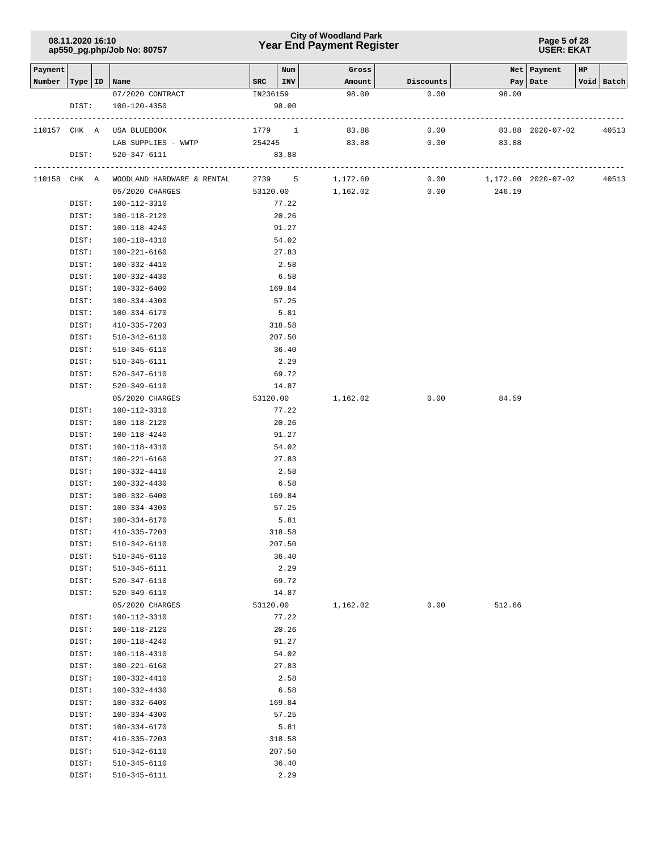### **Year End Payment Register City of Woodland Park 08.11.2020 16:10**

**Page 5 of 28 USER: EKAT**

| Payment |                |                              |          | Num           | Gross    |           |                     | Net   Payment    | HP |            |
|---------|----------------|------------------------------|----------|---------------|----------|-----------|---------------------|------------------|----|------------|
| Number  | Type   ID      | Name                         | SRC      | INV           | Amount   | Discounts |                     | Pay   Date       |    | Void Batch |
|         |                | 07/2020 CONTRACT             | IN236159 |               | 98.00    | 0.00      | 98.00               |                  |    |            |
|         | DIST:          | 100-120-4350                 |          | 98.00         |          |           |                     |                  |    |            |
|         | 110157 CHK A   | USA BLUEBOOK                 | 1779     | $\mathbf{1}$  | 83.88    | 0.00      |                     | 83.88 2020-07-02 |    | 40513      |
|         |                | LAB SUPPLIES - WWTP          | 254245   |               | 83.88    | 0.00      | 83.88               |                  |    |            |
|         | DIST:          | 520-347-6111                 |          | 83.88         |          |           |                     |                  |    |            |
|         |                |                              |          |               |          |           |                     |                  |    |            |
|         | 110158 CHK A   | WOODLAND HARDWARE & RENTAL   |          | 2739 5        | 1,172.60 | 0.00      | 1,172.60 2020-07-02 |                  |    | 40513      |
|         |                | 05/2020 CHARGES              |          | 53120.00      | 1,162.02 | 0.00      | 246.19              |                  |    |            |
|         | DIST:          | 100-112-3310                 |          | 77.22         |          |           |                     |                  |    |            |
|         | DIST:          | 100-118-2120                 |          | 20.26         |          |           |                     |                  |    |            |
|         | DIST:          | 100-118-4240                 |          | 91.27         |          |           |                     |                  |    |            |
|         | DIST:          | 100-118-4310                 |          | 54.02         |          |           |                     |                  |    |            |
|         | DIST:          | 100-221-6160                 |          | 27.83         |          |           |                     |                  |    |            |
|         | DIST:          | 100-332-4410                 |          | 2.58          |          |           |                     |                  |    |            |
|         | DIST:          | 100-332-4430                 |          | 6.58          |          |           |                     |                  |    |            |
|         | DIST:          | 100-332-6400                 |          | 169.84        |          |           |                     |                  |    |            |
|         | DIST:          | 100-334-4300                 |          | 57.25         |          |           |                     |                  |    |            |
|         | DIST:          | 100-334-6170                 |          | 5.81          |          |           |                     |                  |    |            |
|         | DIST:          | 410-335-7203                 |          | 318.58        |          |           |                     |                  |    |            |
|         | DIST:          | 510-342-6110                 |          | 207.50        |          |           |                     |                  |    |            |
|         | DIST:          | 510-345-6110                 |          | 36.40         |          |           |                     |                  |    |            |
|         | DIST:          | 510-345-6111                 |          | 2.29          |          |           |                     |                  |    |            |
|         | DIST:          | 520-347-6110                 |          | 69.72         |          |           |                     |                  |    |            |
|         | DIST:          | 520-349-6110                 |          | 14.87         |          |           |                     |                  |    |            |
|         |                | 05/2020 CHARGES              | 53120.00 |               | 1,162.02 | 0.00      | 84.59               |                  |    |            |
|         | DIST:          | 100-112-3310                 |          | 77.22         |          |           |                     |                  |    |            |
|         | DIST:          | 100-118-2120                 |          | 20.26         |          |           |                     |                  |    |            |
|         | DIST:          | 100-118-4240                 |          | 91.27         |          |           |                     |                  |    |            |
|         | DIST:          | 100-118-4310                 |          | 54.02         |          |           |                     |                  |    |            |
|         | DIST:          | 100-221-6160                 |          | 27.83         |          |           |                     |                  |    |            |
|         | DIST:          | 100-332-4410                 |          | 2.58          |          |           |                     |                  |    |            |
|         | DIST:          | 100-332-4430                 |          | 6.58          |          |           |                     |                  |    |            |
|         | DIST:          | 100-332-6400                 |          | 169.84        |          |           |                     |                  |    |            |
|         | DIST:          | 100-334-4300                 |          | 57.25         |          |           |                     |                  |    |            |
|         | DIST:          | 100-334-6170                 |          | 5.81          |          |           |                     |                  |    |            |
|         | DIST:          | 410-335-7203                 |          | 318.58        |          |           |                     |                  |    |            |
|         | DIST:          | 510-342-6110                 |          | 207.50        |          |           |                     |                  |    |            |
|         | DIST:          | 510-345-6110                 |          | 36.40         |          |           |                     |                  |    |            |
|         | DIST:          | 510-345-6111                 |          | 2.29          |          |           |                     |                  |    |            |
|         | DIST:          | 520-347-6110                 |          | 69.72         |          |           |                     |                  |    |            |
|         | DIST:          | $520 - 349 - 6110$           |          | 14.87         |          |           |                     |                  |    |            |
|         |                | 05/2020 CHARGES              | 53120.00 |               | 1,162.02 | 0.00      | 512.66              |                  |    |            |
|         | DIST:          | 100-112-3310                 |          | 77.22         |          |           |                     |                  |    |            |
|         | DIST:          | 100-118-2120                 |          | 20.26         |          |           |                     |                  |    |            |
|         | DIST:          | 100-118-4240                 |          | 91.27         |          |           |                     |                  |    |            |
|         | DIST:          | 100-118-4310                 |          | 54.02         |          |           |                     |                  |    |            |
|         | DIST:          | 100-221-6160                 |          | 27.83         |          |           |                     |                  |    |            |
|         | DIST:          | 100-332-4410                 |          | 2.58          |          |           |                     |                  |    |            |
|         | DIST:          | 100-332-4430                 |          | 6.58          |          |           |                     |                  |    |            |
|         | DIST:          | 100-332-6400                 |          | 169.84        |          |           |                     |                  |    |            |
|         | DIST:          | 100-334-4300                 |          | 57.25         |          |           |                     |                  |    |            |
|         | DIST:          | 100-334-6170                 |          | 5.81          |          |           |                     |                  |    |            |
|         | DIST:          | 410-335-7203                 |          | 318.58        |          |           |                     |                  |    |            |
|         | DIST:          | 510-342-6110                 |          | 207.50        |          |           |                     |                  |    |            |
|         |                |                              |          |               |          |           |                     |                  |    |            |
|         | DIST:<br>DIST: | 510-345-6110<br>510-345-6111 |          | 36.40<br>2.29 |          |           |                     |                  |    |            |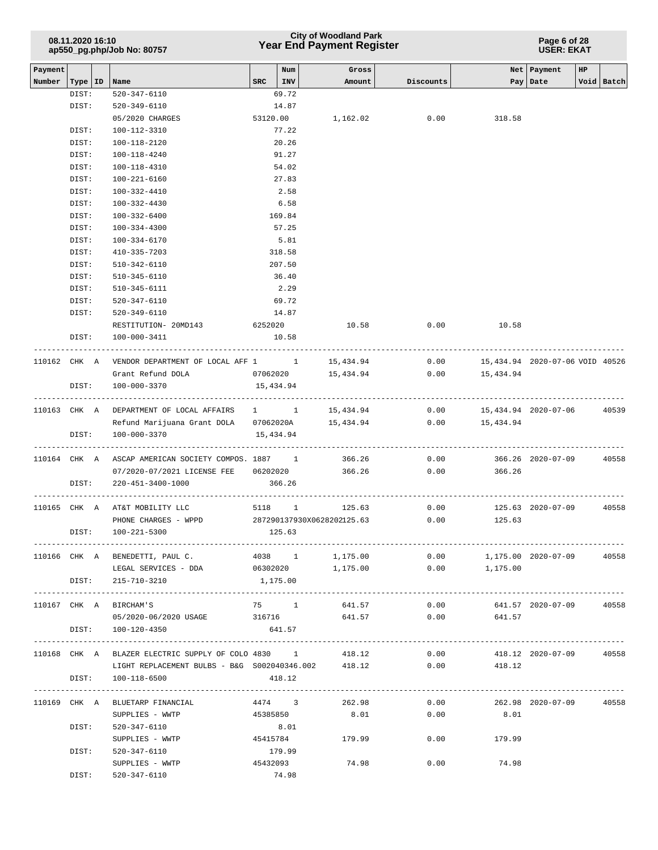## **Year End Payment Register City of Woodland Park 08.11.2020 16:10**

**Page 6 of 28 USER: EKAT**

| Payment |                  |                                                                          | Num                                    | Gross                      |                                              |                  | Net Payment<br>HP.              |            |
|---------|------------------|--------------------------------------------------------------------------|----------------------------------------|----------------------------|----------------------------------------------|------------------|---------------------------------|------------|
| Number  | Type   ID   Name |                                                                          | $SRC$   INV                            | Amount                     | Discounts                                    |                  | Pay Date                        | Void Batch |
|         | DIST:            | 520-347-6110                                                             | 69.72                                  |                            |                                              |                  |                                 |            |
|         | DIST:            | 520-349-6110                                                             | 14.87                                  |                            |                                              |                  |                                 |            |
|         |                  | 05/2020 CHARGES                                                          | 53120.00                               | 1,162.02                   | 0.00                                         | 318.58           |                                 |            |
|         | DIST:            | 100-112-3310                                                             | 77.22                                  |                            |                                              |                  |                                 |            |
|         | DIST:            | 100-118-2120                                                             | 20.26                                  |                            |                                              |                  |                                 |            |
|         | DIST:            | 100-118-4240                                                             | 91.27                                  |                            |                                              |                  |                                 |            |
|         | DIST:            | 100-118-4310                                                             | 54.02                                  |                            |                                              |                  |                                 |            |
|         | DIST:            | 100-221-6160                                                             | 27.83                                  |                            |                                              |                  |                                 |            |
|         | DIST:            | 100-332-4410                                                             | 2.58                                   |                            |                                              |                  |                                 |            |
|         | DIST:            | 100-332-4430                                                             | 6.58                                   |                            |                                              |                  |                                 |            |
|         | DIST:            | 100-332-6400                                                             | 169.84                                 |                            |                                              |                  |                                 |            |
|         | DIST:            | 100-334-4300                                                             | 57.25                                  |                            |                                              |                  |                                 |            |
|         | DIST:<br>DIST:   | 100-334-6170<br>410-335-7203                                             | 5.81<br>318.58                         |                            |                                              |                  |                                 |            |
|         | DIST:            | 510-342-6110                                                             | 207.50                                 |                            |                                              |                  |                                 |            |
|         | DIST:            | 510-345-6110                                                             | 36.40                                  |                            |                                              |                  |                                 |            |
|         | DIST:            | 510-345-6111                                                             | 2.29                                   |                            |                                              |                  |                                 |            |
|         | DIST:            | 520-347-6110                                                             | 69.72                                  |                            |                                              |                  |                                 |            |
|         | DIST:            | 520-349-6110                                                             | 14.87                                  |                            |                                              |                  |                                 |            |
|         |                  | RESTITUTION- 20MD143                                                     | 6252020                                | 10.58                      | 0.00                                         | 10.58            |                                 |            |
|         | DIST:            | 100-000-3411                                                             | 10.58                                  |                            |                                              |                  |                                 |            |
|         |                  |                                                                          |                                        |                            |                                              |                  |                                 |            |
|         |                  | 110162 CHK A VENDOR DEPARTMENT OF LOCAL AFF 1 1 15,434.94                |                                        |                            | 0.00                                         |                  | 15,434.94 2020-07-06 VOID 40526 |            |
|         |                  | Grant Refund DOLA                                                        |                                        | 07062020 15,434.94         |                                              | $0.00$ 15,434.94 |                                 |            |
|         | DIST:            | 100-000-3370                                                             | 15,434.94<br>------------------------- |                            |                                              |                  |                                 |            |
|         |                  | 110163 CHK A DEPARTMENT OF LOCAL AFFAIRS 1 1                             |                                        | 15,434.94                  | 0.00                                         |                  | 15,434.94 2020-07-06            | 40539      |
|         |                  | Refund Marijuana Grant DOLA 07062020A                                    |                                        | 15,434.94                  | 0.00                                         | 15,434.94        |                                 |            |
|         | DIST:            | 100-000-3370                                                             | 15,434.94                              |                            |                                              |                  |                                 |            |
|         |                  |                                                                          |                                        |                            |                                              |                  |                                 |            |
|         |                  | 110164 CHK A ASCAP AMERICAN SOCIETY COMPOS. 1887 1 366.26                |                                        |                            | 0.00                                         |                  | 366.26 2020-07-09               | 40558      |
|         |                  |                                                                          |                                        |                            |                                              | 0.00<br>366.26   |                                 |            |
|         | DIST:            | 220-451-3400-1000                                                        | 366.26                                 |                            |                                              |                  |                                 |            |
|         |                  |                                                                          |                                        |                            |                                              |                  |                                 |            |
|         |                  | 110165 CHK A AT&T MOBILITY LLC                                           |                                        | 5118 1 125.63              | 0.00                                         |                  | 125.63 2020-07-09               | 40558      |
|         |                  | PHONE CHARGES - WPPD                                                     |                                        | 287290137930X0628202125.63 | 0.00                                         | 125.63           |                                 |            |
|         | DIST:            | 100-221-5300                                                             | 125.63                                 |                            |                                              |                  |                                 |            |
|         |                  | 110166 CHK A BENEDETTI, PAUL C. 4038 1 1,175.00 0.00 1,175.00 2020-07-09 |                                        |                            |                                              |                  |                                 | 40558      |
|         |                  | LEGAL SERVICES - DDA $06302020$ 1,175.00 0.00 1,175.00                   |                                        |                            |                                              |                  |                                 |            |
|         |                  | DIST: 215-710-3210                                                       | 1,175.00                               |                            |                                              |                  |                                 |            |
|         |                  |                                                                          |                                        |                            |                                              |                  |                                 |            |
|         |                  | 110167 CHK A BIRCHAM'S                                                   |                                        | 75 1 641.57                |                                              | 0.00             | 641.57 2020-07-09               | 40558      |
|         |                  | 05/2020-06/2020 USAGE 316716 641.57 0.00 641.57                          |                                        |                            |                                              |                  |                                 |            |
|         |                  | DIST: 100-120-4350                                                       | 641.57                                 |                            |                                              |                  |                                 |            |
|         |                  |                                                                          |                                        |                            |                                              |                  |                                 |            |
|         |                  | 110168 CHK A BLAZER ELECTRIC SUPPLY OF COLO 4830 1 418.12                |                                        |                            | 0.00                                         |                  | 418.12 2020-07-09 40558         |            |
|         |                  | LIGHT REPLACEMENT BULBS - B&G S002040346.002 418.12                      |                                        |                            | 0.00                                         | 418.12           |                                 |            |
|         |                  | DIST: 100-118-6500                                                       | 418.12                                 |                            |                                              |                  |                                 |            |
|         |                  | 110169 CHK A BLUETARP FINANCIAL                                          |                                        |                            | $4474$ 3 262.98 0.00 262.98 2020-07-09 40558 |                  |                                 |            |
|         |                  | SUPPLIES - WWTP<br>45385850                                              |                                        |                            | 8.01                                         | $0.00$ 8.01      |                                 |            |
|         | DIST:            | 520-347-6110                                                             | 8.01                                   |                            |                                              |                  |                                 |            |
|         |                  | SUPPLIES - WWTP                                                          | 45415784                               | 179.99                     |                                              | $0.00$ 179.99    |                                 |            |
|         | DIST:            | 520-347-6110                                                             | 179.99                                 |                            |                                              |                  |                                 |            |
|         |                  | SUPPLIES - WWTP                                                          | 45432093                               | 74.98                      | 0.00                                         | 74.98            |                                 |            |
|         | DIST:            | 520-347-6110                                                             | 74.98                                  |                            |                                              |                  |                                 |            |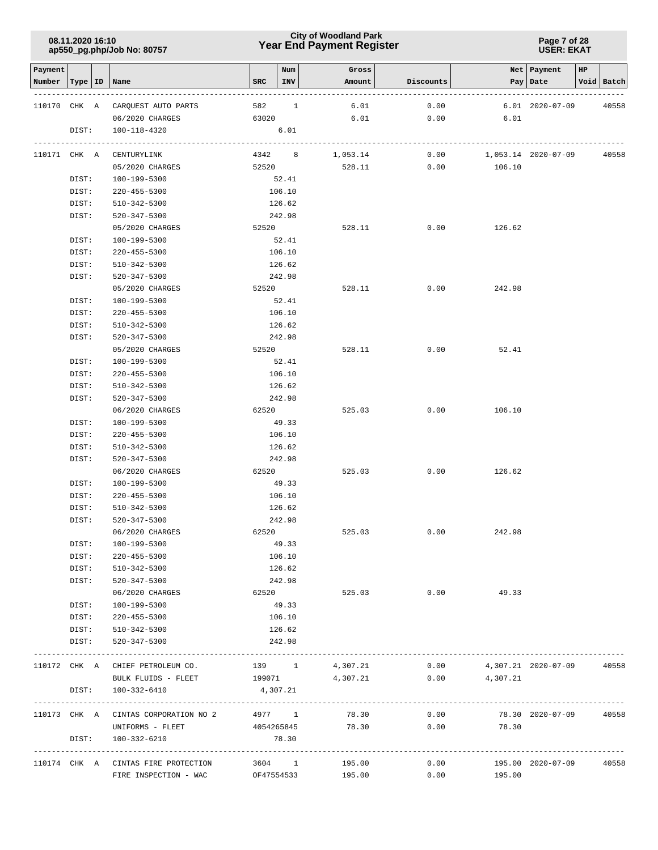### **Year End Payment Register City of Woodland Park 08.11.2020 16:10**

#### **Page 7 of 28 USER: EKAT**

| Payment<br>Number | Type  | ID | Name                                        | <b>SRC</b> | Num<br>INV | Gross<br>Amount | Discounts                         | Pay               | Net   Payment<br>Date   | HP | Void Batch |
|-------------------|-------|----|---------------------------------------------|------------|------------|-----------------|-----------------------------------|-------------------|-------------------------|----|------------|
|                   |       |    |                                             |            |            |                 |                                   |                   |                         |    |            |
| 110170 CHK A      |       |    | CARQUEST AUTO PARTS                         | 582        | 1          | 6.01            | 0.00                              |                   | $6.01$ $2020 - 07 - 09$ |    | 40558      |
|                   |       |    | 06/2020 CHARGES                             | 63020      |            | 6.01            | 0.00                              | 6.01              |                         |    |            |
|                   | DIST: |    | 100-118-4320                                |            | 6.01       |                 |                                   |                   |                         |    |            |
| 110171 CHK A      |       |    | CENTURYLINK                                 |            | 4342 8     | 1,053.14        | 0.00                              |                   | 1,053.14 2020-07-09     |    | 40558      |
|                   |       |    | 05/2020 CHARGES                             | 52520      |            | 528.11          | 0.00                              | 106.10            |                         |    |            |
|                   | DIST: |    | 100-199-5300                                |            | 52.41      |                 |                                   |                   |                         |    |            |
|                   | DIST: |    | $220 - 455 - 5300$                          |            | 106.10     |                 |                                   |                   |                         |    |            |
|                   | DIST: |    | 510-342-5300                                |            | 126.62     |                 |                                   |                   |                         |    |            |
|                   | DIST: |    | 520-347-5300                                |            | 242.98     |                 |                                   |                   |                         |    |            |
|                   |       |    | 05/2020 CHARGES                             | 52520      |            | 528.11          | 0.00                              | 126.62            |                         |    |            |
|                   | DIST: |    | 100-199-5300                                |            | 52.41      |                 |                                   |                   |                         |    |            |
|                   | DIST: |    | $220 - 455 - 5300$                          |            | 106.10     |                 |                                   |                   |                         |    |            |
|                   | DIST: |    | 510-342-5300                                |            | 126.62     |                 |                                   |                   |                         |    |            |
|                   | DIST: |    | 520-347-5300                                |            | 242.98     |                 |                                   |                   |                         |    |            |
|                   |       |    | 05/2020 CHARGES                             | 52520      |            | 528.11          | 0.00                              | 242.98            |                         |    |            |
|                   | DIST: |    | 100-199-5300                                |            | 52.41      |                 |                                   |                   |                         |    |            |
|                   | DIST: |    | $220 - 455 - 5300$                          |            | 106.10     |                 |                                   |                   |                         |    |            |
|                   | DIST: |    | 510-342-5300                                |            | 126.62     |                 |                                   |                   |                         |    |            |
|                   | DIST: |    | 520-347-5300                                |            | 242.98     |                 |                                   |                   |                         |    |            |
|                   |       |    | 05/2020 CHARGES                             | 52520      |            | 528.11          | 0.00                              | 52.41             |                         |    |            |
|                   | DIST: |    | 100-199-5300                                |            | 52.41      |                 |                                   |                   |                         |    |            |
|                   | DIST: |    | 220-455-5300                                |            | 106.10     |                 |                                   |                   |                         |    |            |
|                   | DIST: |    | 510-342-5300                                |            | 126.62     |                 |                                   |                   |                         |    |            |
|                   | DIST: |    | 520-347-5300                                |            | 242.98     |                 |                                   |                   |                         |    |            |
|                   |       |    | 06/2020 CHARGES                             | 62520      |            | 525.03          | 0.00                              | 106.10            |                         |    |            |
|                   | DIST: |    | 100-199-5300                                |            | 49.33      |                 |                                   |                   |                         |    |            |
|                   | DIST: |    | $220 - 455 - 5300$                          |            | 106.10     |                 |                                   |                   |                         |    |            |
|                   | DIST: |    | 510-342-5300                                |            | 126.62     |                 |                                   |                   |                         |    |            |
|                   | DIST: |    | 520-347-5300                                |            | 242.98     |                 |                                   |                   |                         |    |            |
|                   |       |    | 06/2020 CHARGES                             |            | 62520      | 525.03          | 0.00                              | 126.62            |                         |    |            |
|                   | DIST: |    | 100-199-5300                                |            | 49.33      |                 |                                   |                   |                         |    |            |
|                   | DIST: |    | 220-455-5300                                |            | 106.10     |                 |                                   |                   |                         |    |            |
|                   | DIST: |    | 510-342-5300                                |            | 126.62     |                 |                                   |                   |                         |    |            |
|                   | DIST: |    | 520-347-5300                                |            | 242.98     |                 |                                   |                   |                         |    |            |
|                   |       |    | 06/2020 CHARGES                             | 62520      |            | 525.03          | 0.00                              | 242.98            |                         |    |            |
|                   | DIST: |    | 100-199-5300                                |            | 49.33      |                 |                                   |                   |                         |    |            |
|                   | DIST: |    | 220-455-5300                                |            | 106.10     |                 |                                   |                   |                         |    |            |
|                   | DIST: |    | 510-342-5300                                |            | 126.62     |                 |                                   |                   |                         |    |            |
|                   | DIST: |    | 520-347-5300                                |            | 242.98     |                 |                                   |                   |                         |    |            |
|                   |       |    | 06/2020 CHARGES                             |            | 62520      | 525.03          | 0.00                              | 49.33             |                         |    |            |
|                   | DIST: |    | 100-199-5300                                |            | 49.33      |                 |                                   |                   |                         |    |            |
|                   | DIST: |    | 220-455-5300                                |            | 106.10     |                 |                                   |                   |                         |    |            |
|                   | DIST: |    | 510-342-5300                                |            | 126.62     |                 |                                   |                   |                         |    |            |
|                   | DIST: |    | 520-347-5300                                |            | 242.98     |                 | --------------------------------- |                   |                         |    |            |
|                   |       |    | 110172 CHK A CHIEF PETROLEUM CO.            |            |            | 139 1 4,307.21  | 0.00                              |                   | 4,307.21 2020-07-09     |    | 40558      |
|                   |       |    | BULK FLUIDS - FLEET                         | 199071     |            | 4,307.21        |                                   | $0.00$ $4,307.21$ |                         |    |            |
|                   | DIST: |    | 100-332-6410                                | 4,307.21   |            |                 |                                   |                   |                         |    |            |
|                   |       |    | 110173 CHK A CINTAS CORPORATION NO 2 4977 1 |            |            | 78.30           | 0.00                              |                   | 78.30 2020-07-09        |    | 40558      |
|                   |       |    | UNIFORMS - FLEET                            | 4054265845 |            | 78.30           | 0.00                              | 78.30             |                         |    |            |
|                   | DIST: |    | 100-332-6210                                |            | 78.30      |                 |                                   |                   |                         |    |            |
|                   |       |    | 110174 CHK A CINTAS FIRE PROTECTION         |            | 3604 1     | 195.00          | 0.00                              |                   | 195.00 2020-07-09       |    | 40558      |
|                   |       |    | FIRE INSPECTION - WAC                       |            | OF47554533 | 195.00          | 0.00                              | 195.00            |                         |    |            |
|                   |       |    |                                             |            |            |                 |                                   |                   |                         |    |            |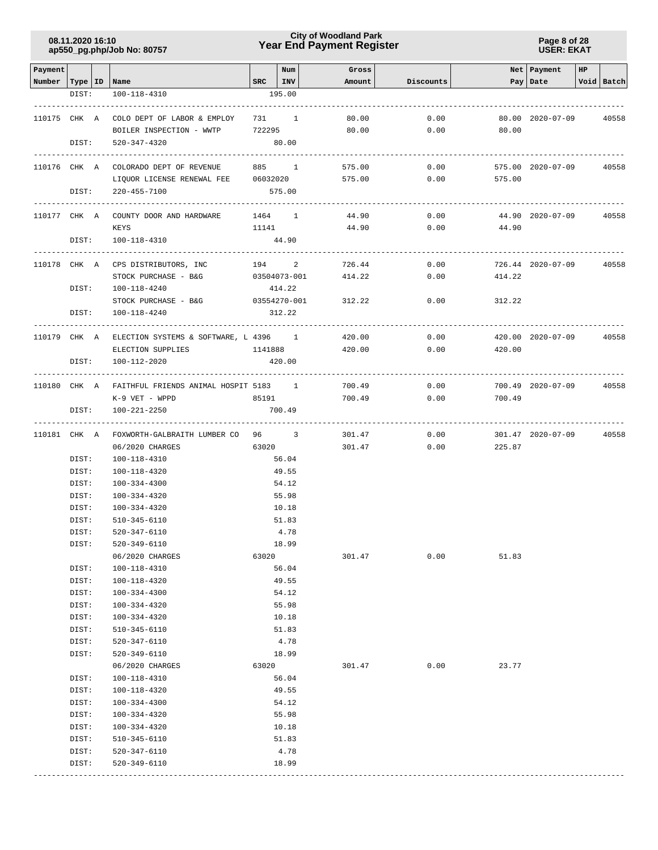### **Year End Payment Register City of Woodland Park 08.11.2020 16:10**

**Page 8 of 28 USER: EKAT**

| Payment                   |                |                                                    |        | Num                   | Gross            |              |                | Net Payment       | HP |            |
|---------------------------|----------------|----------------------------------------------------|--------|-----------------------|------------------|--------------|----------------|-------------------|----|------------|
| Number   Type   ID   Name |                |                                                    |        | $SRC$   INV           | Amount           | Discounts    |                | Pay Date          |    | Void Batch |
|                           | DIST:          | 100-118-4310                                       |        | 195.00                |                  |              |                |                   |    |            |
|                           |                |                                                    |        |                       |                  |              |                |                   |    |            |
| 110175 CHK A              |                | COLO DEPT OF LABOR & EMPLOY                        |        | 731 1                 | 80.00            | 0.00         |                | 80.00 2020-07-09  |    | 40558      |
|                           |                | BOILER INSPECTION - WWTP                           | 722295 |                       | 80.00            | 0.00         | 80.00          |                   |    |            |
|                           | DIST:          | 520-347-4320                                       |        | 80.00                 |                  |              |                |                   |    |            |
|                           |                | 110176 CHK A COLORADO DEPT OF REVENUE              |        | -----------<br>885 1  | 575.00           | 0.00         |                | 575.00 2020-07-09 |    | 40558      |
|                           |                | LIQUOR LICENSE RENEWAL FEE                         |        | 06032020              | 575.00           | 0.00         | 575.00         |                   |    |            |
|                           | DIST:          | $220 - 455 - 7100$                                 |        | 575.00                |                  |              |                |                   |    |            |
|                           |                |                                                    |        |                       |                  |              |                |                   |    |            |
| 110177 CHK A              |                | COUNTY DOOR AND HARDWARE                           |        | 1464 1                | 44.90            | 0.00         |                | 44.90 2020-07-09  |    | 40558      |
|                           |                | KEYS                                               |        | 11141                 | 44.90            | 0.00         | 44.90          |                   |    |            |
|                           | DIST:          | 100-118-4310                                       |        | 44.90                 |                  |              |                |                   |    |            |
|                           |                | -----------------------                            |        |                       |                  |              |                |                   |    |            |
| 110178 CHK A              |                | CPS DISTRIBUTORS, INC<br>STOCK PURCHASE - B&G      |        | 194 2<br>03504073-001 | 726.44<br>414.22 | 0.00<br>0.00 | 414.22         | 726.44 2020-07-09 |    | 40558      |
|                           | DIST:          | 100-118-4240                                       |        | 414.22                |                  |              |                |                   |    |            |
|                           |                | STOCK PURCHASE - B&G                               |        | 03554270-001          | 312.22           | 0.00         | 312.22         |                   |    |            |
|                           | DIST:          | 100-118-4240                                       |        | 312.22                |                  |              |                |                   |    |            |
|                           |                |                                                    |        |                       |                  |              |                |                   |    |            |
| 110179 CHK A              |                | ELECTION SYSTEMS & SOFTWARE, L 4396 1 420.00       |        |                       |                  | 0.00         |                | 420.00 2020-07-09 |    | 40558      |
|                           |                | ELECTION SUPPLIES                                  |        | 1141888               | 420.00           | 0.00         | 420.00         |                   |    |            |
|                           | DIST:          | 100-112-2020                                       |        | 420.00                |                  |              |                |                   |    |            |
|                           |                |                                                    |        | ---------------       |                  |              |                |                   |    |            |
|                           |                | 110180 CHK A FAITHFUL FRIENDS ANIMAL HOSPIT 5183 1 |        |                       | 700.49           | 0.00         |                | 700.49 2020-07-09 |    | 40558      |
|                           |                | K-9 VET - WPPD                                     | 85191  |                       | 700.49           | 0.00         | 700.49         |                   |    |            |
|                           | DIST:          | 100-221-2250                                       |        | 700.49                |                  |              |                |                   |    |            |
| 110181 CHK A              |                | FOXWORTH-GALBRAITH LUMBER CO 96 3                  |        |                       | 301.47           | 0.00         |                | 301.47 2020-07-09 |    | 40558      |
|                           |                | 06/2020 CHARGES                                    |        | 63020 000             | 301.47           |              | 0.00<br>225.87 |                   |    |            |
|                           | DIST:          | 100-118-4310                                       |        | 56.04                 |                  |              |                |                   |    |            |
|                           | DIST:          | 100-118-4320                                       |        | 49.55                 |                  |              |                |                   |    |            |
|                           | DIST:          | 100-334-4300                                       |        | 54.12                 |                  |              |                |                   |    |            |
|                           | DIST:          | 100-334-4320                                       |        | 55.98                 |                  |              |                |                   |    |            |
|                           | DIST:          | 100-334-4320                                       |        | 10.18                 |                  |              |                |                   |    |            |
|                           | DIST:          | 510-345-6110                                       |        | 51.83                 |                  |              |                |                   |    |            |
|                           | DIST:          | 520-347-6110                                       |        | 4.78                  |                  |              |                |                   |    |            |
|                           | DIST:          | 520-349-6110                                       |        | 18.99                 |                  |              |                |                   |    |            |
|                           | DIST:          | 06/2020 CHARGES<br>100-118-4310                    | 63020  | 56.04                 | 301.47           | 0.00         | 51.83          |                   |    |            |
|                           | DIST:          | 100-118-4320                                       |        | 49.55                 |                  |              |                |                   |    |            |
|                           | DIST:          | 100-334-4300                                       |        | 54.12                 |                  |              |                |                   |    |            |
|                           | DIST:          | 100-334-4320                                       |        | 55.98                 |                  |              |                |                   |    |            |
|                           | DIST:          | 100-334-4320                                       |        | 10.18                 |                  |              |                |                   |    |            |
|                           | DIST:          | $510 - 345 - 6110$                                 |        | 51.83                 |                  |              |                |                   |    |            |
|                           | DIST:          | 520-347-6110                                       |        | 4.78                  |                  |              |                |                   |    |            |
|                           | DIST:          | 520-349-6110                                       |        | 18.99                 |                  |              |                |                   |    |            |
|                           |                | 06/2020 CHARGES                                    | 63020  |                       | 301.47           | 0.00         | 23.77          |                   |    |            |
|                           | DIST:          | 100-118-4310                                       |        | 56.04                 |                  |              |                |                   |    |            |
|                           | DIST:          | 100-118-4320                                       |        | 49.55                 |                  |              |                |                   |    |            |
|                           | DIST:          | $100 - 334 - 4300$                                 |        | 54.12                 |                  |              |                |                   |    |            |
|                           | DIST:          | 100-334-4320                                       |        | 55.98                 |                  |              |                |                   |    |            |
|                           | DIST:          | 100-334-4320                                       |        | 10.18<br>51.83        |                  |              |                |                   |    |            |
|                           | DIST:<br>DIST: | 510-345-6110<br>520-347-6110                       |        | 4.78                  |                  |              |                |                   |    |            |
|                           | DIST:          | 520-349-6110                                       |        | 18.99                 |                  |              |                |                   |    |            |
|                           |                |                                                    |        |                       |                  |              |                |                   |    |            |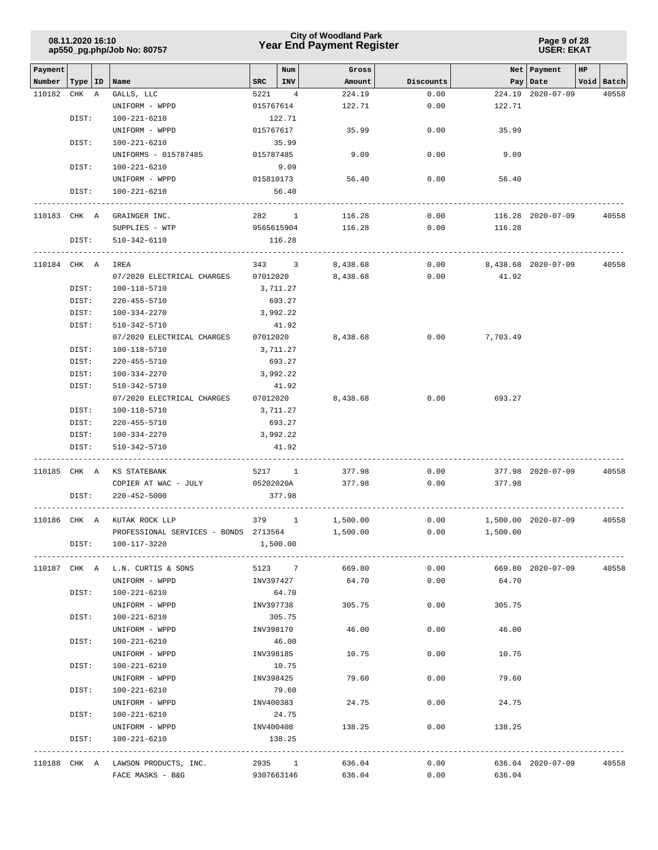|              | 08.11.2020 16:10 |    | ap550_pg.php/Job No: 80757            |                    | <b>City of Woodland Park</b><br><b>Year End Payment Register</b> |           | Page 9 of 28<br><b>USER: EKAT</b> |                     |               |  |  |
|--------------|------------------|----|---------------------------------------|--------------------|------------------------------------------------------------------|-----------|-----------------------------------|---------------------|---------------|--|--|
| Payment      |                  |    |                                       | Num                | Gross                                                            |           | Net                               | Payment<br>HP       |               |  |  |
| Number       | Type             | ID | Name                                  | ${\tt SRC}$<br>INV | Amount                                                           | Discounts |                                   | Pay   Date          | Void<br>Batch |  |  |
| 110182       | CHK              | A  | GALLS, LLC                            | 5221<br>4          | 224.19                                                           | 0.00      | 224.19                            | $2020 - 07 - 09$    | 40558         |  |  |
|              |                  |    | UNIFORM - WPPD                        | 015767614          | 122.71                                                           | 0.00      | 122.71                            |                     |               |  |  |
|              | DIST:            |    | 100-221-6210                          | 122.71             |                                                                  |           |                                   |                     |               |  |  |
|              |                  |    | UNIFORM - WPPD                        | 015767617          | 35.99                                                            | 0.00      | 35.99                             |                     |               |  |  |
|              | DIST:            |    | 100-221-6210                          | 35.99              |                                                                  |           |                                   |                     |               |  |  |
|              |                  |    | UNIFORMS - 015787485                  | 015787485          | 9.09                                                             | 0.00      | 9.09                              |                     |               |  |  |
|              | DIST:            |    | 100-221-6210                          | 9.09               |                                                                  |           |                                   |                     |               |  |  |
|              |                  |    | UNIFORM - WPPD                        | 015810173          | 56.40                                                            | 0.00      | 56.40                             |                     |               |  |  |
|              | DIST:            |    | 100-221-6210                          | 56.40              |                                                                  |           |                                   |                     |               |  |  |
| 110183 CHK A |                  |    | GRAINGER INC.                         | 282<br>-1          | 116.28                                                           | 0.00      |                                   | 116.28 2020-07-09   | 40558         |  |  |
|              |                  |    | SUPPLIES - WTP                        | 9565615904         | 116.28                                                           | 0.00      | 116.28                            |                     |               |  |  |
|              | DIST:            |    | 510-342-6110                          | 116.28             |                                                                  |           |                                   |                     |               |  |  |
| 110184 CHK A |                  |    | IREA                                  | 343 3              | 8,438.68                                                         | 0.00      |                                   | 8,438.68 2020-07-09 | 40558         |  |  |
|              |                  |    | 07/2020 ELECTRICAL CHARGES            | 07012020           | 8,438.68                                                         | 0.00      | 41.92                             |                     |               |  |  |
|              | DIST:            |    | 100-118-5710                          | 3,711.27           |                                                                  |           |                                   |                     |               |  |  |
|              | DIST:            |    | 220-455-5710                          | 693.27             |                                                                  |           |                                   |                     |               |  |  |
|              | DIST:            |    | 100-334-2270                          | 3,992.22           |                                                                  |           |                                   |                     |               |  |  |
|              | DIST:            |    | 510-342-5710                          | 41.92              |                                                                  |           |                                   |                     |               |  |  |
|              |                  |    | 07/2020 ELECTRICAL CHARGES            | 07012020           | 8,438.68                                                         | 0.00      | 7,703.49                          |                     |               |  |  |
|              | DIST:            |    | 100-118-5710                          | 3,711.27           |                                                                  |           |                                   |                     |               |  |  |
|              | DIST:            |    | $220 - 455 - 5710$                    | 693.27             |                                                                  |           |                                   |                     |               |  |  |
|              | DIST:            |    | 100-334-2270                          | 3,992.22           |                                                                  |           |                                   |                     |               |  |  |
|              | DIST:            |    | 510-342-5710                          | 41.92              |                                                                  |           |                                   |                     |               |  |  |
|              |                  |    | 07/2020 ELECTRICAL CHARGES            | 07012020           | 8,438.68                                                         | 0.00      | 693.27                            |                     |               |  |  |
|              | DIST:            |    | 100-118-5710                          | 3,711.27           |                                                                  |           |                                   |                     |               |  |  |
|              | DIST:            |    | $220 - 455 - 5710$                    | 693.27             |                                                                  |           |                                   |                     |               |  |  |
|              | DIST:            |    | 100-334-2270                          | 3,992.22           |                                                                  |           |                                   |                     |               |  |  |
|              | DIST:            |    | 510-342-5710                          | 41.92              |                                                                  |           |                                   |                     |               |  |  |
| 110185 CHK A |                  |    | KS STATEBANK                          | 5217 1             | 377.98                                                           | 0.00      |                                   | 377.98 2020-07-09   | 40558         |  |  |
|              |                  |    | COPIER AT WAC - JULY                  | 05202020A          | 377.98                                                           | 0.00      | 377.98                            |                     |               |  |  |
|              | DIST:            |    | $220 - 452 - 5000$                    | 377.98             |                                                                  |           |                                   |                     |               |  |  |
|              |                  |    | 110186 CHK A KUTAK ROCK LLP           | 379 1              | 1,500.00                                                         | 0.00      |                                   | 1,500.00 2020-07-09 | 40558         |  |  |
|              |                  |    | PROFESSIONAL SERVICES - BONDS 2713564 |                    | 1,500.00                                                         |           | $0.00$ 1,500.00                   |                     |               |  |  |
|              |                  |    | DIST: 100-117-3220                    | 1,500.00           |                                                                  |           |                                   |                     |               |  |  |
|              |                  |    | 110187 CHK A L.N. CURTIS & SONS       |                    | 5123 7 669.80                                                    | 0.00      |                                   | 669.80 2020-07-09   | 40558         |  |  |
|              |                  |    | UNIFORM - WPPD                        | INV397427          | 64.70                                                            | 0.00      | 64.70                             |                     |               |  |  |
|              | DIST:            |    | 100-221-6210                          | 64.70              |                                                                  |           |                                   |                     |               |  |  |
|              |                  |    | UNIFORM - WPPD                        | INV397738          | 305.75                                                           | 0.00      | 305.75                            |                     |               |  |  |
|              | DIST:            |    | 100-221-6210                          | 305.75             |                                                                  |           |                                   |                     |               |  |  |
|              |                  |    | UNIFORM - WPPD                        | INV398170          | 46.00                                                            | 0.00      | 46.00                             |                     |               |  |  |
|              | DIST:            |    | 100-221-6210                          | 46.00              |                                                                  |           |                                   |                     |               |  |  |
|              |                  |    | UNIFORM - WPPD                        | INV398185          | 10.75                                                            | 0.00      | 10.75                             |                     |               |  |  |
|              | DIST:            |    | 100-221-6210                          | 10.75              |                                                                  |           |                                   |                     |               |  |  |
|              |                  |    | UNIFORM - WPPD                        | INV398425          | 79.60                                                            | 0.00      | 79.60                             |                     |               |  |  |
|              | DIST:            |    | 100-221-6210                          | 79.60              |                                                                  |           |                                   |                     |               |  |  |
|              |                  |    | UNIFORM - WPPD                        | INV400383          | 24.75                                                            | 0.00      | 24.75                             |                     |               |  |  |
|              | DIST:            |    | 100-221-6210                          | 24.75              |                                                                  |           |                                   |                     |               |  |  |
|              |                  |    | UNIFORM - WPPD                        | INV400408          | 138.25                                                           | 0.00      | 138.25                            |                     |               |  |  |
|              | DIST:            |    | 100-221-6210                          | 138.25             |                                                                  |           |                                   |                     |               |  |  |
|              |                  |    | 110188 CHK A LAWSON PRODUCTS, INC.    | 2935 1             | 636.04                                                           | 0.00      |                                   | 636.04 2020-07-09   | 40558         |  |  |
|              |                  |    | FACE MASKS - B&G                      |                    | 9307663146 636.04                                                | 0.00      | 636.04                            |                     |               |  |  |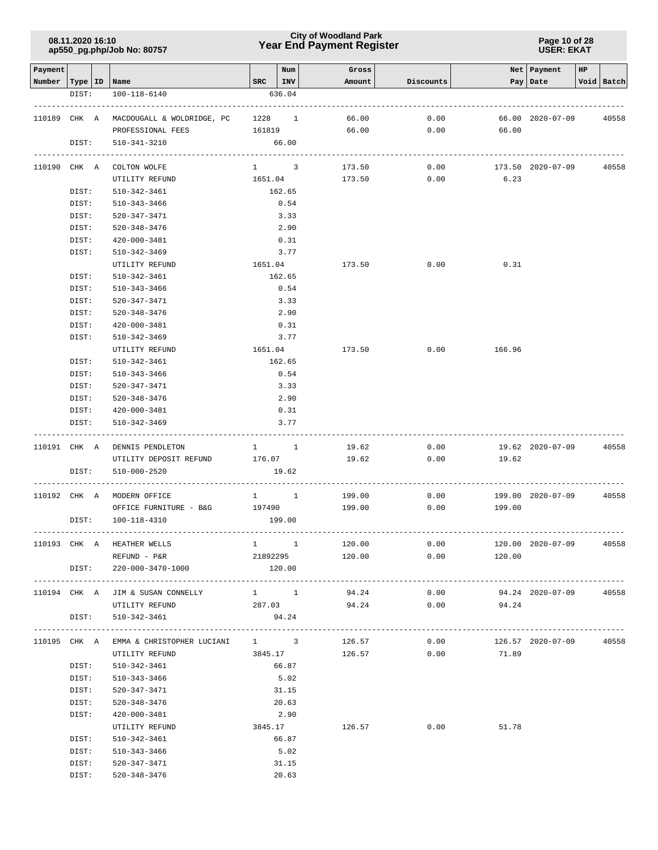### **Year End Payment Register City of Woodland Park 08.11.2020 16:10**

**Page 10 of 28 USER: EKAT**

| Payment |                           |                                                |               | Num                               | Gross           |           |                                | Net   Payment          | HP |            |
|---------|---------------------------|------------------------------------------------|---------------|-----------------------------------|-----------------|-----------|--------------------------------|------------------------|----|------------|
|         | Number   Type   ID   Name |                                                | $SRC$   $INV$ |                                   | Amount          | Discounts |                                | Pay Date               |    | Void Batch |
|         | DIST:                     | 100-118-6140                                   |               | 636.04                            |                 |           |                                |                        |    |            |
|         |                           |                                                |               |                                   |                 |           |                                |                        |    |            |
|         |                           | 110189 CHK A MACDOUGALL & WOLDRIDGE, PC 1228 1 |               |                                   | 66.00           | 0.00      |                                | 66.00 2020-07-09       |    | 40558      |
|         |                           | PROFESSIONAL FEES                              | 161819        |                                   | 66.00           | 0.00      | 66.00                          |                        |    |            |
|         | DIST:                     | 510-341-3210                                   |               | 66.00                             |                 |           |                                |                        |    |            |
|         |                           | 110190 CHK A COLTON WOLFE                      |               | $1 \quad 3$                       | 173.50          | 0.00      |                                | 173.50 2020-07-09      |    | 40558      |
|         |                           | UTILITY REFUND                                 | 1651.04       |                                   | 173.50          | 0.00      | 6.23                           |                        |    |            |
|         | DIST:                     | 510-342-3461                                   |               | 162.65                            |                 |           |                                |                        |    |            |
|         | DIST:                     | 510-343-3466                                   |               | 0.54                              |                 |           |                                |                        |    |            |
|         | DIST:                     | 520-347-3471                                   |               | 3.33                              |                 |           |                                |                        |    |            |
|         | DIST:                     | 520-348-3476                                   |               | 2.90                              |                 |           |                                |                        |    |            |
|         | DIST:                     | 420-000-3481                                   |               | 0.31                              |                 |           |                                |                        |    |            |
|         | DIST:                     | 510-342-3469                                   |               | 3.77                              |                 |           |                                |                        |    |            |
|         |                           | UTILITY REFUND                                 | 1651.04       |                                   | 173.50          | 0.00      | 0.31                           |                        |    |            |
|         | DIST:                     | 510-342-3461                                   |               | 162.65                            |                 |           |                                |                        |    |            |
|         | DIST:                     | 510-343-3466                                   |               | 0.54                              |                 |           |                                |                        |    |            |
|         | DIST:                     | 520-347-3471                                   |               | 3.33                              |                 |           |                                |                        |    |            |
|         | DIST:                     | 520-348-3476                                   |               | 2.90                              |                 |           |                                |                        |    |            |
|         | DIST:                     | 420-000-3481                                   |               | 0.31                              |                 |           |                                |                        |    |            |
|         | DIST:                     | 510-342-3469                                   |               | 3.77                              |                 |           |                                |                        |    |            |
|         |                           | UTILITY REFUND                                 | 1651.04       |                                   | 173.50          | 0.00      | 166.96                         |                        |    |            |
|         | DIST:                     | 510-342-3461                                   |               | 162.65                            |                 |           |                                |                        |    |            |
|         | DIST:                     | 510-343-3466                                   |               | 0.54                              |                 |           |                                |                        |    |            |
|         | DIST:                     | 520-347-3471                                   |               | 3.33                              |                 |           |                                |                        |    |            |
|         | DIST:                     | 520-348-3476                                   |               | 2.90                              |                 |           |                                |                        |    |            |
|         | DIST:                     | 420-000-3481                                   |               | 0.31                              |                 |           |                                |                        |    |            |
|         | DIST:                     | 510-342-3469                                   |               | 3.77                              |                 |           |                                |                        |    |            |
|         |                           |                                                |               |                                   |                 |           |                                |                        |    |            |
|         |                           | 110191 CHK A DENNIS PENDLETON                  | $1 \quad 1$   |                                   | 19.62           | 0.00      |                                | 19.62 2020-07-09       |    | 40558      |
|         |                           | UTILITY DEPOSIT REFUND 176.07                  |               |                                   | 19.62           | 0.00      | 19.62                          |                        |    |            |
|         | DIST:                     | 510-000-2520                                   |               | 19.62                             |                 |           |                                |                        |    |            |
|         |                           | 110192 CHK A MODERN OFFICE                     |               | $1 \quad 1$                       | 199.00          | 0.00      |                                | 199.00 2020-07-09      |    | 40558      |
|         |                           | OFFICE FURNITURE - B&G 197490                  |               |                                   | 199.00          | 0.00      | 199.00                         |                        |    |            |
|         | DIST:                     | 100-118-4310                                   |               | 199.00                            |                 |           |                                |                        |    |            |
|         |                           |                                                |               |                                   |                 |           |                                |                        |    |            |
|         |                           | 110193 CHK A HEATHER WELLS                     |               | $1 \qquad \qquad 1 \qquad \qquad$ | 120.00          |           | 0.00                           | 120.00 2020-07-09      |    | 40558      |
|         |                           | REFUND - P&R                                   |               |                                   | 21892295 120.00 |           | $0.00$ 120.00                  |                        |    |            |
|         |                           | DIST: 220-000-3470-1000                        |               | 120.00                            |                 |           |                                |                        |    |            |
|         |                           | 110194 CHK A JIM & SUSAN CONNELLY              | $1 \quad 1$   |                                   | 94.24           | 0.00      |                                | 94.24 2020-07-09 40558 |    |            |
|         |                           | UTILITY REFUND                                 | 287.03        |                                   | 94.24           | 0.00      | 94.24                          |                        |    |            |
|         | DIST:                     | 510-342-3461                                   |               | 94.24                             |                 |           |                                |                        |    |            |
|         |                           |                                                |               |                                   |                 |           |                                |                        |    |            |
|         |                           | 110195 CHK A EMMA & CHRISTOPHER LUCIANI 1 3    |               |                                   |                 | 126.57    | $0.00$ 126.57 2020-07-09 40558 |                        |    |            |
|         |                           | UTILITY REFUND                                 |               |                                   | 3845.17 126.57  |           | $0.00$ 71.89                   |                        |    |            |
|         | DIST:                     | 510-342-3461                                   |               | 66.87                             |                 |           |                                |                        |    |            |
|         | DIST:                     | 510-343-3466                                   |               | 5.02                              |                 |           |                                |                        |    |            |
|         | DIST:                     | 520-347-3471                                   |               | 31.15                             |                 |           |                                |                        |    |            |
|         | DIST:                     | 520-348-3476                                   |               | 20.63                             |                 |           |                                |                        |    |            |
|         | DIST:                     | 420-000-3481                                   |               | 2.90                              |                 |           |                                |                        |    |            |
|         |                           | UTILITY REFUND                                 | 3845.17       |                                   | 126.57          | 0.00      | 51.78                          |                        |    |            |
|         | DIST:                     | 510-342-3461                                   |               | 66.87                             |                 |           |                                |                        |    |            |
|         | DIST:                     | 510-343-3466                                   |               | 5.02                              |                 |           |                                |                        |    |            |
|         | DIST:                     | 520-347-3471                                   |               | 31.15<br>20.63                    |                 |           |                                |                        |    |            |
|         | DIST:                     | 520-348-3476                                   |               |                                   |                 |           |                                |                        |    |            |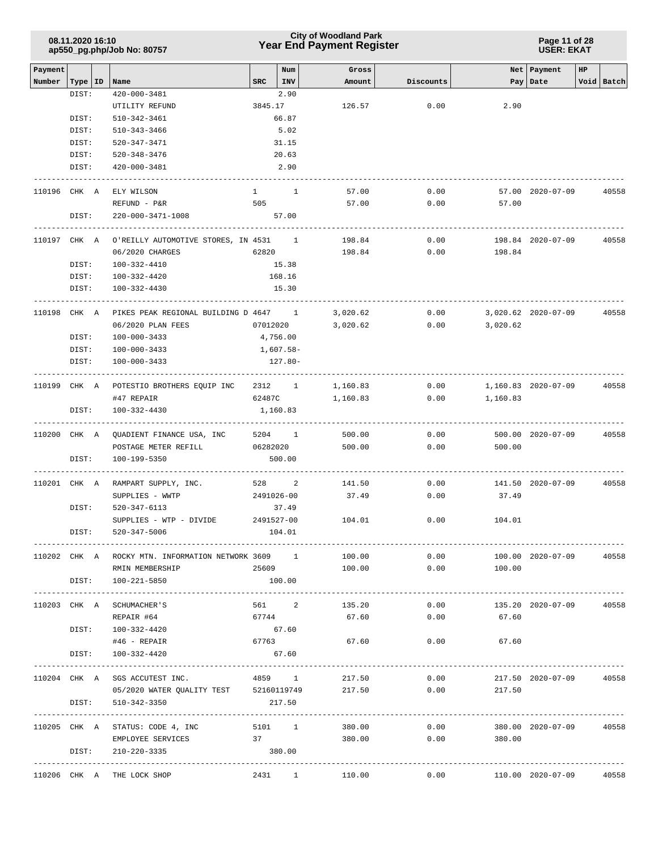### **Year End Payment Register City of Woodland Park 08.11.2020 16:10**

**Page 11 of 28 USER: EKAT**

| Payment<br>Num<br>Net   Payment<br>Gross<br>HP<br>Type   ID<br>Number<br>Name<br><b>SRC</b><br>INV<br>Amount<br>Discounts<br>Pay   Date<br>DIST:<br>$420 - 000 - 3481$<br>2.90<br>3845.17<br>126.57<br>0.00<br>2.90<br>UTILITY REFUND<br>66.87<br>DIST:<br>510-342-3461<br>DIST:<br>510-343-3466<br>5.02<br>DIST:<br>520-347-3471<br>31.15<br>20.63<br>DIST:<br>520-348-3476<br>$420 - 000 - 3481$<br>2.90<br>DIST:<br>110196 CHK A<br>ELY WILSON<br>$1 \quad 1$<br>57.00<br>0.00<br>57.00 2020-07-09<br>505<br>57.00<br>0.00<br>REFUND - P&R<br>57.00<br>DIST:<br>220-000-3471-1008<br>57.00<br>110197 CHK A O'REILLY AUTOMOTIVE STORES, IN 4531 1<br>198.84<br>0.00<br>198.84 2020-07-09<br>62820<br>06/2020 CHARGES<br>0.00<br>198.84<br>198.84 | Void Batch                         |
|----------------------------------------------------------------------------------------------------------------------------------------------------------------------------------------------------------------------------------------------------------------------------------------------------------------------------------------------------------------------------------------------------------------------------------------------------------------------------------------------------------------------------------------------------------------------------------------------------------------------------------------------------------------------------------------------------------------------------------------------------|------------------------------------|
|                                                                                                                                                                                                                                                                                                                                                                                                                                                                                                                                                                                                                                                                                                                                                    |                                    |
|                                                                                                                                                                                                                                                                                                                                                                                                                                                                                                                                                                                                                                                                                                                                                    |                                    |
|                                                                                                                                                                                                                                                                                                                                                                                                                                                                                                                                                                                                                                                                                                                                                    |                                    |
|                                                                                                                                                                                                                                                                                                                                                                                                                                                                                                                                                                                                                                                                                                                                                    |                                    |
|                                                                                                                                                                                                                                                                                                                                                                                                                                                                                                                                                                                                                                                                                                                                                    |                                    |
|                                                                                                                                                                                                                                                                                                                                                                                                                                                                                                                                                                                                                                                                                                                                                    |                                    |
|                                                                                                                                                                                                                                                                                                                                                                                                                                                                                                                                                                                                                                                                                                                                                    |                                    |
|                                                                                                                                                                                                                                                                                                                                                                                                                                                                                                                                                                                                                                                                                                                                                    |                                    |
|                                                                                                                                                                                                                                                                                                                                                                                                                                                                                                                                                                                                                                                                                                                                                    | 40558                              |
|                                                                                                                                                                                                                                                                                                                                                                                                                                                                                                                                                                                                                                                                                                                                                    |                                    |
|                                                                                                                                                                                                                                                                                                                                                                                                                                                                                                                                                                                                                                                                                                                                                    |                                    |
|                                                                                                                                                                                                                                                                                                                                                                                                                                                                                                                                                                                                                                                                                                                                                    | 40558                              |
|                                                                                                                                                                                                                                                                                                                                                                                                                                                                                                                                                                                                                                                                                                                                                    |                                    |
| DIST:<br>100-332-4410<br>15.38                                                                                                                                                                                                                                                                                                                                                                                                                                                                                                                                                                                                                                                                                                                     |                                    |
| DIST:<br>100-332-4420<br>168.16                                                                                                                                                                                                                                                                                                                                                                                                                                                                                                                                                                                                                                                                                                                    |                                    |
| DIST:<br>100-332-4430<br>15.30                                                                                                                                                                                                                                                                                                                                                                                                                                                                                                                                                                                                                                                                                                                     |                                    |
| 0.00<br>110198 CHK A<br>PIKES PEAK REGIONAL BUILDING D 4647 1<br>3,020.62<br>3,020.62 2020-07-09                                                                                                                                                                                                                                                                                                                                                                                                                                                                                                                                                                                                                                                   | 40558                              |
| 06/2020 PLAN FEES<br>07012020<br>3,020.62<br>0.00<br>3,020.62                                                                                                                                                                                                                                                                                                                                                                                                                                                                                                                                                                                                                                                                                      |                                    |
| DIST:<br>100-000-3433<br>4,756.00                                                                                                                                                                                                                                                                                                                                                                                                                                                                                                                                                                                                                                                                                                                  |                                    |
| 1,607.58-<br>DIST:<br>100-000-3433                                                                                                                                                                                                                                                                                                                                                                                                                                                                                                                                                                                                                                                                                                                 |                                    |
| DIST:<br>100-000-3433<br>127.80-                                                                                                                                                                                                                                                                                                                                                                                                                                                                                                                                                                                                                                                                                                                   |                                    |
| 110199 CHK A<br>POTESTIO BROTHERS EQUIP INC 2312 1<br>1,160.83<br>0.00<br>1,160.83 2020-07-09                                                                                                                                                                                                                                                                                                                                                                                                                                                                                                                                                                                                                                                      | 40558                              |
| 62487C<br>0.00<br>#47 REPAIR<br>1,160.83<br>1,160.83                                                                                                                                                                                                                                                                                                                                                                                                                                                                                                                                                                                                                                                                                               |                                    |
| DIST:<br>100-332-4430<br>1,160.83<br>---------------                                                                                                                                                                                                                                                                                                                                                                                                                                                                                                                                                                                                                                                                                               |                                    |
| 0.00<br>110200 CHK A QUADIENT FINANCE USA, INC<br>5204 1<br>500.00<br>500.00 2020-07-09                                                                                                                                                                                                                                                                                                                                                                                                                                                                                                                                                                                                                                                            | 40558                              |
| 0.00<br>POSTAGE METER REFILL<br>06282020<br>500.00<br>500.00                                                                                                                                                                                                                                                                                                                                                                                                                                                                                                                                                                                                                                                                                       |                                    |
| DIST:<br>100-199-5350<br>500.00                                                                                                                                                                                                                                                                                                                                                                                                                                                                                                                                                                                                                                                                                                                    |                                    |
| 528 2<br>0.00<br>110201 CHK A<br>RAMPART SUPPLY, INC.<br>141.50<br>141.50 2020-07-09                                                                                                                                                                                                                                                                                                                                                                                                                                                                                                                                                                                                                                                               | 40558                              |
| 2491026-00<br>0.00<br>SUPPLIES - WWTP<br>37.49<br>37.49                                                                                                                                                                                                                                                                                                                                                                                                                                                                                                                                                                                                                                                                                            |                                    |
| DIST:<br>520-347-6113<br>37.49                                                                                                                                                                                                                                                                                                                                                                                                                                                                                                                                                                                                                                                                                                                     |                                    |
| SUPPLIES - WTP - DIVIDE<br>2491527-00<br>104.01<br>0.00<br>104.01                                                                                                                                                                                                                                                                                                                                                                                                                                                                                                                                                                                                                                                                                  |                                    |
| 104.01<br>DIST:<br>520-347-5006                                                                                                                                                                                                                                                                                                                                                                                                                                                                                                                                                                                                                                                                                                                    |                                    |
| 110202 CHK A ROCKY MTN. INFORMATION NETWORK 3609 1<br>100.00<br>0.00<br>100.00 2020-07-09                                                                                                                                                                                                                                                                                                                                                                                                                                                                                                                                                                                                                                                          | 40558                              |
| 0.00<br>RMIN MEMBERSHIP<br>25609<br>100.00<br>100.00                                                                                                                                                                                                                                                                                                                                                                                                                                                                                                                                                                                                                                                                                               |                                    |
| DIST: 100-221-5850<br>100.00                                                                                                                                                                                                                                                                                                                                                                                                                                                                                                                                                                                                                                                                                                                       |                                    |
| 561 2 135.20<br>110203 CHK A SCHUMACHER'S<br>0.00<br>135.20 2020-07-09                                                                                                                                                                                                                                                                                                                                                                                                                                                                                                                                                                                                                                                                             | 40558                              |
| 67744<br>67.60<br>$0.00$ 67.60<br>REPAIR #64                                                                                                                                                                                                                                                                                                                                                                                                                                                                                                                                                                                                                                                                                                       |                                    |
| DIST: 100-332-4420<br>67.60                                                                                                                                                                                                                                                                                                                                                                                                                                                                                                                                                                                                                                                                                                                        |                                    |
| $#46$ - REPAIR<br>67763<br>67.60<br>0.00<br>67.60                                                                                                                                                                                                                                                                                                                                                                                                                                                                                                                                                                                                                                                                                                  |                                    |
| DIST:<br>100-332-4420<br>67.60                                                                                                                                                                                                                                                                                                                                                                                                                                                                                                                                                                                                                                                                                                                     |                                    |
| 4859 1<br>217.50<br>0.00<br>110204 CHK A SGS ACCUTEST INC.<br>217.50 2020-07-09                                                                                                                                                                                                                                                                                                                                                                                                                                                                                                                                                                                                                                                                    | 40558                              |
| 05/2020 WATER QUALITY TEST 52160119749 217.50<br>0.00<br>217.50                                                                                                                                                                                                                                                                                                                                                                                                                                                                                                                                                                                                                                                                                    |                                    |
| DIST:<br>510-342-3350<br>217.50                                                                                                                                                                                                                                                                                                                                                                                                                                                                                                                                                                                                                                                                                                                    |                                    |
| 5101 1 380.00<br>110205 CHK A STATUS: CODE 4, INC<br>0.00<br>380.00 2020-07-09                                                                                                                                                                                                                                                                                                                                                                                                                                                                                                                                                                                                                                                                     | 40558                              |
| 0.00<br>EMPLOYEE SERVICES 37<br>380.00<br>380.00                                                                                                                                                                                                                                                                                                                                                                                                                                                                                                                                                                                                                                                                                                   |                                    |
| DIST:<br>380.00<br>210-220-3335                                                                                                                                                                                                                                                                                                                                                                                                                                                                                                                                                                                                                                                                                                                    |                                    |
| ----------------------------<br>110206 CHK A THE LOCK SHOP<br>0.00<br>2431 1<br>110.00<br>110.00 2020-07-09                                                                                                                                                                                                                                                                                                                                                                                                                                                                                                                                                                                                                                        | . _ _ _ _ _ _ _ _ _ _ _ _<br>40558 |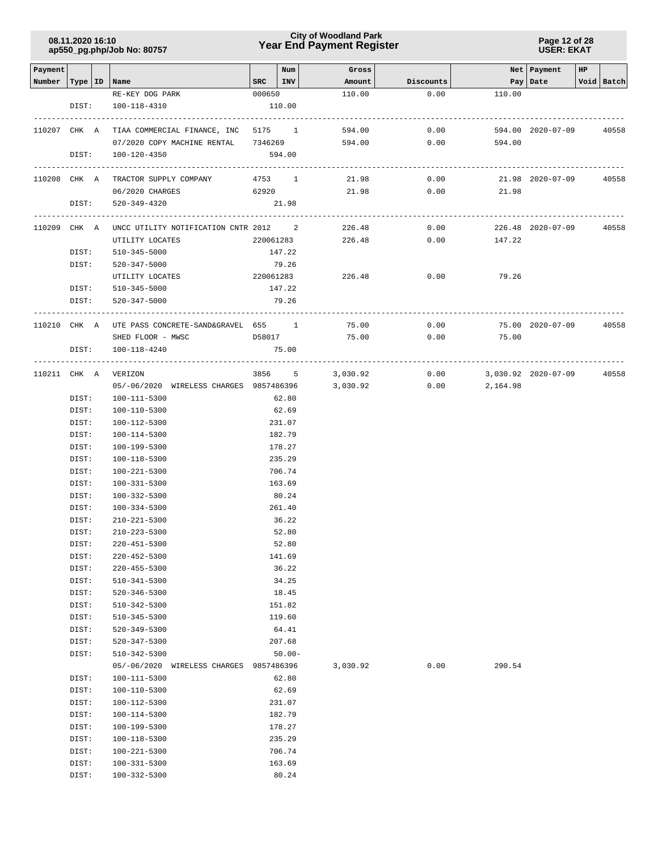### **Year End Payment Register City of Woodland Park 08.11.2020 16:10**

**Page 12 of 28 USER: EKAT**

| Payment      |       |                                         |             | Num       | Gross    |           |                     | Net   Payment     | HP |            |
|--------------|-------|-----------------------------------------|-------------|-----------|----------|-----------|---------------------|-------------------|----|------------|
| Number       |       | Type   ID   Name                        | $SRC$   INV |           | Amount   | Discounts |                     | Pay   Date        |    | Void Batch |
|              |       | RE-KEY DOG PARK                         | 000650      |           | 110.00   | 0.00      | 110.00              |                   |    |            |
|              | DIST: | 100-118-4310                            |             | 110.00    |          |           |                     |                   |    |            |
|              |       |                                         |             |           |          |           |                     |                   |    |            |
| 110207 CHK A |       | TIAA COMMERCIAL FINANCE, INC 5175 1     |             |           | 594.00   | 0.00      |                     | 594.00 2020-07-09 |    | 40558      |
|              |       | 07/2020 COPY MACHINE RENTAL 7346269     |             |           | 594.00   | 0.00      | 594.00              |                   |    |            |
|              | DIST: | 100-120-4350                            |             | 594.00    |          |           |                     |                   |    |            |
|              |       |                                         |             |           |          |           |                     |                   |    |            |
| 110208 CHK A |       | TRACTOR SUPPLY COMPANY                  | 4753 1      |           | 21.98    | 0.00      |                     | 21.98 2020-07-09  |    | 40558      |
|              |       | 06/2020 CHARGES                         | 62920       |           | 21.98    | 0.00      | 21.98               |                   |    |            |
|              | DIST: | 520-349-4320                            |             | 21.98     |          |           |                     |                   |    |            |
|              |       |                                         |             |           |          |           |                     |                   |    |            |
| 110209 CHK A |       | UNCC UTILITY NOTIFICATION CNTR 2012 2   |             |           | 226.48   | 0.00      |                     | 226.48 2020-07-09 |    | 40558      |
|              |       | UTILITY LOCATES                         | 220061283   |           | 226.48   | 0.00      | 147.22              |                   |    |            |
|              | DIST: | 510-345-5000                            |             | 147.22    |          |           |                     |                   |    |            |
|              | DIST: | 520-347-5000                            |             | 79.26     |          |           |                     |                   |    |            |
|              |       | UTILITY LOCATES                         | 220061283   |           | 226.48   | 0.00      | 79.26               |                   |    |            |
|              | DIST: | 510-345-5000                            |             | 147.22    |          |           |                     |                   |    |            |
|              | DIST: | 520-347-5000                            |             | 79.26     |          |           |                     |                   |    |            |
|              |       |                                         |             |           |          |           |                     |                   |    |            |
| 110210 CHK A |       | UTE PASS CONCRETE-SAND&GRAVEL 655 1     |             |           | 75.00    | 0.00      |                     | 75.00 2020-07-09  |    | 40558      |
|              |       | SHED FLOOR - MWSC                       | D58017      |           | 75.00    | 0.00      | 75.00               |                   |    |            |
|              | DIST: | 100-118-4240                            |             | 75.00     |          |           |                     |                   |    |            |
|              |       |                                         |             |           |          |           |                     |                   |    |            |
|              |       | 110211 CHK A VERIZON                    | 3856 5      |           | 3,030.92 | 0.00      | 3,030.92 2020-07-09 |                   |    | 40558      |
|              |       | 05/-06/2020 WIRELESS CHARGES 9857486396 |             |           | 3,030.92 | 0.00      | 2,164.98            |                   |    |            |
|              | DIST: | 100-111-5300                            |             | 62.80     |          |           |                     |                   |    |            |
|              | DIST: | 100-110-5300                            |             | 62.69     |          |           |                     |                   |    |            |
|              | DIST: | 100-112-5300                            |             | 231.07    |          |           |                     |                   |    |            |
|              |       |                                         |             |           |          |           |                     |                   |    |            |
|              | DIST: | 100-114-5300                            |             | 182.79    |          |           |                     |                   |    |            |
|              | DIST: | 100-199-5300                            |             | 178.27    |          |           |                     |                   |    |            |
|              | DIST: | 100-118-5300                            |             | 235.29    |          |           |                     |                   |    |            |
|              | DIST: | 100-221-5300                            |             | 706.74    |          |           |                     |                   |    |            |
|              | DIST: | 100-331-5300                            |             | 163.69    |          |           |                     |                   |    |            |
|              | DIST: | 100-332-5300                            |             | 80.24     |          |           |                     |                   |    |            |
|              | DIST: | 100-334-5300                            |             | 261.40    |          |           |                     |                   |    |            |
|              | DIST: | $210 - 221 - 5300$                      |             | 36.22     |          |           |                     |                   |    |            |
|              | DIST: | 210-223-5300                            |             | 52.80     |          |           |                     |                   |    |            |
|              | DIST: | 220-451-5300                            |             | 52.80     |          |           |                     |                   |    |            |
|              | DIST: | 220-452-5300                            |             | 141.69    |          |           |                     |                   |    |            |
|              | DIST: | 220-455-5300                            |             | 36.22     |          |           |                     |                   |    |            |
|              | DIST: | $510 - 341 - 5300$                      |             | 34.25     |          |           |                     |                   |    |            |
|              | DIST: | 520-346-5300                            |             | 18.45     |          |           |                     |                   |    |            |
|              | DIST: | 510-342-5300                            |             | 151.82    |          |           |                     |                   |    |            |
|              | DIST: | 510-345-5300                            |             | 119.60    |          |           |                     |                   |    |            |
|              | DIST: | 520-349-5300                            |             | 64.41     |          |           |                     |                   |    |            |
|              | DIST: | 520-347-5300                            |             | 207.68    |          |           |                     |                   |    |            |
|              | DIST: | 510-342-5300                            |             | $50.00 -$ |          |           |                     |                   |    |            |
|              |       | 05/-06/2020 WIRELESS CHARGES 9857486396 |             |           | 3,030.92 | 0.00      | 290.54              |                   |    |            |
|              | DIST: | 100-111-5300                            |             | 62.80     |          |           |                     |                   |    |            |
|              | DIST: | 100-110-5300                            |             | 62.69     |          |           |                     |                   |    |            |
|              | DIST: | 100-112-5300                            |             | 231.07    |          |           |                     |                   |    |            |
|              | DIST: | 100-114-5300                            |             | 182.79    |          |           |                     |                   |    |            |
|              | DIST: | 100-199-5300                            |             | 178.27    |          |           |                     |                   |    |            |
|              | DIST: | 100-118-5300                            |             | 235.29    |          |           |                     |                   |    |            |
|              | DIST: | 100-221-5300                            |             | 706.74    |          |           |                     |                   |    |            |
|              | DIST: | 100-331-5300                            |             | 163.69    |          |           |                     |                   |    |            |
|              | DIST: | 100-332-5300                            |             | 80.24     |          |           |                     |                   |    |            |
|              |       |                                         |             |           |          |           |                     |                   |    |            |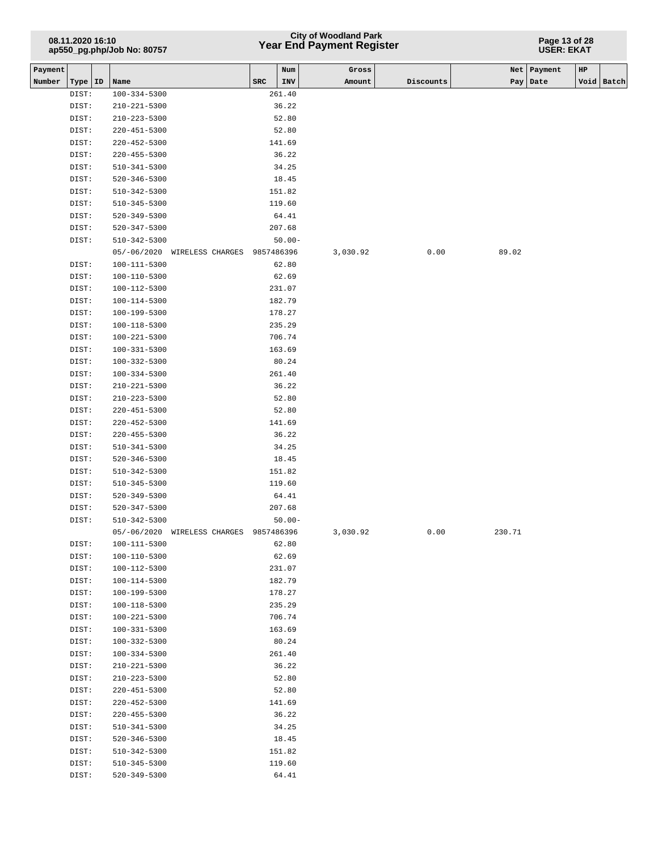## **Year End Payment Register City of Woodland Park 08.11.2020 16:10**

#### **Page 13 of 28 USER: EKAT**

| Payment |                |                                          |                  |             | Num              | Gross    |           | Net    | Payment | $_{\rm HP}$ |            |
|---------|----------------|------------------------------------------|------------------|-------------|------------------|----------|-----------|--------|---------|-------------|------------|
| Number  | Type   ID      | Name                                     |                  | ${\tt SRC}$ | INV              | Amount   | Discounts | Pay    | Date    |             | Void Batch |
|         | DIST:          | $100 - 334 - 5300$                       |                  |             | 261.40           |          |           |        |         |             |            |
|         | DIST:          | $210 - 221 - 5300$                       |                  |             | 36.22            |          |           |        |         |             |            |
|         | DIST:          | $210 - 223 - 5300$                       |                  |             | 52.80            |          |           |        |         |             |            |
|         | DIST:          | $220 - 451 - 5300$                       |                  |             | 52.80            |          |           |        |         |             |            |
|         | DIST:          | $220 - 452 - 5300$                       |                  |             | 141.69           |          |           |        |         |             |            |
|         | DIST:          | $220 - 455 - 5300$                       |                  |             | 36.22            |          |           |        |         |             |            |
|         | DIST:          | $510 - 341 - 5300$                       |                  |             | 34.25            |          |           |        |         |             |            |
|         | DIST:          | $520 - 346 - 5300$                       |                  |             | 18.45            |          |           |        |         |             |            |
|         | DIST:          | $510 - 342 - 5300$                       |                  |             | 151.82           |          |           |        |         |             |            |
|         | DIST:          | 510-345-5300                             |                  |             | 119.60           |          |           |        |         |             |            |
|         | DIST:          | 520-349-5300                             |                  |             | 64.41            |          |           |        |         |             |            |
|         | DIST:          | 520-347-5300                             |                  |             | 207.68           |          |           |        |         |             |            |
|         | DIST:          | 510-342-5300                             |                  |             | $50.00 -$        |          |           |        |         |             |            |
|         |                | $05/-06/2020$                            | WIRELESS CHARGES | 9857486396  |                  | 3,030.92 | 0.00      | 89.02  |         |             |            |
|         | DIST:          | 100-111-5300                             |                  |             | 62.80            |          |           |        |         |             |            |
|         | DIST:          | 100-110-5300                             |                  |             | 62.69            |          |           |        |         |             |            |
|         | DIST:          | 100-112-5300                             |                  |             | 231.07           |          |           |        |         |             |            |
|         | DIST:          | 100-114-5300                             |                  |             | 182.79           |          |           |        |         |             |            |
|         | DIST:          | 100-199-5300                             |                  |             | 178.27           |          |           |        |         |             |            |
|         | DIST:          | 100-118-5300                             |                  |             | 235.29           |          |           |        |         |             |            |
|         | DIST:          | 100-221-5300                             |                  |             | 706.74           |          |           |        |         |             |            |
|         | DIST:          | $100 - 331 - 5300$                       |                  |             | 163.69           |          |           |        |         |             |            |
|         | DIST:          | 100-332-5300                             |                  |             | 80.24            |          |           |        |         |             |            |
|         | DIST:          | $100 - 334 - 5300$                       |                  |             | 261.40           |          |           |        |         |             |            |
|         | DIST:          | $210 - 221 - 5300$                       |                  |             | 36.22            |          |           |        |         |             |            |
|         | DIST:          | $210 - 223 - 5300$                       |                  |             | 52.80            |          |           |        |         |             |            |
|         | DIST:          | $220 - 451 - 5300$                       |                  |             | 52.80            |          |           |        |         |             |            |
|         | DIST:          | $220 - 452 - 5300$                       |                  |             | 141.69           |          |           |        |         |             |            |
|         | DIST:          | $220 - 455 - 5300$                       |                  |             | 36.22            |          |           |        |         |             |            |
|         | DIST:          | 510-341-5300                             |                  |             | 34.25            |          |           |        |         |             |            |
|         | DIST:          | $520 - 346 - 5300$                       |                  |             | 18.45            |          |           |        |         |             |            |
|         | DIST:          | 510-342-5300                             |                  |             | 151.82           |          |           |        |         |             |            |
|         | DIST:          | 510-345-5300                             |                  |             | 119.60           |          |           |        |         |             |            |
|         | DIST:          | 520-349-5300                             |                  |             | 64.41            |          |           |        |         |             |            |
|         | DIST:          | 520-347-5300                             |                  |             | 207.68           |          |           |        |         |             |            |
|         | DIST:          | 510-342-5300                             |                  |             | $50.00 -$        |          |           |        |         |             |            |
|         |                | $05/-06/2020$                            | WIRELESS CHARGES | 9857486396  |                  | 3,030.92 | 0.00      | 230.71 |         |             |            |
|         | DIST:          | 100-111-5300                             |                  |             | 62.80            |          |           |        |         |             |            |
|         | DIST:          | 100-110-5300                             |                  |             | 62.69            |          |           |        |         |             |            |
|         | DIST:          | 100-112-5300                             |                  |             | 231.07           |          |           |        |         |             |            |
|         | DIST:          | 100-114-5300                             |                  |             | 182.79           |          |           |        |         |             |            |
|         | DIST:          | 100-199-5300<br>$100 - 118 - 5300$       |                  |             | 178.27           |          |           |        |         |             |            |
|         | DIST:<br>DIST: | 100-221-5300                             |                  |             | 235.29<br>706.74 |          |           |        |         |             |            |
|         | DIST:          | 100-331-5300                             |                  |             | 163.69           |          |           |        |         |             |            |
|         | DIST:          | 100-332-5300                             |                  |             | 80.24            |          |           |        |         |             |            |
|         |                |                                          |                  |             |                  |          |           |        |         |             |            |
|         | DIST:<br>DIST: | $100 - 334 - 5300$<br>$210 - 221 - 5300$ |                  |             | 261.40<br>36.22  |          |           |        |         |             |            |
|         | DIST:          | $210 - 223 - 5300$                       |                  |             | 52.80            |          |           |        |         |             |            |
|         | DIST:          | 220-451-5300                             |                  |             | 52.80            |          |           |        |         |             |            |
|         | DIST:          | $220 - 452 - 5300$                       |                  |             | 141.69           |          |           |        |         |             |            |
|         | DIST:          | $220 - 455 - 5300$                       |                  |             | 36.22            |          |           |        |         |             |            |
|         | DIST:          | 510-341-5300                             |                  |             | 34.25            |          |           |        |         |             |            |
|         | DIST:          | $520 - 346 - 5300$                       |                  |             | 18.45            |          |           |        |         |             |            |
|         | DIST:          | 510-342-5300                             |                  |             | 151.82           |          |           |        |         |             |            |
|         | DIST:          | 510-345-5300                             |                  |             | 119.60           |          |           |        |         |             |            |
|         | DIST:          | 520-349-5300                             |                  |             | 64.41            |          |           |        |         |             |            |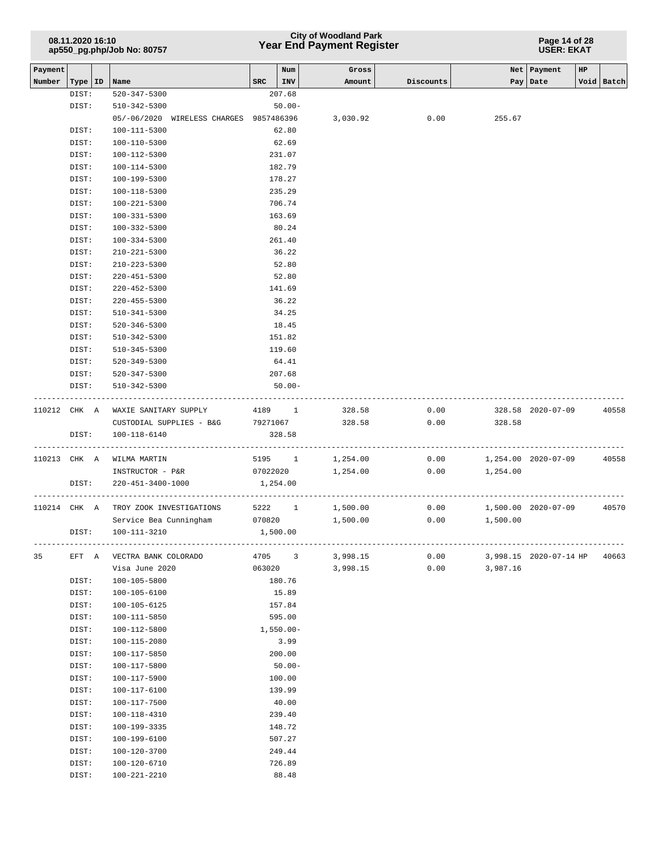## **Year End Payment Register City of Woodland Park 08.11.2020 16:10**

**Page 14 of 28 USER: EKAT**

| Payment |              |                                              |                | Num            | Gross             |              |          | Net   Payment          | HP |            |
|---------|--------------|----------------------------------------------|----------------|----------------|-------------------|--------------|----------|------------------------|----|------------|
| Number  | Type   ID    | Name                                         | SRC            | INV            | Amount            | Discounts    |          | Pay   Date             |    | Void Batch |
|         | DIST:        | 520-347-5300                                 |                | 207.68         |                   |              |          |                        |    |            |
|         | DIST:        | 510-342-5300<br>05/-06/2020 WIRELESS CHARGES |                | $50.00 -$      |                   |              | 255.67   |                        |    |            |
|         | DIST:        | 100-111-5300                                 | 9857486396     |                | 3,030.92          | 0.00         |          |                        |    |            |
|         | DIST:        | 100-110-5300                                 |                | 62.80<br>62.69 |                   |              |          |                        |    |            |
|         | DIST:        | 100-112-5300                                 |                | 231.07         |                   |              |          |                        |    |            |
|         | DIST:        | 100-114-5300                                 |                | 182.79         |                   |              |          |                        |    |            |
|         | DIST:        | 100-199-5300                                 |                | 178.27         |                   |              |          |                        |    |            |
|         | DIST:        | 100-118-5300                                 |                | 235.29         |                   |              |          |                        |    |            |
|         | DIST:        | 100-221-5300                                 |                | 706.74         |                   |              |          |                        |    |            |
|         | DIST:        | $100 - 331 - 5300$                           |                | 163.69         |                   |              |          |                        |    |            |
|         | DIST:        | 100-332-5300                                 |                | 80.24          |                   |              |          |                        |    |            |
|         | DIST:        | $100 - 334 - 5300$                           |                | 261.40         |                   |              |          |                        |    |            |
|         | DIST:        | 210-221-5300                                 |                | 36.22          |                   |              |          |                        |    |            |
|         | DIST:        | 210-223-5300                                 |                | 52.80          |                   |              |          |                        |    |            |
|         | DIST:        | $220 - 451 - 5300$                           |                | 52.80          |                   |              |          |                        |    |            |
|         | DIST:        | $220 - 452 - 5300$                           |                | 141.69         |                   |              |          |                        |    |            |
|         | DIST:        | $220 - 455 - 5300$                           |                | 36.22          |                   |              |          |                        |    |            |
|         | DIST:        | 510-341-5300                                 |                | 34.25          |                   |              |          |                        |    |            |
|         | DIST:        | $520 - 346 - 5300$                           |                | 18.45          |                   |              |          |                        |    |            |
|         | DIST:        | 510-342-5300                                 |                | 151.82         |                   |              |          |                        |    |            |
|         | DIST:        | 510-345-5300                                 |                | 119.60         |                   |              |          |                        |    |            |
|         | DIST:        | 520-349-5300                                 |                | 64.41          |                   |              |          |                        |    |            |
|         | DIST:        | 520-347-5300                                 |                | 207.68         |                   |              |          |                        |    |            |
|         | DIST:        | 510-342-5300                                 |                | $50.00 -$      |                   |              |          |                        |    |            |
|         | 110212 CHK A | WAXIE SANITARY SUPPLY                        |                | 4189 1         | 328.58            | 0.00         |          | 328.58 2020-07-09      |    | 40558      |
|         |              | CUSTODIAL SUPPLIES - B&G 79271067            |                |                | 328.58            | 0.00         | 328.58   |                        |    |            |
|         | DIST:        | 100-118-6140                                 |                | 328.58         |                   |              |          |                        |    |            |
|         |              | -----------                                  |                |                | ----------------- |              |          |                        |    |            |
|         |              | 110213 CHK A WILMA MARTIN                    |                | 5195 1         | 1,254.00          | 0.00         |          | 1,254.00 2020-07-09    |    | 40558      |
|         |              | INSTRUCTOR - P&R                             | 07022020       |                | 1,254.00          | 0.00         | 1,254.00 |                        |    |            |
|         | DIST:        | 220-451-3400-1000                            |                | 1,254.00       |                   |              |          |                        |    |            |
|         |              |                                              |                |                |                   |              |          |                        |    |            |
|         | 110214 CHK A | TROY ZOOK INVESTIGATIONS                     |                | 5222 1         | 1,500.00          | 0.00         |          | 1,500.00 2020-07-09    |    | 40570      |
|         |              | Service Bea Cunningham                       | 070820         |                | 1,500.00          | 0.00         | 1,500.00 |                        |    |            |
|         | DIST:        | 100-111-3210                                 |                | 1,500.00       |                   |              |          |                        |    |            |
|         |              |                                              |                |                | 3,998.15          |              |          |                        |    |            |
| 35      | EFT A        | VECTRA BANK COLORADO<br>Visa June 2020       | 4705<br>063020 | $\overline{3}$ | 3,998.15          | 0.00<br>0.00 | 3,987.16 | 3,998.15 2020-07-14 HP |    | 40663      |
|         | DIST:        | 100-105-5800                                 |                | 180.76         |                   |              |          |                        |    |            |
|         | DIST:        | 100-105-6100                                 |                | 15.89          |                   |              |          |                        |    |            |
|         | DIST:        | 100-105-6125                                 |                | 157.84         |                   |              |          |                        |    |            |
|         | DIST:        | 100-111-5850                                 |                | 595.00         |                   |              |          |                        |    |            |
|         | DIST:        | 100-112-5800                                 |                | $1,550.00 -$   |                   |              |          |                        |    |            |
|         | DIST:        | $100 - 115 - 2080$                           |                | 3.99           |                   |              |          |                        |    |            |
|         | DIST:        | 100-117-5850                                 |                | 200.00         |                   |              |          |                        |    |            |
|         | DIST:        | 100-117-5800                                 |                | $50.00 -$      |                   |              |          |                        |    |            |
|         | DIST:        | 100-117-5900                                 |                | 100.00         |                   |              |          |                        |    |            |
|         | DIST:        | 100-117-6100                                 |                | 139.99         |                   |              |          |                        |    |            |
|         | DIST:        | 100-117-7500                                 |                | 40.00          |                   |              |          |                        |    |            |
|         | DIST:        | 100-118-4310                                 |                | 239.40         |                   |              |          |                        |    |            |
|         | DIST:        | 100-199-3335                                 |                | 148.72         |                   |              |          |                        |    |            |
|         | DIST:        | 100-199-6100                                 |                | 507.27         |                   |              |          |                        |    |            |
|         | DIST:        | 100-120-3700                                 |                | 249.44         |                   |              |          |                        |    |            |
|         | DIST:        | 100-120-6710                                 |                | 726.89         |                   |              |          |                        |    |            |
|         | DIST:        | 100-221-2210                                 |                | 88.48          |                   |              |          |                        |    |            |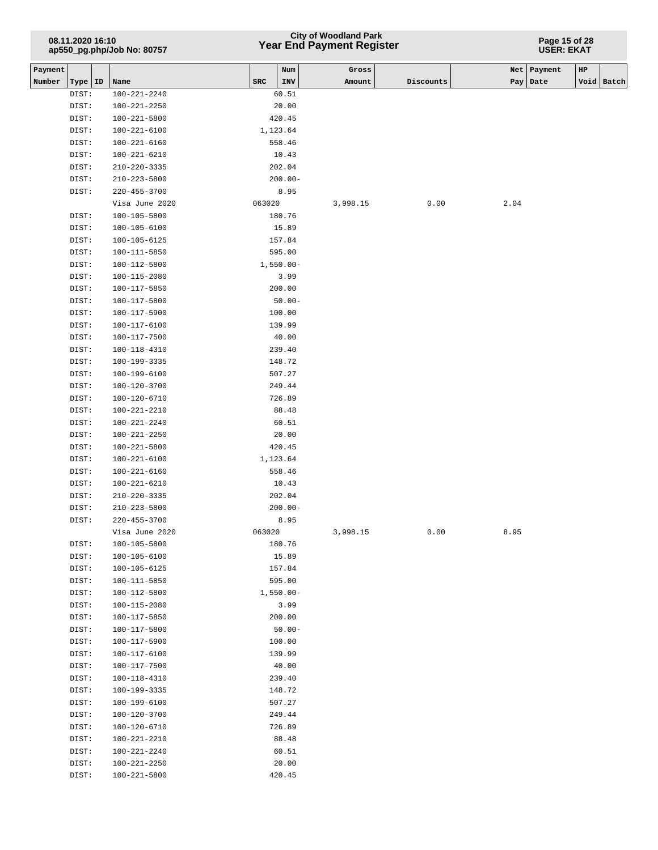## **Year End Payment Register City of Woodland Park 08.11.2020 16:10**

#### **Page 15 of 28 USER: EKAT**

| Payment             |                              |            | Num            | Gross    |           |      | Net   Payment | HP |            |
|---------------------|------------------------------|------------|----------------|----------|-----------|------|---------------|----|------------|
| Number<br>Type   ID | Name                         | <b>SRC</b> | INV            | Amount   | Discounts |      | Pay   Date    |    | Void Batch |
| DIST:               | $100 - 221 - 2240$           |            | 60.51          |          |           |      |               |    |            |
| DIST:               | 100-221-2250                 |            | 20.00          |          |           |      |               |    |            |
| DIST:               | $100 - 221 - 5800$           |            | 420.45         |          |           |      |               |    |            |
| DIST:               | $100 - 221 - 6100$           | 1,123.64   |                |          |           |      |               |    |            |
| DIST:               | $100 - 221 - 6160$           |            | 558.46         |          |           |      |               |    |            |
| DIST:               | 100-221-6210                 |            | 10.43          |          |           |      |               |    |            |
| DIST:               | $210 - 220 - 3335$           |            | 202.04         |          |           |      |               |    |            |
| DIST:               | $210 - 223 - 5800$           |            | $200.00 -$     |          |           |      |               |    |            |
| DIST:               | $220 - 455 - 3700$           |            | 8.95           |          |           |      |               |    |            |
|                     | Visa June 2020               | 063020     |                | 3,998.15 | 0.00      | 2.04 |               |    |            |
| DIST:               | 100-105-5800                 |            | 180.76         |          |           |      |               |    |            |
| DIST:               | $100 - 105 - 6100$           |            | 15.89          |          |           |      |               |    |            |
| DIST:               | 100-105-6125                 |            | 157.84         |          |           |      |               |    |            |
| DIST:               | 100-111-5850                 |            | 595.00         |          |           |      |               |    |            |
| DIST:               | 100-112-5800                 |            | $1,550.00 -$   |          |           |      |               |    |            |
| DIST:               | 100-115-2080                 |            | 3.99           |          |           |      |               |    |            |
| DIST:               | 100-117-5850                 |            | 200.00         |          |           |      |               |    |            |
| DIST:               | 100-117-5800                 |            | $50.00 -$      |          |           |      |               |    |            |
| DIST:               | 100-117-5900                 |            | 100.00         |          |           |      |               |    |            |
| DIST:               | 100-117-6100                 |            | 139.99         |          |           |      |               |    |            |
| DIST:               | 100-117-7500                 |            | 40.00          |          |           |      |               |    |            |
| DIST:               | 100-118-4310                 |            | 239.40         |          |           |      |               |    |            |
| DIST:               | 100-199-3335                 |            | 148.72         |          |           |      |               |    |            |
| DIST:               | 100-199-6100                 |            | 507.27         |          |           |      |               |    |            |
| DIST:               | 100-120-3700                 |            | 249.44         |          |           |      |               |    |            |
| DIST:               | 100-120-6710                 |            | 726.89         |          |           |      |               |    |            |
| DIST:               | 100-221-2210                 |            | 88.48          |          |           |      |               |    |            |
| DIST:<br>DIST:      | 100-221-2240<br>100-221-2250 |            | 60.51<br>20.00 |          |           |      |               |    |            |
| DIST:               | 100-221-5800                 |            | 420.45         |          |           |      |               |    |            |
| DIST:               | 100-221-6100                 | 1,123.64   |                |          |           |      |               |    |            |
| DIST:               | 100-221-6160                 |            | 558.46         |          |           |      |               |    |            |
| DIST:               | 100-221-6210                 |            | 10.43          |          |           |      |               |    |            |
| DIST:               | $210 - 220 - 3335$           |            | 202.04         |          |           |      |               |    |            |
| DIST:               | $210 - 223 - 5800$           |            | $200.00 -$     |          |           |      |               |    |            |
| DIST:               | $220 - 455 - 3700$           |            | 8.95           |          |           |      |               |    |            |
|                     | Visa June 2020               | 063020     |                | 3,998.15 | 0.00      | 8.95 |               |    |            |
| DIST:               | 100-105-5800                 |            | 180.76         |          |           |      |               |    |            |
| DIST:               | 100-105-6100                 |            | 15.89          |          |           |      |               |    |            |
| DIST:               | 100-105-6125                 |            | 157.84         |          |           |      |               |    |            |
| DIST:               | $100 - 111 - 5850$           |            | 595.00         |          |           |      |               |    |            |
| DIST:               | 100-112-5800                 |            | $1,550.00 -$   |          |           |      |               |    |            |
| DIST:               | 100-115-2080                 |            | 3.99           |          |           |      |               |    |            |
| DIST:               | 100-117-5850                 |            | 200.00         |          |           |      |               |    |            |
| DIST:               | 100-117-5800                 |            | $50.00 -$      |          |           |      |               |    |            |
| DIST:               | 100-117-5900                 |            | 100.00         |          |           |      |               |    |            |
| DIST:               | $100 - 117 - 6100$           |            | 139.99         |          |           |      |               |    |            |
| DIST:               | 100-117-7500                 |            | 40.00          |          |           |      |               |    |            |
| DIST:               | 100-118-4310                 |            | 239.40         |          |           |      |               |    |            |
| DIST:               | 100-199-3335                 |            | 148.72         |          |           |      |               |    |            |
| DIST:               | 100-199-6100                 |            | 507.27         |          |           |      |               |    |            |
| DIST:               | 100-120-3700                 |            | 249.44         |          |           |      |               |    |            |
| DIST:               | 100-120-6710                 |            | 726.89         |          |           |      |               |    |            |
| DIST:               | 100-221-2210                 |            | 88.48          |          |           |      |               |    |            |
| DIST:               | 100-221-2240                 |            | 60.51          |          |           |      |               |    |            |
| DIST:               | 100-221-2250                 |            | 20.00          |          |           |      |               |    |            |
| DIST:               | 100-221-5800                 |            | 420.45         |          |           |      |               |    |            |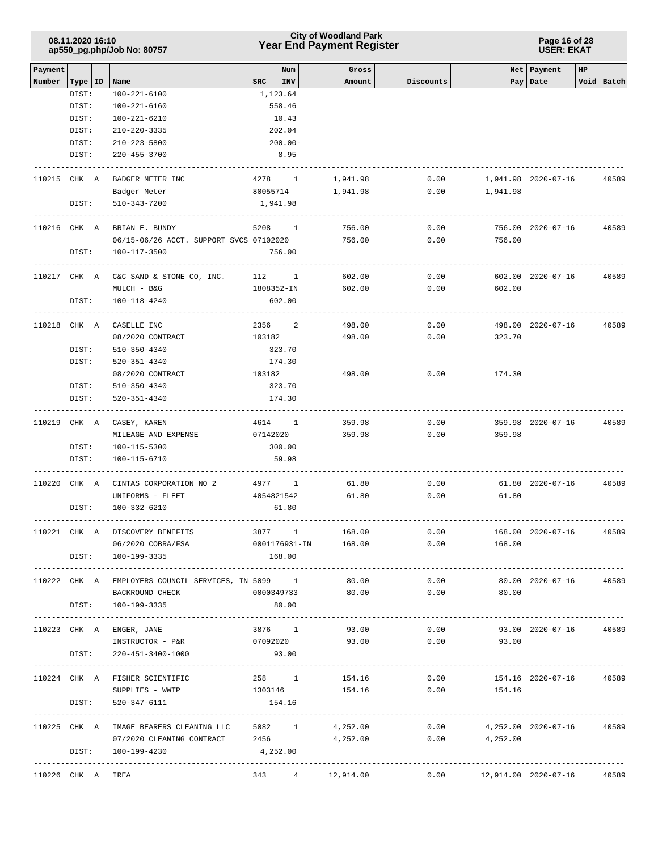### **Year End Payment Register City of Woodland Park 08.11.2020 16:10**

#### **Page 16 of 28 USER: EKAT**

| Payment           |       |                                                             |                         | Num | Gross                |           |                                   | Net   Payment             | HP |                 |
|-------------------|-------|-------------------------------------------------------------|-------------------------|-----|----------------------|-----------|-----------------------------------|---------------------------|----|-----------------|
| Number            |       | Type   ID   Name                                            | $ $ INV<br>$_{\rm SRC}$ |     | Amount               | Discounts |                                   | Pay   Date                |    | Void Batch      |
|                   | DIST: | 100-221-6100                                                | 1,123.64                |     |                      |           |                                   |                           |    |                 |
|                   | DIST: | 100-221-6160                                                | 558.46                  |     |                      |           |                                   |                           |    |                 |
|                   | DIST: | 100-221-6210                                                | 10.43                   |     |                      |           |                                   |                           |    |                 |
|                   | DIST: | 210-220-3335                                                | 202.04                  |     |                      |           |                                   |                           |    |                 |
|                   | DIST: | 210-223-5800                                                | $200.00 -$              |     |                      |           |                                   |                           |    |                 |
|                   | DIST: | 220-455-3700                                                | 8.95                    |     |                      |           |                                   |                           |    |                 |
| 110215 CHK A      |       | BADGER METER INC                                            | 4278 1                  |     | 1,941.98             | 0.00      |                                   | 1,941.98 2020-07-16       |    | 40589           |
|                   |       | Badger Meter                                                | 80055714                |     | 1,941.98             | 0.00      | 1,941.98                          |                           |    |                 |
|                   | DIST: | 510-343-7200                                                | 1,941.98                |     |                      |           |                                   |                           |    |                 |
| 110216 CHK A      |       | BRIAN E. BUNDY                                              | 5208 1                  |     | 756.00               | 0.00      |                                   | 756.00 2020-07-16         |    | 40589           |
|                   |       | 06/15-06/26 ACCT. SUPPORT SVCS 07102020 756.00              |                         |     |                      | 0.00      | 756.00                            |                           |    |                 |
|                   | DIST: | 100-117-3500                                                | 756.00                  |     |                      |           |                                   |                           |    |                 |
|                   |       |                                                             |                         |     |                      |           |                                   |                           |    |                 |
| 110217 CHK A      |       | C&C SAND & STONE CO, INC.                                   | 112 1                   |     | 602.00               | 0.00      |                                   | 602.00 2020-07-16         |    | 40589           |
|                   |       | $MULCH - B&G$                                               | 1808352-IN              |     | 602.00               | 0.00      | 602.00                            |                           |    |                 |
|                   | DIST: | 100-118-4240                                                | 602.00                  |     |                      |           |                                   |                           |    |                 |
| 110218 CHK A      |       | CASELLE INC                                                 | 2356                    | 2   | 498.00               | 0.00      |                                   | 498.00 2020-07-16         |    | 40589           |
|                   |       | 08/2020 CONTRACT                                            | 103182                  |     | 498.00               | 0.00      | 323.70                            |                           |    |                 |
|                   | DIST: | 510-350-4340                                                | 323.70                  |     |                      |           |                                   |                           |    |                 |
|                   | DIST: | 520-351-4340                                                | 174.30                  |     |                      |           |                                   |                           |    |                 |
|                   |       | 08/2020 CONTRACT                                            | 103182                  |     | 498.00               | 0.00      | 174.30                            |                           |    |                 |
|                   | DIST: | 510-350-4340                                                | 323.70                  |     |                      |           |                                   |                           |    |                 |
|                   | DIST: | 520-351-4340                                                | 174.30                  |     |                      |           |                                   |                           |    |                 |
|                   |       |                                                             |                         |     |                      |           |                                   |                           |    |                 |
| 110219 CHK A      |       | CASEY, KAREN                                                | 4614 1                  |     | 359.98               | 0.00      |                                   | 359.98 2020-07-16         |    | 40589           |
|                   |       | MILEAGE AND EXPENSE                                         | 07142020                |     | 359.98               | 0.00      | 359.98                            |                           |    |                 |
|                   | DIST: | 100-115-5300                                                | 300.00                  |     |                      |           |                                   |                           |    |                 |
|                   | DIST: | 100-115-6710                                                | 59.98                   |     |                      |           |                                   |                           |    |                 |
| 110220 CHK A      |       | CINTAS CORPORATION NO 2                                     | 4977 1                  |     | 61.80                | 0.00      |                                   | 61.80 2020-07-16          |    | 40589           |
|                   |       | UNIFORMS - FLEET                                            | 4054821542              |     | 61.80                | 0.00      | 61.80                             |                           |    |                 |
|                   | DIST: | 100-332-6210                                                | 61.80                   |     |                      |           |                                   |                           |    |                 |
| 110221 CHK A      |       | DISCOVERY BENEFITS                                          | 3877 1                  |     | 168.00               | 0.00      |                                   | 168.00 2020-07-16         |    | 40589           |
|                   |       | 06/2020 COBRA/FSA                                           |                         |     | 0001176931-IN 168.00 |           | $0.00$ 168.00                     |                           |    |                 |
|                   | DIST: | 100-199-3335                                                | 168.00                  |     |                      |           |                                   |                           |    |                 |
|                   |       |                                                             |                         |     |                      |           |                                   |                           |    |                 |
|                   |       | 110222 CHK A EMPLOYERS COUNCIL SERVICES, IN 5099 1          |                         |     | 80.00                | 0.00      |                                   | 80.00 2020-07-16          |    | 40589           |
|                   |       | BACKROUND CHECK                                             | 0000349733              |     | 80.00                | 0.00      | 80.00                             |                           |    |                 |
|                   | DIST: | 100-199-3335                                                | 80.00                   |     |                      |           |                                   |                           |    |                 |
|                   |       | 110223 CHK A ENGER, JANE                                    | 3876 1                  |     | 93.00                | 0.00      |                                   | 93.00 2020-07-16          |    | 40589           |
|                   |       | INSTRUCTOR - P&R                                            | 07092020                |     | 93.00                | 0.00      | 93.00                             |                           |    |                 |
|                   | DIST: | 220-451-3400-1000                                           | 93.00                   |     |                      |           |                                   |                           |    |                 |
|                   |       | 110224 CHK A FISHER SCIENTIFIC                              |                         |     | 258 1 154.16         |           | 0.00                              | 154.16 2020-07-16 40589   |    |                 |
|                   |       | SUPPLIES - WWTP                                             |                         |     | 1303146 154.16       |           | 0.00<br>154.16                    |                           |    |                 |
|                   | DIST: | 520-347-6111                                                | 154.16                  |     |                      |           |                                   |                           |    |                 |
|                   |       |                                                             |                         |     |                      |           |                                   |                           |    | --------------- |
|                   |       | 110225 CHK A IMAGE BEARERS CLEANING LLC 5082 1              |                         |     | 4,252.00             | 0.00      |                                   | 4,252.00 2020-07-16 40589 |    |                 |
|                   |       | 07/2020 CLEANING CONTRACT                                   | 2456                    |     | 4,252.00             | 0.00      | 4,252.00                          |                           |    |                 |
|                   |       | DIST: 100-199-4230<br>------------------------------------- | 4,252.00                |     |                      |           |                                   |                           |    |                 |
| 110226 CHK A IREA |       |                                                             |                         |     | 343 4 12,914.00      |           | $0.00$ 12,914.00 2020-07-16 40589 |                           |    |                 |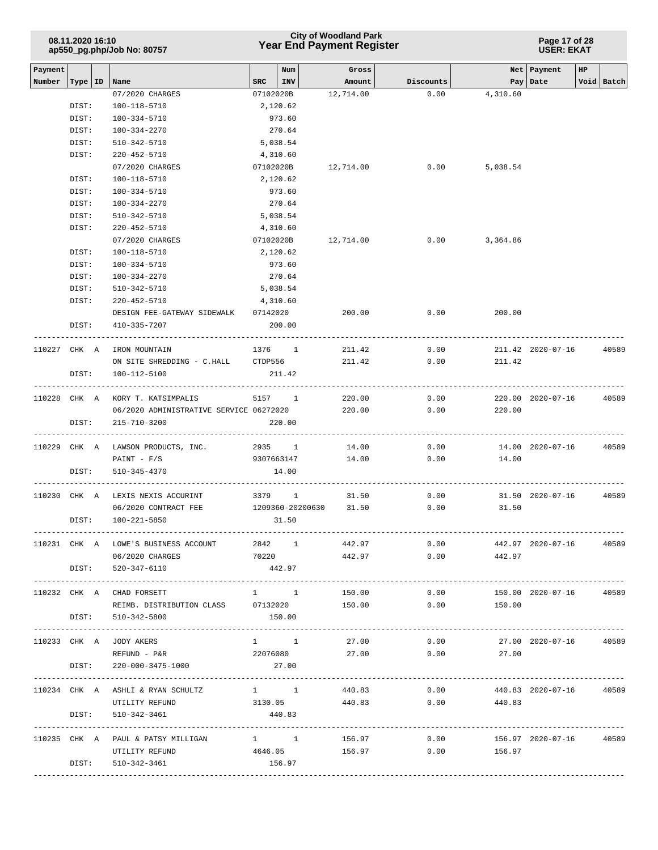|         | 08.11.2020 16:10 | ap550_pg.php/Job No: 80757                         |        |                  | <b>City of Woodland Park</b><br><b>Year End Payment Register</b> |                    |                         | Page 17 of 28<br><b>USER: EKAT</b> |                         |  |
|---------|------------------|----------------------------------------------------|--------|------------------|------------------------------------------------------------------|--------------------|-------------------------|------------------------------------|-------------------------|--|
| Payment |                  |                                                    |        | Num              | Gross                                                            |                    |                         | Net Payment                        | HP                      |  |
| Number  | Type   ID        | Name                                               | SRC    | INV              | Amount                                                           | Discounts          |                         | Pay   Date                         | Void Batch              |  |
|         |                  | 07/2020 CHARGES                                    |        | 07102020B        | 12,714.00                                                        | 0.00               | 4,310.60                |                                    |                         |  |
|         | DIST:            | 100-118-5710                                       |        | 2,120.62         |                                                                  |                    |                         |                                    |                         |  |
|         | DIST:            | 100-334-5710                                       |        | 973.60           |                                                                  |                    |                         |                                    |                         |  |
|         | DIST:            | 100-334-2270                                       |        | 270.64           |                                                                  |                    |                         |                                    |                         |  |
|         | DIST:            | 510-342-5710                                       |        | 5,038.54         |                                                                  |                    |                         |                                    |                         |  |
|         | DIST:            | 220-452-5710                                       |        | 4,310.60         |                                                                  |                    |                         |                                    |                         |  |
|         |                  | 07/2020 CHARGES                                    |        | 07102020B        | 12,714.00                                                        | 0.00               | 5,038.54                |                                    |                         |  |
|         | DIST:            | 100-118-5710                                       |        | 2,120.62         |                                                                  |                    |                         |                                    |                         |  |
|         | DIST:            | 100-334-5710                                       |        | 973.60           |                                                                  |                    |                         |                                    |                         |  |
|         | DIST:            | 100-334-2270                                       |        | 270.64           |                                                                  |                    |                         |                                    |                         |  |
|         | DIST:            | 510-342-5710                                       |        | 5,038.54         |                                                                  |                    |                         |                                    |                         |  |
|         | DIST:            | 220-452-5710                                       |        | 4,310.60         |                                                                  |                    |                         |                                    |                         |  |
|         |                  | 07/2020 CHARGES                                    |        | 07102020B        | 12,714.00                                                        | 0.00               | 3,364.86                |                                    |                         |  |
|         | DIST:            | 100-118-5710                                       |        | 2,120.62         |                                                                  |                    |                         |                                    |                         |  |
|         | DIST:            | 100-334-5710                                       |        | 973.60           |                                                                  |                    |                         |                                    |                         |  |
|         | DIST:            | 100-334-2270                                       |        | 270.64           |                                                                  |                    |                         |                                    |                         |  |
|         | DIST:            | 510-342-5710                                       |        | 5,038.54         |                                                                  |                    |                         |                                    |                         |  |
|         | DIST:            | 220-452-5710                                       |        | 4,310.60         |                                                                  |                    |                         |                                    |                         |  |
|         |                  | DESIGN FEE-GATEWAY SIDEWALK 07142020               |        |                  | 200.00                                                           | 0.00               | 200.00                  |                                    |                         |  |
|         | DIST:            | 410-335-7207                                       |        | 200.00           |                                                                  |                    |                         |                                    |                         |  |
|         | 110227 CHK A     | IRON MOUNTAIN                                      |        | 1376 1           | 211.42                                                           | 0.00               |                         | 211.42 2020-07-16                  | 40589                   |  |
|         |                  | ON SITE SHREDDING - C.HALL CTDP556                 |        |                  | 211.42                                                           | 0.00               | 211.42                  |                                    |                         |  |
|         | DIST:            | 100-112-5100                                       |        | 211.42           |                                                                  |                    |                         |                                    |                         |  |
|         |                  | 110228 CHK A KORY T. KATSIMPALIS                   |        | 5157 1           | 220.00                                                           | 0.00               |                         |                                    | 220.00 2020-07-16 40589 |  |
|         |                  | 06/2020 ADMINISTRATIVE SERVICE 06272020            |        |                  | 220.00                                                           | 0.00               | 220.00                  |                                    |                         |  |
|         | DIST:            | 215-710-3200                                       |        | 220.00           |                                                                  |                    |                         |                                    |                         |  |
|         |                  | 110229 CHK A LAWSON PRODUCTS, INC. 2935 1          |        |                  | 14.00                                                            | 0.00               |                         | 14.00 2020-07-16                   | 40589                   |  |
|         |                  | PAINT - F/S                                        |        | 9307663147       | 14.00                                                            | 0.00               | 14.00                   |                                    |                         |  |
|         | DIST:            | 510-345-4370                                       |        | 14.00            |                                                                  |                    |                         |                                    |                         |  |
|         |                  | 110230 CHK A LEXIS NEXIS ACCURINT                  | 3379 1 |                  | 31.50                                                            | 0.00               |                         | 31.50 2020-07-16                   | 40589                   |  |
|         |                  | 06/2020 CONTRACT FEE                               |        | 1209360-20200630 | 31.50                                                            | 0.00               | 31.50                   |                                    |                         |  |
|         | DIST:            | 100-221-5850                                       |        | 31.50            |                                                                  |                    |                         |                                    |                         |  |
|         |                  | 110231 CHK A LOWE'S BUSINESS ACCOUNT 2842 1 442.97 |        |                  |                                                                  | 0.00               | 442.97 2020-07-16 40589 |                                    |                         |  |
|         |                  | 06/2020 CHARGES                                    |        |                  | 70220 442.97                                                     |                    | $0.00$ 442.97           |                                    |                         |  |
|         |                  | DIST: 520-347-6110                                 |        | 442.97           |                                                                  |                    |                         |                                    |                         |  |
|         |                  | 110232 CHK A CHAD FORSETT                          |        | $1 \quad 1$      | 150.00                                                           | 0.00               |                         |                                    | 150.00 2020-07-16 40589 |  |
|         |                  | REIMB. DISTRIBUTION CLASS 07132020                 |        |                  | 150.00                                                           | 0.00               | 150.00                  |                                    |                         |  |
|         |                  | DIST: 510-342-5800                                 |        | 150.00           |                                                                  |                    |                         |                                    |                         |  |
|         |                  | 110233 CHK A JODY AKERS                            |        | $1 \quad 1$      | 27.00                                                            | 0.00               |                         |                                    | 27.00 2020-07-16 40589  |  |
|         |                  | REFUND - P&R                                       |        | 22076080         | 27.00                                                            |                    | $0.00$ 27.00            |                                    |                         |  |
|         |                  | DIST: 220-000-3475-1000                            |        | 27.00            |                                                                  |                    |                         |                                    |                         |  |
|         |                  | 110234 CHK A ASHLI & RYAN SCHULTZ                  |        | $1 \quad 1$      | 440.83                                                           | 0.00               |                         |                                    | 440.83 2020-07-16 40589 |  |
|         |                  | UTILITY REFUND                                     |        | 3130.05          |                                                                  | 440.83 0.00 440.83 |                         |                                    |                         |  |
|         |                  | DIST: 510-342-3461                                 |        | 440.83           |                                                                  |                    |                         |                                    |                         |  |
|         |                  | 110235 CHK A PAUL & PATSY MILLIGAN 1 1 1           |        |                  | 156.97                                                           | 0.00               |                         |                                    | 156.97 2020-07-16 40589 |  |
|         |                  | UTILITY REFUND                                     |        |                  | 4646.05 156.97                                                   |                    | $0.00$ 156.97           |                                    |                         |  |
|         |                  | DIST: 510-342-3461                                 |        | 156.97           |                                                                  |                    |                         |                                    |                         |  |
|         |                  |                                                    |        |                  |                                                                  |                    |                         |                                    |                         |  |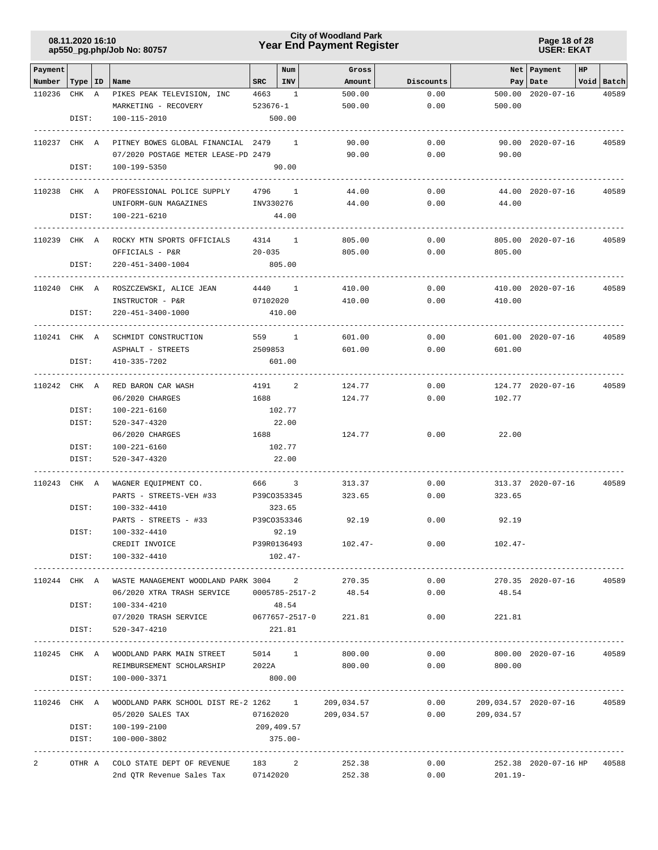### **Year End Payment Register City of Woodland Park 08.11.2020 16:10**

**Page 18 of 28 USER: EKAT**

|                    |              |                                                      |              |                |            |           |                        |                      | HP |            |
|--------------------|--------------|------------------------------------------------------|--------------|----------------|------------|-----------|------------------------|----------------------|----|------------|
| Payment            |              |                                                      |              | Num            | Gross      |           |                        | Net   Payment        |    |            |
| Number   Type   ID |              | Name                                                 | $_{\rm SRC}$ | INV            | Amount     | Discounts |                        | Pay   Date           |    | Void Batch |
| 110236             | CHK A        | PIKES PEAK TELEVISION, INC                           | 4663         | $\overline{1}$ | 500.00     | 0.00      | 500.00                 | 2020-07-16           |    | 40589      |
|                    |              | MARKETING - RECOVERY                                 | 523676-1     |                | 500.00     | 0.00      | 500.00                 |                      |    |            |
|                    | DIST:        | 100-115-2010                                         |              | 500.00         |            |           |                        |                      |    |            |
|                    |              |                                                      |              |                |            |           |                        |                      |    |            |
| 110237 CHK A       |              | PITNEY BOWES GLOBAL FINANCIAL 2479 1                 |              |                | 90.00      | 0.00      |                        | 90.00 2020-07-16     |    | 40589      |
|                    |              | 07/2020 POSTAGE METER LEASE-PD 2479                  |              |                | 90.00      | 0.00      | 90.00                  |                      |    |            |
|                    | DIST:        | 100-199-5350                                         |              | 90.00          |            |           |                        |                      |    |            |
|                    |              |                                                      |              |                |            |           |                        |                      |    |            |
| 110238 CHK A       |              | PROFESSIONAL POLICE SUPPLY                           | 4796 1       |                | 44.00      | 0.00      |                        | 44.00 2020-07-16     |    | 40589      |
|                    |              | UNIFORM-GUN MAGAZINES                                | INV330276    |                | 44.00      | 0.00      | 44.00                  |                      |    |            |
|                    | DIST:        | 100-221-6210                                         |              | 44.00          |            |           |                        |                      |    |            |
|                    |              |                                                      |              |                |            |           |                        |                      |    |            |
| 110239 CHK A       |              | ROCKY MTN SPORTS OFFICIALS                           | 4314 1       |                | 805.00     | 0.00      |                        | 805.00 2020-07-16    |    | 40589      |
|                    |              | OFFICIALS - P&R                                      | $20 - 035$   |                | 805.00     | 0.00      | 805.00                 |                      |    |            |
|                    | DIST:        | 220-451-3400-1004                                    |              | 805.00         |            |           |                        |                      |    |            |
|                    |              |                                                      |              |                |            |           |                        |                      |    |            |
| 110240 CHK A       |              | ROSZCZEWSKI, ALICE JEAN                              | 4440 1       |                | 410.00     | 0.00      |                        | 410.00 2020-07-16    |    | 40589      |
|                    |              | INSTRUCTOR - P&R                                     | 07102020     |                | 410.00     | 0.00      | 410.00                 |                      |    |            |
|                    | DIST:        | 220-451-3400-1000                                    |              | 410.00         |            |           |                        |                      |    |            |
|                    |              |                                                      |              |                |            |           |                        |                      |    |            |
| 110241 CHK A       |              | SCHMIDT CONSTRUCTION                                 | 559 1        |                | 601.00     | 0.00      |                        | 601.00 2020-07-16    |    | 40589      |
|                    |              | ASPHALT - STREETS                                    | 2509853      |                | 601.00     | 0.00      | 601.00                 |                      |    |            |
|                    | DIST:        | 410-335-7202                                         |              | 601.00         |            |           |                        |                      |    |            |
|                    |              |                                                      |              |                |            |           |                        |                      |    |            |
| 110242 CHK A       |              | RED BARON CAR WASH                                   | 4191 2       |                | 124.77     | 0.00      |                        | 124.77 2020-07-16    |    | 40589      |
|                    |              | 06/2020 CHARGES                                      | 1688         |                | 124.77     | 0.00      | 102.77                 |                      |    |            |
|                    | DIST:        | 100-221-6160                                         |              | 102.77         |            |           |                        |                      |    |            |
|                    | DIST:        | 520-347-4320                                         |              | 22.00          |            |           |                        |                      |    |            |
|                    |              | 06/2020 CHARGES                                      |              |                | 124.77     | 0.00      | 22.00                  |                      |    |            |
|                    | DIST:        | 100-221-6160                                         |              | 102.77         |            |           |                        |                      |    |            |
|                    | DIST:        | 520-347-4320                                         |              | 22.00          |            |           |                        |                      |    |            |
|                    |              |                                                      |              |                |            |           |                        |                      |    |            |
| 110243             | CHK A        | WAGNER EQUIPMENT CO.                                 | 666 3        |                | 313.37     | 0.00      |                        | 313.37 2020-07-16    |    | 40589      |
|                    |              | PARTS - STREETS-VEH #33                              | P39CO353345  |                | 323.65     | 0.00      | 323.65                 |                      |    |            |
|                    | DIST:        | 100-332-4410                                         |              | 323.65         |            |           |                        |                      |    |            |
|                    |              | PARTS - STREETS - #33                                | P39CO353346  |                | 92.19      | 0.00      | 92.19                  |                      |    |            |
|                    | DIST:        | 100-332-4410                                         |              | 92.19          |            |           |                        |                      |    |            |
|                    |              | CREDIT INVOICE                                       |              | P39R0136493    | $102.47-$  | 0.00      | 102.47-                |                      |    |            |
|                    |              | DIST: 100-332-4410                                   |              | 102.47-        |            |           |                        |                      |    |            |
|                    |              |                                                      |              |                |            |           |                        |                      |    |            |
|                    |              | 110244 CHK A WASTE MANAGEMENT WOODLAND PARK 3004 2   |              |                | 270.35     | 0.00      |                        | 270.35 2020-07-16    |    | 40589      |
|                    |              | 06/2020 XTRA TRASH SERVICE 0005785-2517-2            |              |                | 48.54      | 0.00      | 48.54                  |                      |    |            |
|                    | DIST:        | 100-334-4210                                         |              | 48.54          |            |           |                        |                      |    |            |
|                    |              | 07/2020 TRASH SERVICE 0677657-2517-0 221.81          |              |                |            | 0.00      | 221.81                 |                      |    |            |
|                    | DIST:        | 520-347-4210                                         |              | 221.81         |            |           |                        |                      |    |            |
|                    |              |                                                      |              |                |            |           | ---------------------- |                      |    |            |
|                    |              | 110245 CHK A WOODLAND PARK MAIN STREET 5014 1 800.00 |              |                |            | 0.00      |                        | 800.00 2020-07-16    |    | 40589      |
|                    |              | REIMBURSEMENT SCHOLARSHIP 2022A 800.00               |              |                |            | 0.00      | 800.00                 |                      |    |            |
|                    | DIST:        | 100-000-3371                                         | 800.00       |                |            |           |                        |                      |    |            |
|                    | . <u>.</u> . |                                                      |              |                |            |           |                        |                      |    |            |
|                    |              | 110246 CHK A WOODLAND PARK SCHOOL DIST RE-2 1262 1   |              |                | 209,034.57 | 0.00      | 209,034.57 2020-07-16  |                      |    | 40589      |
|                    |              | 05/2020 SALES TAX                                    |              | 07162020       | 209,034.57 | 0.00      | 209,034.57             |                      |    |            |
|                    |              | DIST: 100-199-2100                                   | 209,409.57   |                |            |           |                        |                      |    |            |
|                    | DIST:        | 100-000-3802                                         |              | $375.00 -$     |            |           |                        |                      |    |            |
|                    |              |                                                      |              |                |            |           |                        |                      |    |            |
| 2                  | OTHR A       | COLO STATE DEPT OF REVENUE                           |              | 183 2          | 252.38     | 0.00      |                        | 252.38 2020-07-16 HP |    | 40588      |
|                    |              | 2nd QTR Revenue Sales Tax 07142020 252.38            |              |                |            | 0.00      | 201.19-                |                      |    |            |
|                    |              |                                                      |              |                |            |           |                        |                      |    |            |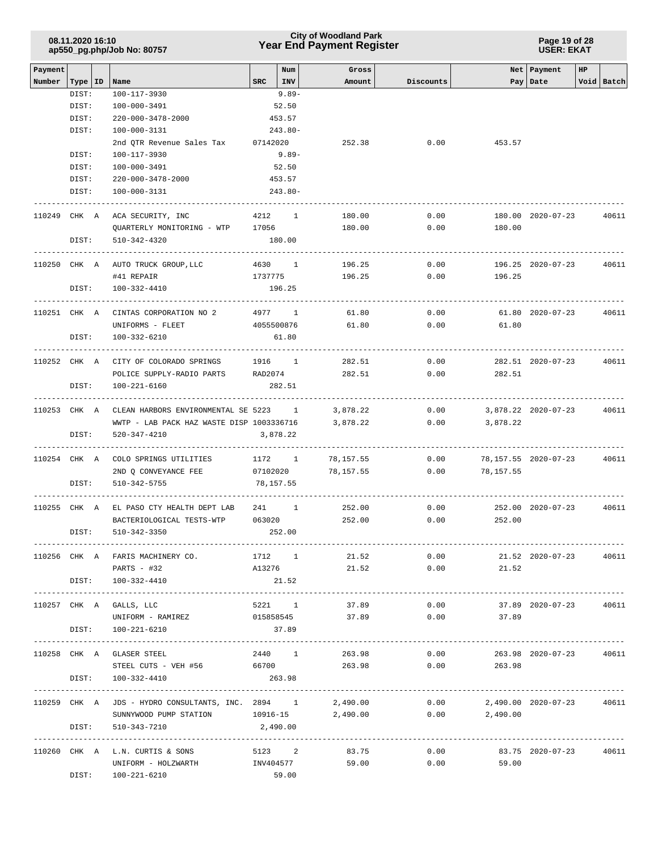| 08.11.2020 16:10           |  |
|----------------------------|--|
| ap550_pg.php/Job No: 80757 |  |

### **Year End Payment Register City of Woodland Park 08.11.2020 16:10**

#### **Page 19 of 28 USER: EKAT**

| Payment      |           |                                                                                           |              | Num        | Gross              |           |                               | Net   Payment          | HP |            |
|--------------|-----------|-------------------------------------------------------------------------------------------|--------------|------------|--------------------|-----------|-------------------------------|------------------------|----|------------|
| Number       | Type   ID | Name                                                                                      | $SRC$ $ INV$ |            | Amount             | Discounts |                               | Pay   Date             |    | Void Batch |
|              | DIST:     | 100-117-3930                                                                              |              | $9.89 -$   |                    |           |                               |                        |    |            |
|              | DIST:     | 100-000-3491                                                                              |              | 52.50      |                    |           |                               |                        |    |            |
|              | DIST:     | 220-000-3478-2000                                                                         |              | 453.57     |                    |           |                               |                        |    |            |
|              | DIST:     | 100-000-3131                                                                              |              | $243.80 -$ |                    |           |                               |                        |    |            |
|              |           | 2nd QTR Revenue Sales Tax 07142020                                                        |              |            | 252.38             | 0.00      | 453.57                        |                        |    |            |
|              | DIST:     | 100-117-3930                                                                              |              | 9.89-      |                    |           |                               |                        |    |            |
|              | DIST:     | 100-000-3491                                                                              |              | 52.50      |                    |           |                               |                        |    |            |
|              | DIST:     | 220-000-3478-2000                                                                         |              | 453.57     |                    |           |                               |                        |    |            |
|              | DIST:     | 100-000-3131                                                                              |              | $243.80 -$ |                    |           |                               |                        |    |            |
| 110249 CHK A |           | ACA SECURITY, INC<br>4212 1                                                               |              |            | 180.00             | 0.00      |                               | 180.00 2020-07-23      |    | 40611      |
|              |           | QUARTERLY MONITORING - WTP 17056                                                          |              |            | 180.00             | 0.00      | 180.00                        |                        |    |            |
|              | DIST:     | 510-342-4320                                                                              |              | 180.00     |                    |           |                               |                        |    |            |
|              |           | 110250 CHK A AUTO TRUCK GROUP, LLC                                                        | 4630 1       |            | 196.25             | 0.00      |                               | 196.25 2020-07-23      |    | 40611      |
|              |           | #41 REPAIR                                                                                | 1737775      |            | 196.25             | 0.00      | 196.25                        |                        |    |            |
|              | DIST:     | 100-332-4410                                                                              |              | 196.25     |                    |           |                               |                        |    |            |
| 110251 CHK A |           | CINTAS CORPORATION NO 2                                                                   | 4977 1       |            | 61.80              | 0.00      |                               | 61.80 2020-07-23       |    | 40611      |
|              |           | UNIFORMS - FLEET                                                                          | 4055500876   |            | 61.80              | 0.00      | 61.80                         |                        |    |            |
|              | DIST:     | 100-332-6210                                                                              |              | 61.80      |                    |           |                               |                        |    |            |
|              |           | 110252 CHK A CITY OF COLORADO SPRINGS                                                     | 1916 1       |            | 282.51             | 0.00      |                               | 282.51 2020-07-23      |    | 40611      |
|              |           | POLICE SUPPLY-RADIO PARTS RAD2074                                                         |              |            | 282.51             | 0.00      | 282.51                        |                        |    |            |
|              |           |                                                                                           |              |            |                    |           |                               |                        |    |            |
|              | DIST:     | 100-221-6160                                                                              |              | 282.51     |                    |           |                               |                        |    |            |
|              |           | 110253 CHK A CLEAN HARBORS ENVIRONMENTAL SE 5223 1                                        |              |            | 3,878.22           | 0.00      |                               | 3,878.22 2020-07-23    |    | 40611      |
|              |           | WWTP - LAB PACK HAZ WASTE DISP 1003336716                                                 |              |            | 3,878.22           | 0.00      | 3,878.22                      |                        |    |            |
|              | DIST:     | 520-347-4210                                                                              |              | 3,878.22   |                    |           |                               |                        |    |            |
| 110254 CHK A |           | COLO SPRINGS UTILITIES                                                                    | 1172 1       |            | 78,157.55          | 0.00      |                               | 78,157.55 2020-07-23   |    | 40611      |
|              |           | 2ND Q CONVEYANCE FEE                                                                      |              |            | 07102020 78,157.55 | 0.00      | 78,157.55                     |                        |    |            |
|              | DIST:     | 510-342-5755                                                                              | 78,157.55    |            |                    |           |                               |                        |    |            |
| 110255 CHK A |           | EL PASO CTY HEALTH DEPT LAB                                                               | 241 1        |            | 252.00             | 0.00      |                               | 252.00 2020-07-23      |    | 40611      |
|              |           | BACTERIOLOGICAL TESTS-WTP                                                                 | 063020       |            | 252.00             | 0.00      | 252.00                        |                        |    |            |
|              | DIST:     | 510-342-3350                                                                              |              | 252.00     |                    |           |                               |                        |    |            |
|              |           |                                                                                           |              |            |                    |           |                               |                        |    |            |
|              |           | 110256 CHK A FARIS MACHINERY CO. 1712 1 21.52                                             |              |            |                    |           | $0.00$ 21.52 2020-07-23       |                        |    | 40611      |
|              |           | PARTS $-$ #32                                                                             |              |            | A13276 21.52       |           | $0.00$ 21.52                  |                        |    |            |
|              |           | DIST: 100-332-4410                                                                        | 21.52        |            |                    |           |                               |                        |    |            |
|              |           | 110257 CHK A GALLS, LLC                                                                   | 5221 1       |            | 37.89              | 0.00      |                               | 37.89 2020-07-23 40611 |    |            |
|              |           | UNIFORM - RAMIREZ                                                                         | 015858545    |            | 37.89              |           | $0.00$ 37.89                  |                        |    |            |
|              |           | DIST: 100-221-6210                                                                        |              | 37.89      |                    |           |                               |                        |    |            |
|              |           | 110258 CHK A GLASER STEEL                                                                 |              |            | 2440 1 263.98      |           | 0.00                          | 263.98 2020-07-23      |    | 40611      |
|              |           | STEEL CUTS - VEH #56 66700 263.98 0.00                                                    |              |            |                    |           | 263.98                        |                        |    |            |
|              |           | DIST: 100-332-4410                                                                        | 263.98       |            |                    |           |                               |                        |    |            |
|              |           | 110259 CHK A JDS - HYDRO CONSULTANTS, INC. 2894 1 2,490.00 0.00 2,490.00 2020-07-23 40611 |              |            |                    |           |                               |                        |    |            |
|              |           | SUNNYWOOD PUMP STATION 10916-15 2,490.00 0.00 2,490.00                                    |              |            |                    |           |                               |                        |    |            |
|              | DIST:     | 510-343-7210                                                                              | 2,490.00     |            |                    |           |                               |                        |    |            |
|              |           |                                                                                           |              |            |                    |           |                               |                        |    |            |
|              |           | $110260$ CHK A L.N. CURTIS & SONS 5123 2                                                  |              |            | 83.75              |           | $0.00$ 83.75 2020-07-23 40611 |                        |    |            |
|              |           | UNIFORM - HOLZWARTH                                                                       | INV404577    |            | 59.00              | 0.00      | 59.00                         |                        |    |            |
|              |           | DIST: 100-221-6210                                                                        | 59.00        |            |                    |           |                               |                        |    |            |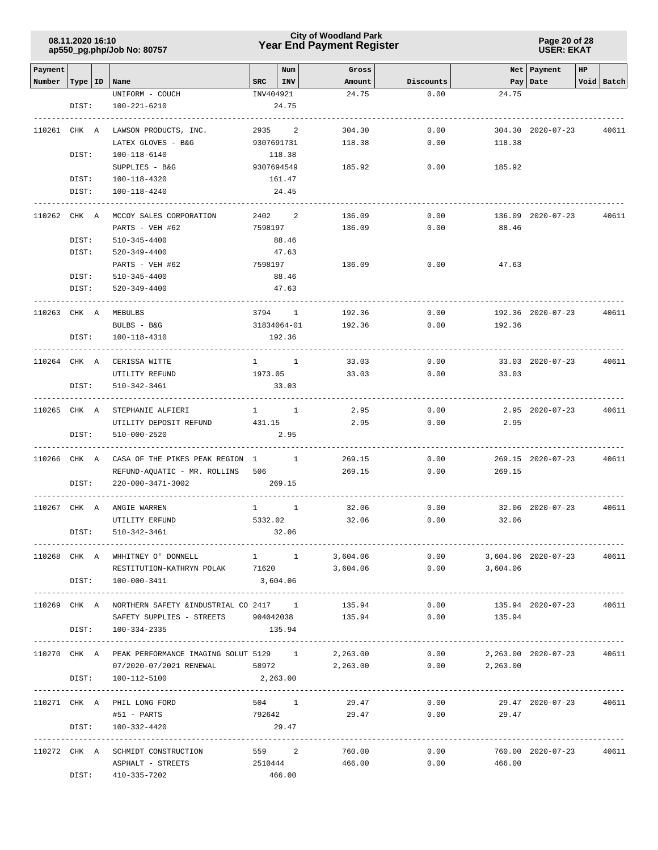### **Year End Payment Register City of Woodland Park 08.11.2020 16:10**

**Page 20 of 28 USER: EKAT**

| Payment            |       |                                                                                            |           | Num         | Gross          |              |                | Net   Payment           | HP |            |
|--------------------|-------|--------------------------------------------------------------------------------------------|-----------|-------------|----------------|--------------|----------------|-------------------------|----|------------|
| Number   Type   ID |       | Name                                                                                       | SRC       | $ $ INV     | Amount         | Discounts    |                | Pay   Date              |    | Void Batch |
|                    |       | UNIFORM - COUCH                                                                            | INV404921 |             | 24.75          | 0.00         | 24.75          |                         |    |            |
|                    | DIST: | 100-221-6210                                                                               |           | 24.75       |                |              |                |                         |    |            |
|                    |       |                                                                                            |           |             |                |              |                |                         |    |            |
| 110261 CHK A       |       | LAWSON PRODUCTS, INC.                                                                      | 2935      | 2           | 304.30         | 0.00         |                | 304.30 2020-07-23       |    | 40611      |
|                    |       | LATEX GLOVES - B&G                                                                         |           | 9307691731  | 118.38         | 0.00         | 118.38         |                         |    |            |
|                    | DIST: | 100-118-6140                                                                               |           | 118.38      |                |              |                |                         |    |            |
|                    |       | SUPPLIES - B&G                                                                             |           | 9307694549  | 185.92         | 0.00         | 185.92         |                         |    |            |
|                    | DIST: | 100-118-4320                                                                               |           | 161.47      |                |              |                |                         |    |            |
|                    | DIST: | 100-118-4240                                                                               |           | 24.45       |                |              |                |                         |    |            |
|                    |       | MCCOY SALES CORPORATION                                                                    |           |             |                |              |                |                         |    | 40611      |
| 110262 CHK A       |       |                                                                                            | 2402      | 2           | 136.09         | 0.00<br>0.00 |                | 136.09 2020-07-23       |    |            |
|                    | DIST: | PARTS - VEH #62<br>$510 - 345 - 4400$                                                      |           | 7598197     | 136.09         |              | 88.46          |                         |    |            |
|                    | DIST: |                                                                                            |           | 88.46       |                |              |                |                         |    |            |
|                    |       | 520-349-4400                                                                               | 7598197   | 47.63       | 136.09         | 0.00         | 47.63          |                         |    |            |
|                    | DIST: | PARTS - VEH #62                                                                            |           | 88.46       |                |              |                |                         |    |            |
|                    |       | $510 - 345 - 4400$<br>$520 - 349 - 4400$                                                   |           | 47.63       |                |              |                |                         |    |            |
|                    | DIST: |                                                                                            |           | ----------  |                |              |                |                         |    |            |
| 110263 CHK A       |       | MEBULBS                                                                                    |           | 3794 1      | 192.36         | 0.00         |                | 192.36 2020-07-23       |    | 40611      |
|                    |       | BULBS - B&G                                                                                |           | 31834064-01 | 192.36         | 0.00         | 192.36         |                         |    |            |
|                    | DIST: | 100-118-4310                                                                               |           | 192.36      |                |              |                |                         |    |            |
|                    |       |                                                                                            |           |             |                |              |                |                         |    |            |
| 110264 CHK A       |       | CERISSA WITTE                                                                              |           | $1 \quad 1$ | 33.03          | 0.00         |                | 33.03 2020-07-23        |    | 40611      |
|                    |       | UTILITY REFUND                                                                             | 1973.05   |             | 33.03          | 0.00         | 33.03          |                         |    |            |
|                    | DIST: | 510-342-3461                                                                               |           | 33.03       |                |              |                |                         |    |            |
|                    |       |                                                                                            |           |             |                |              |                |                         |    |            |
| 110265 CHK A       |       | STEPHANIE ALFIERI                                                                          |           | $1 \quad 1$ | 2.95           | 0.00         |                | $2.95$ $2020 - 07 - 23$ |    | 40611      |
|                    |       | UTILITY DEPOSIT REFUND<br>431.15                                                           |           |             | 2.95           | 0.00         | 2.95           |                         |    |            |
|                    | DIST: | 510-000-2520                                                                               |           | 2.95        |                |              |                |                         |    |            |
|                    |       |                                                                                            |           |             |                |              |                |                         |    |            |
| 110266 CHK A       |       | CASA OF THE PIKES PEAK REGION 1 1                                                          |           |             | 269.15         | 0.00         |                | 269.15 2020-07-23       |    | 40611      |
|                    |       | REFUND-AQUATIC - MR. ROLLINS                                                               | 506       |             | 269.15         | 0.00         | 269.15         |                         |    |            |
|                    | DIST: | 220-000-3471-3002                                                                          |           | 269.15      |                |              |                |                         |    |            |
| 110267 CHK A       |       | ANGIE WARREN                                                                               |           | $1 \quad 1$ | 32.06          | 0.00         |                | 32.06 2020-07-23        |    | 40611      |
|                    |       | UTILITY ERFUND                                                                             | 5332.02   |             | 32.06          | 0.00         | 32.06          |                         |    |            |
|                    | DIST: | 510-342-3461                                                                               |           | 32.06       |                |              |                |                         |    |            |
|                    |       |                                                                                            |           |             |                |              |                |                         |    |            |
|                    |       | 10268 CHK A WHHITNEY O'DONNELL 1 1 3,604.06 0.00 3,604.06 2020-07-23                       |           |             |                |              |                |                         |    | 40611      |
|                    |       | RESTITUTION-KATHRYN POLAK 71620 3,604.06 0.00 3,604.06                                     |           |             |                |              |                |                         |    |            |
|                    |       | DIST: 100-000-3411                                                                         | 3,604.06  |             |                |              |                |                         |    |            |
|                    |       |                                                                                            |           |             |                |              |                |                         |    |            |
|                    |       | 110269 CHK A NORTHERN SAFETY & INDUSTRIAL CO 2417 1                                        |           |             | 135.94         | 0.00         |                | 135.94 2020-07-23 40611 |    |            |
|                    |       | SAFETY SUPPLIES - STREETS 904042038                                                        |           |             |                | 135.94 0.00  | 135.94         |                         |    |            |
|                    |       | DIST: 100-334-2335                                                                         |           | 135.94      |                |              |                |                         |    |            |
|                    |       |                                                                                            |           |             |                |              |                |                         |    |            |
|                    |       | 110270 CHK A PEAK PERFORMANCE IMAGING SOLUT 5129 1 2,263.00 0.00 2,263.00 2020-07-23 40611 |           |             |                |              |                |                         |    |            |
|                    |       | 07/2020-07/2021 RENEWAL 58972 2,263.00 0.00 2,263.00                                       |           |             |                |              |                |                         |    |            |
|                    |       | DIST: 100-112-5100                                                                         | 2,263.00  |             |                |              |                |                         |    |            |
|                    |       |                                                                                            |           |             |                |              |                |                         |    |            |
|                    |       | 110271 CHK A PHIL LONG FORD                                                                | 504 1     |             | 29.47          | 0.00         |                | 29.47 2020-07-23 40611  |    |            |
|                    |       | #51 - PARTS                                                                                | 792642    |             | 29.47          | 0.00         | 29.47          |                         |    |            |
|                    |       | DIST: 100-332-4420                                                                         |           | 29.47       |                |              |                |                         |    |            |
|                    |       |                                                                                            |           |             |                |              |                |                         |    |            |
|                    |       | 110272 CHK A SCHMIDT CONSTRUCTION                                                          |           |             | 559 2 760.00   |              | 0.00           | 760.00 2020-07-23 40611 |    |            |
|                    |       | ASPHALT - STREETS                                                                          |           |             | 2510444 466.00 |              | 0.00<br>466.00 |                         |    |            |
|                    |       | DIST: 410-335-7202                                                                         |           | 466.00      |                |              |                |                         |    |            |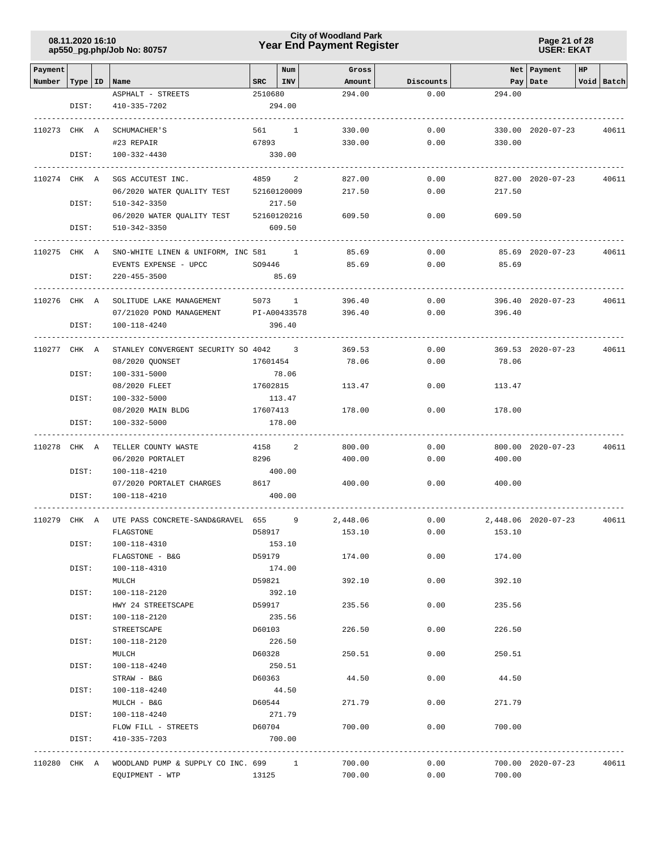### **Year End Payment Register City of Woodland Park 08.11.2020 16:10**

**Page 21 of 28 USER: EKAT**

| Payment                   |       |                                                   |          | Num         | Gross    |             |        | Net Payment         | HP |            |
|---------------------------|-------|---------------------------------------------------|----------|-------------|----------|-------------|--------|---------------------|----|------------|
| Number   Type   ID   Name |       |                                                   | SRC      | INV         | Amount   | Discounts   |        | Pay   Date          |    | Void Batch |
|                           |       | ASPHALT - STREETS                                 | 2510680  |             | 294.00   | 0.00        | 294.00 |                     |    |            |
|                           | DIST: | 410-335-7202                                      |          | 294.00      |          |             |        |                     |    |            |
|                           |       |                                                   |          |             |          |             |        |                     |    |            |
|                           |       |                                                   |          |             |          |             |        |                     |    |            |
| 110273 CHK A              |       | SCHUMACHER'S                                      |          | 561 1       | 330.00   | 0.00        |        | 330.00 2020-07-23   |    | 40611      |
|                           |       | #23 REPAIR                                        | 67893    |             | 330.00   | 0.00        | 330.00 |                     |    |            |
|                           | DIST: | 100-332-4430                                      |          | 330.00      |          |             |        |                     |    |            |
|                           |       |                                                   |          |             |          |             |        |                     |    |            |
| 110274 CHK A              |       | SGS ACCUTEST INC.                                 |          | 4859 2      | 827.00   | 0.00        |        | 827.00 2020-07-23   |    | 40611      |
|                           |       | 06/2020 WATER QUALITY TEST                        |          | 52160120009 | 217.50   | 0.00        | 217.50 |                     |    |            |
|                           | DIST: | 510-342-3350                                      |          | 217.50      |          |             |        |                     |    |            |
|                           |       | 06/2020 WATER QUALITY TEST                        |          | 52160120216 | 609.50   | 0.00        | 609.50 |                     |    |            |
|                           | DIST: | $510 - 342 - 3350$                                |          | 609.50      |          |             |        |                     |    |            |
|                           |       |                                                   |          |             |          |             |        |                     |    |            |
| 110275 CHK A              |       | SNO-WHITE LINEN & UNIFORM, INC 581 1              |          |             | 85.69    | 0.00        |        | 85.69 2020-07-23    |    | 40611      |
|                           |       | EVENTS EXPENSE - UPCC                             | SO9446   |             | 85.69    | 0.00        | 85.69  |                     |    |            |
|                           | DIST: | $220 - 455 - 3500$                                |          | 85.69       |          |             |        |                     |    |            |
|                           |       |                                                   |          |             |          |             |        |                     |    |            |
| 110276 CHK A              |       | SOLITUDE LAKE MANAGEMENT                          |          | 5073 1      | 396.40   | 0.00        |        | 396.40 2020-07-23   |    | 40611      |
|                           |       | 07/21020 POND MANAGEMENT<br>PI-A00433578          |          |             | 396.40   | 0.00        | 396.40 |                     |    |            |
|                           | DIST: | 100-118-4240                                      |          | 396.40      |          |             |        |                     |    |            |
|                           |       |                                                   |          |             |          |             |        |                     |    |            |
| 110277 CHK A              |       | STANLEY CONVERGENT SECURITY SO 4042 3             |          |             | 369.53   | 0.00        |        | 369.53 2020-07-23   |    | 40611      |
|                           |       | 08/2020 QUONSET                                   | 17601454 |             | 78.06    | 0.00        | 78.06  |                     |    |            |
|                           | DIST: | $100 - 331 - 5000$                                |          | 78.06       |          |             |        |                     |    |            |
|                           |       | 08/2020 FLEET                                     | 17602815 |             | 113.47   | 0.00        | 113.47 |                     |    |            |
|                           | DIST: | 100-332-5000                                      |          | 113.47      |          |             |        |                     |    |            |
|                           |       | 08/2020 MAIN BLDG                                 | 17607413 |             | 178.00   | 0.00        | 178.00 |                     |    |            |
|                           | DIST: | 100-332-5000                                      |          | 178.00      |          |             |        |                     |    |            |
|                           |       |                                                   |          |             |          |             |        |                     |    |            |
| 110278                    | CHK A | TELLER COUNTY WASTE                               | 4158     | 2           | 800.00   | 0.00        |        | 800.00 2020-07-23   |    | 40611      |
|                           |       | 06/2020 PORTALET                                  | 8296     |             | 400.00   | 0.00        | 400.00 |                     |    |            |
|                           | DIST: | 100-118-4210                                      |          | 400.00      |          |             |        |                     |    |            |
|                           |       | 07/2020 PORTALET CHARGES                          | 8617     |             | 400.00   | 0.00        | 400.00 |                     |    |            |
|                           | DIST: | 100-118-4210                                      |          | 400.00      |          |             |        |                     |    |            |
|                           |       |                                                   |          |             |          |             |        |                     |    |            |
| 110279 CHK A              |       | UTE PASS CONCRETE-SAND&GRAVEL 655                 |          | 9           | 2,448.06 | 0.00        |        | 2,448.06 2020-07-23 |    | 40611      |
|                           |       | FLAGSTONE                                         | D58917   |             | 153.10   | 0.00        | 153.10 |                     |    |            |
|                           | DIST: | 100-118-4310                                      |          | 153.10      |          |             |        |                     |    |            |
|                           |       | FLAGSTONE - B&G                                   | D59179   |             | 174.00   | 0.00        | 174.00 |                     |    |            |
|                           | DIST: | 100-118-4310                                      |          | 174.00      |          |             |        |                     |    |            |
|                           |       | MULCH                                             | D59821   |             | 392.10   | 0.00        | 392.10 |                     |    |            |
|                           | DIST: | 100-118-2120                                      |          | 392.10      |          |             |        |                     |    |            |
|                           |       | HWY 24 STREETSCAPE                                | D59917   |             | 235.56   | 0.00        | 235.56 |                     |    |            |
|                           | DIST: | 100-118-2120                                      |          | 235.56      |          |             |        |                     |    |            |
|                           |       | STREETSCAPE                                       | D60103   |             | 226.50   | 0.00        | 226.50 |                     |    |            |
|                           | DIST: | 100-118-2120                                      |          | 226.50      |          |             |        |                     |    |            |
|                           |       | MULCH                                             | D60328   |             | 250.51   | 0.00        | 250.51 |                     |    |            |
|                           | DIST: | 100-118-4240                                      |          | 250.51      |          |             |        |                     |    |            |
|                           |       | STRAW - B&G                                       | D60363   |             | 44.50    | 0.00        | 44.50  |                     |    |            |
|                           | DIST: | 100-118-4240                                      |          | 44.50       |          |             |        |                     |    |            |
|                           |       | MULCH - B&G                                       | D60544   |             | 271.79   | 0.00        | 271.79 |                     |    |            |
|                           | DIST: | 100-118-4240                                      |          | 271.79      |          |             |        |                     |    |            |
|                           |       | FLOW FILL - STREETS                               |          | D60704      |          | 700.00 0.00 | 700.00 |                     |    |            |
|                           | DIST: | 410-335-7203                                      |          | 700.00      |          |             |        |                     |    |            |
|                           |       |                                                   |          |             |          |             |        |                     |    |            |
|                           |       | 110280 CHK A WOODLAND PUMP & SUPPLY CO INC. 699 1 |          |             | 700.00   | 0.00        |        | 700.00 2020-07-23   |    | 40611      |
|                           |       | EQUIPMENT - WTP                                   | 13125    |             | 700.00   | 0.00        | 700.00 |                     |    |            |
|                           |       |                                                   |          |             |          |             |        |                     |    |            |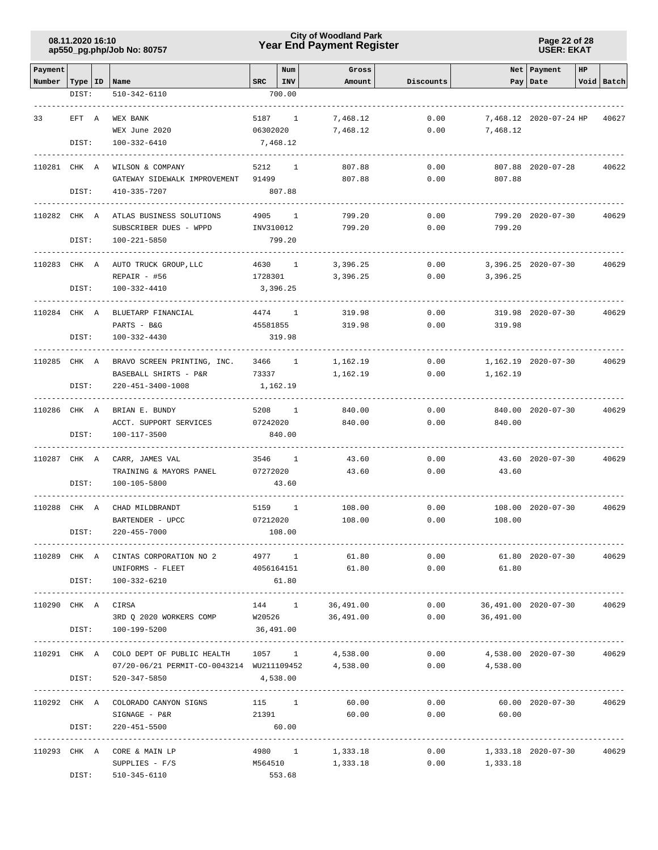### **Year End Payment Register City of Woodland Park 08.11.2020 16:10**

**Page 22 of 28 USER: EKAT**

| Payment            |       |                                                 |              | Num                      | Gross                |                                |                                 | Net   Payment              | HP           |            |
|--------------------|-------|-------------------------------------------------|--------------|--------------------------|----------------------|--------------------------------|---------------------------------|----------------------------|--------------|------------|
| Number   Type   ID |       | Name                                            | $_{\tt SRC}$ | <b>INV</b>               | Amount               | Discounts                      |                                 | Pay   Date                 |              | Void Batch |
|                    | DIST: | 510-342-6110                                    |              | 700.00                   |                      |                                |                                 |                            |              |            |
|                    |       |                                                 |              |                          |                      |                                |                                 |                            |              |            |
| 33                 | EFT A | WEX BANK<br>WEX June 2020                       | 5187 1       |                          | 7,468.12             | 0.00                           | 7,468.12                        | 7,468.12 2020-07-24 HP     |              | 40627      |
|                    | DIST: | 100-332-6410                                    | 06302020     | 7,468.12                 | 7,468.12             | 0.00                           |                                 |                            |              |            |
|                    |       |                                                 |              |                          |                      |                                |                                 |                            |              |            |
| 110281 CHK A       |       | WILSON & COMPANY                                | 5212         | $\mathbf{1}$             | 807.88               | 0.00                           |                                 | 807.88 2020-07-28          |              | 40622      |
|                    |       | GATEWAY SIDEWALK IMPROVEMENT                    | 91499        |                          | 807.88               | 0.00                           | 807.88                          |                            |              |            |
|                    | DIST: | 410-335-7207                                    |              | 807.88                   |                      |                                |                                 |                            |              |            |
| 110282 CHK A       |       | ATLAS BUSINESS SOLUTIONS                        | 4905         | 1                        | 799.20               | 0.00                           |                                 | 799.20 2020-07-30          |              | 40629      |
|                    |       | SUBSCRIBER DUES - WPPD                          | INV310012    |                          | 799.20               | 0.00                           | 799.20                          |                            |              |            |
|                    | DIST: | 100-221-5850                                    |              | 799.20                   |                      |                                |                                 |                            |              |            |
|                    |       |                                                 |              |                          |                      |                                |                                 |                            |              |            |
| 110283 CHK A       |       | AUTO TRUCK GROUP, LLC                           | 4630 1       |                          | 3,396.25             | 0.00                           |                                 | $3,396.25$ $2020-07-30$    |              | 40629      |
|                    |       | $REPAIR - #56$                                  | 1728301      |                          | 3,396.25             | 0.00                           | 3,396.25                        |                            |              |            |
|                    | DIST: | 100-332-4410                                    |              | 3,396.25                 |                      |                                |                                 |                            |              |            |
| 110284 CHK A       |       | BLUETARP FINANCIAL                              | 4474         | <sup>1</sup>             | 319.98               | 0.00                           |                                 | 319.98 2020-07-30          |              | 40629      |
|                    |       | PARTS - B&G                                     | 45581855     |                          | 319.98               | 0.00                           | 319.98                          |                            |              |            |
|                    | DIST: | 100-332-4430                                    |              | 319.98                   |                      |                                |                                 |                            |              |            |
|                    |       |                                                 |              |                          |                      |                                |                                 |                            |              |            |
| 110285 CHK A       |       | BRAVO SCREEN PRINTING, INC.                     | 3466         | $\overline{\phantom{0}}$ | 1,162.19             | 0.00                           |                                 | 1,162.19 2020-07-30        |              | 40629      |
|                    |       | BASEBALL SHIRTS - P&R                           | 73337        |                          | 1,162.19             | 0.00                           | 1,162.19                        |                            |              |            |
|                    | DIST: | 220-451-3400-1008                               |              | 1,162.19                 |                      |                                |                                 |                            |              |            |
| 110286 CHK A       |       | BRIAN E. BUNDY                                  | 5208         | <sup>1</sup>             | 840.00               | 0.00                           |                                 | 840.00 2020-07-30          |              | 40629      |
|                    |       | ACCT. SUPPORT SERVICES                          | 07242020     |                          | 840.00               | 0.00                           | 840.00                          |                            |              |            |
|                    | DIST: | 100-117-3500                                    |              | 840.00                   |                      |                                |                                 |                            |              |            |
|                    |       |                                                 |              |                          |                      |                                |                                 |                            |              |            |
| 110287 CHK A       |       | CARR, JAMES VAL                                 | 3546 1       |                          | 43.60                | 0.00                           |                                 | 43.60 2020-07-30           |              | 40629      |
|                    | DIST: | TRAINING & MAYORS PANEL<br>100-105-5800         | 07272020     | 43.60                    | 43.60                | 0.00                           | 43.60                           |                            |              |            |
|                    |       |                                                 |              |                          |                      |                                |                                 |                            |              |            |
| 110288 CHK A       |       | CHAD MILDBRANDT                                 | 5159 1       |                          | 108.00               | 0.00                           |                                 | 108.00 2020-07-30          |              | 40629      |
|                    |       | BARTENDER - UPCC                                | 07212020     |                          | 108.00               | 0.00                           | 108.00                          |                            |              |            |
|                    | DIST: | 220-455-7000                                    |              | 108.00                   |                      |                                |                                 |                            |              |            |
|                    |       |                                                 |              |                          |                      |                                |                                 | -------------------------- |              |            |
|                    |       | 110289 CHK A CINTAS CORPORATION NO 2            |              | 4977 1                   | 61.80                | 0.00                           |                                 | 61.80 2020-07-30           |              | 40629      |
|                    |       | UNIFORMS - FLEET<br>DIST: 100-332-6210          |              | 4056164151<br>61.80      | 61.80                | 0.00                           | 61.80                           |                            |              |            |
|                    |       |                                                 |              |                          |                      |                                |                                 |                            |              |            |
| 110290 CHK A CIRSA |       |                                                 |              |                          | 144 1 36,491.00      |                                | $0.00$ 36,491.00 2020-07-30     |                            |              | 40629      |
|                    |       | 3RD Q 2020 WORKERS COMP W20526 36,491.00        |              |                          |                      |                                | $0.00$ 36,491.00                |                            |              |            |
|                    | DIST: | 100-199-5200                                    | 36,491.00    |                          |                      |                                |                                 |                            |              |            |
|                    |       | 110291 CHK A COLO DEPT OF PUBLIC HEALTH 1057 1  |              |                          | 4,538.00             |                                |                                 | 4,538.00 2020-07-30        | . <u>.</u> . | 40629      |
|                    |       | 07/20-06/21 PERMIT-CO-0043214 WU211109452       |              |                          | 4,538.00             | 0.00<br>0.00                   | 4,538.00                        |                            |              |            |
|                    | DIST: | 520-347-5850                                    | 4,538.00     |                          |                      |                                |                                 |                            |              |            |
|                    |       |                                                 |              |                          |                      | ------------------------------ |                                 |                            |              |            |
|                    |       | 110292 CHK A COLORADO CANYON SIGNS              |              |                          | $115$ 1<br>60.00     | 0.00                           |                                 | 60.00 2020-07-30           |              | 40629      |
|                    |       | SIGNAGE - P&R                                   |              | 21391                    | 60.00                |                                | $0.00$ 60.00                    |                            |              |            |
|                    | DIST: | 220-451-5500                                    | 60.00        |                          |                      |                                |                                 |                            |              |            |
|                    |       |                                                 |              |                          |                      |                                |                                 |                            |              |            |
|                    |       | 110293 CHK A CORE & MAIN LP<br>$SUPPLIES - F/S$ |              | 4980 1<br>M564510        | 1,333.18<br>1,333.18 | 0.00<br>0.00                   | 1,333.18 2020-07-30<br>1,333.18 |                            |              | 40629      |
|                    | DIST: | 510-345-6110                                    |              | 553.68                   |                      |                                |                                 |                            |              |            |
|                    |       |                                                 |              |                          |                      |                                |                                 |                            |              |            |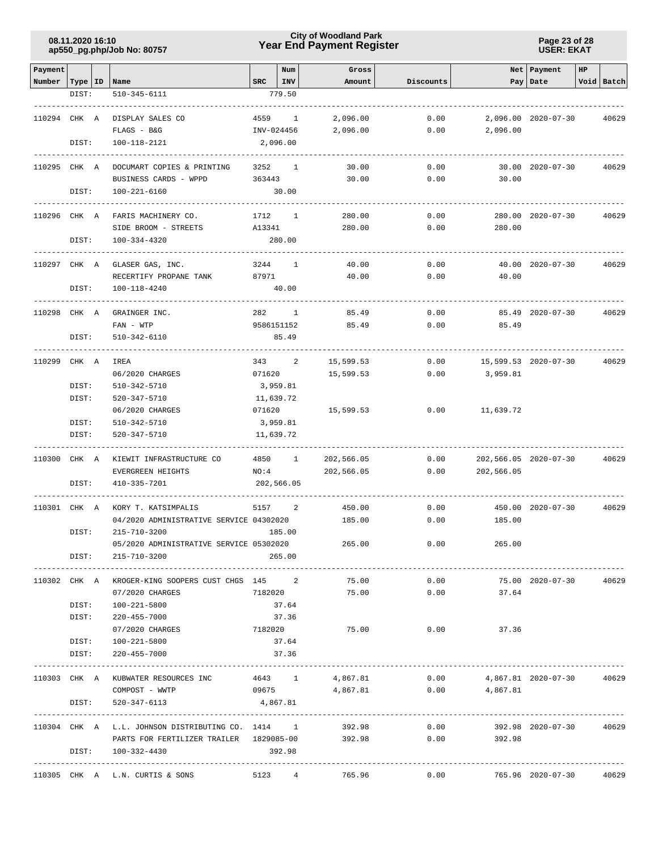### **Year End Payment Register City of Woodland Park 08.11.2020 16:10**

**Page 23 of 28 USER: EKAT**

| Payment      |       |                                                          |             | Num          | Gross      |           |                       | Net Payment          | HP |            |
|--------------|-------|----------------------------------------------------------|-------------|--------------|------------|-----------|-----------------------|----------------------|----|------------|
| Number       |       | Type   ID   Name                                         | $SRC$   INV |              | Amount     | Discounts |                       | Pay Date             |    | Void Batch |
|              | DIST: | 510-345-6111                                             |             | 779.50       |            |           |                       |                      |    |            |
|              |       |                                                          |             |              |            |           |                       |                      |    |            |
| 110294 CHK A |       | DISPLAY SALES CO                                         |             | 4559 1       | 2,096.00   | 0.00      |                       | 2,096.00 2020-07-30  |    | 40629      |
|              |       | FLAGS - B&G                                              | INV-024456  |              | 2,096.00   | 0.00      | 2,096.00              |                      |    |            |
|              | DIST: | 100-118-2121                                             |             | 2,096.00     |            |           |                       |                      |    |            |
|              |       |                                                          |             |              |            |           |                       |                      |    |            |
| 110295 CHK A |       | DOCUMART COPIES & PRINTING                               |             | 3252 1       | 30.00      | 0.00      |                       | 30.00 2020-07-30     |    | 40629      |
|              |       | BUSINESS CARDS - WPPD                                    | 363443      |              | 30.00      | 0.00      | 30.00                 |                      |    |            |
|              | DIST: | $100 - 221 - 6160$                                       |             | 30.00        |            |           |                       |                      |    |            |
| 110296 CHK A |       | FARIS MACHINERY CO.                                      | 1712        | <sup>1</sup> | 280.00     | 0.00      |                       | 280.00 2020-07-30    |    | 40629      |
|              |       | SIDE BROOM - STREETS                                     | A13341      |              | 280.00     | 0.00      | 280.00                |                      |    |            |
|              | DIST: | 100-334-4320                                             |             | 280.00       |            |           |                       |                      |    |            |
|              |       |                                                          |             |              |            |           |                       |                      |    |            |
| 110297 CHK A |       | GLASER GAS, INC.                                         | 3244        | $\mathbf{1}$ | 40.00      | 0.00      |                       | 40.00 2020-07-30     |    | 40629      |
|              |       | RECERTIFY PROPANE TANK                                   | 87971       |              | 40.00      | 0.00      | 40.00                 |                      |    |            |
|              | DIST: | 100-118-4240                                             |             | 40.00        |            |           |                       |                      |    |            |
| 110298 CHK A |       |                                                          |             | 282 1        | 85.49      | 0.00      |                       | 85.49 2020-07-30     |    |            |
|              |       | GRAINGER INC.<br>$FAN - WTP$                             |             | 9586151152   | 85.49      | 0.00      | 85.49                 |                      |    | 40629      |
|              | DIST: | 510-342-6110                                             |             | 85.49        |            |           |                       |                      |    |            |
|              |       |                                                          |             |              |            |           |                       |                      |    |            |
| 110299 CHK A |       | IREA                                                     |             | 343 2        | 15,599.53  | 0.00      |                       | 15,599.53 2020-07-30 |    | 40629      |
|              |       | 06/2020 CHARGES                                          | 071620      |              | 15,599.53  | 0.00      | 3,959.81              |                      |    |            |
|              | DIST: | 510-342-5710                                             | 3,959.81    |              |            |           |                       |                      |    |            |
|              | DIST: | 520-347-5710                                             |             | 11,639.72    |            |           |                       |                      |    |            |
|              |       | 06/2020 CHARGES                                          | 071620      |              | 15,599.53  | 0.00      | 11,639.72             |                      |    |            |
|              | DIST: | 510-342-5710                                             | 3,959.81    |              |            |           |                       |                      |    |            |
|              | DIST: | 520-347-5710                                             |             | 11,639.72    |            |           |                       |                      |    |            |
|              |       |                                                          |             |              |            |           |                       |                      |    |            |
| 110300       | CHK A | KIEWIT INFRASTRUCTURE CO                                 |             | 4850 1       | 202,566.05 | 0.00      | 202,566.05 2020-07-30 |                      |    | 40629      |
|              |       | EVERGREEN HEIGHTS                                        | NO:4        |              | 202,566.05 | 0.00      | 202,566.05            |                      |    |            |
|              | DIST: | 410-335-7201                                             |             | 202,566.05   |            |           |                       |                      |    |            |
| 110301 CHK A |       | KORY T. KATSIMPALIS                                      | 5157        | 2            | 450.00     | 0.00      |                       | 450.00 2020-07-30    |    | 40629      |
|              |       | 04/2020 ADMINISTRATIVE SERVICE 04302020                  |             |              | 185.00     | 0.00      | 185.00                |                      |    |            |
|              | DIST: | 215-710-3200                                             |             | 185.00       |            |           |                       |                      |    |            |
|              |       | 05/2020 ADMINISTRATIVE SERVICE 05302020                  |             |              | 265.00     | 0.00      | 265.00                |                      |    |            |
|              | DIST: | 215-710-3200                                             |             | 265.00       |            |           |                       |                      |    |            |
|              |       |                                                          |             |              |            |           |                       |                      |    |            |
|              |       | 110302 CHK A KROGER-KING SOOPERS CUST CHGS 145 2         |             |              | 75.00      | 0.00      |                       | 75.00 2020-07-30     |    | 40629      |
|              |       | 07/2020 CHARGES                                          | 7182020     |              | 75.00      | 0.00      | 37.64                 |                      |    |            |
|              | DIST: | 100-221-5800                                             |             | 37.64        |            |           |                       |                      |    |            |
|              | DIST: | 220-455-7000                                             |             | 37.36        |            |           |                       |                      |    |            |
|              |       | 07/2020 CHARGES                                          | 7182020     |              | 75.00      | 0.00      | 37.36                 |                      |    |            |
|              | DIST: | 100-221-5800                                             |             | 37.64        |            |           |                       |                      |    |            |
|              | DIST: | 220-455-7000                                             |             | 37.36        |            |           |                       |                      |    |            |
|              |       | 110303 CHK A KUBWATER RESOURCES INC                      | 4643 1      |              | 4,867.81   | 0.00      | 4,867.81 2020-07-30   |                      |    | 40629      |
|              |       | COMPOST - WWTP                                           | 09675       |              | 4,867.81   | 0.00      | 4,867.81              |                      |    |            |
|              | DIST: | 520-347-6113                                             | 4,867.81    |              |            |           |                       |                      |    |            |
|              |       |                                                          |             |              |            |           |                       |                      |    |            |
|              |       | 110304 CHK A L.L. JOHNSON DISTRIBUTING CO. 1414 1 392.98 |             |              |            |           | 0.00                  | 392.98 2020-07-30    |    | 40629      |
|              |       | PARTS FOR FERTILIZER TRAILER 1829085-00 392.98           |             |              |            |           | $0.00$ 392.98         |                      |    |            |
|              |       | DIST: 100-332-4430                                       | 392.98      |              |            |           |                       |                      |    |            |
|              |       |                                                          |             |              |            |           |                       |                      |    |            |
|              |       | 110305 CHK A L.N. CURTIS & SONS                          |             | 5123 4       | 765.96     | 0.00      |                       | 765.96 2020-07-30    |    | 40629      |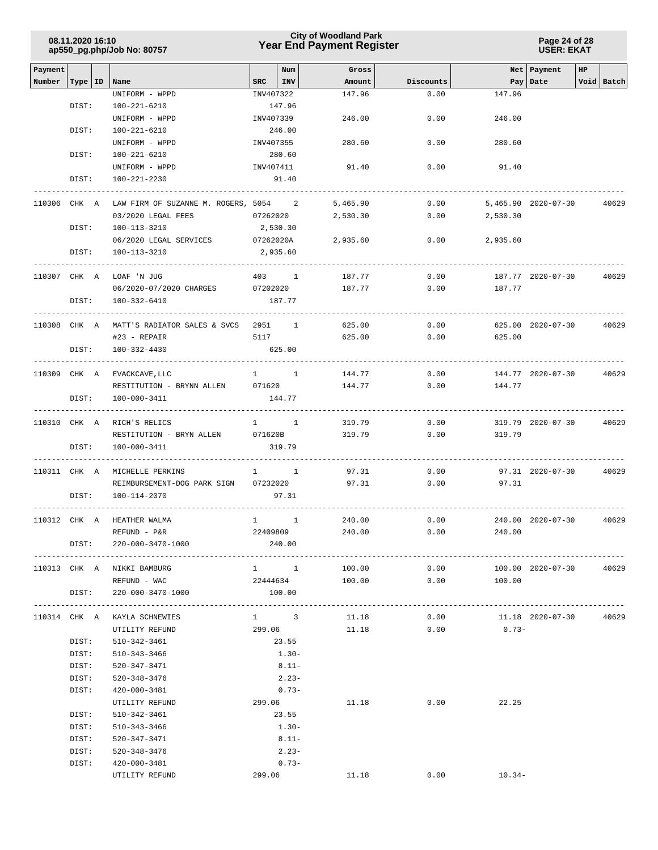### **Year End Payment Register City of Woodland Park 08.11.2020 16:10**

**Page 24 of 28 USER: EKAT**

| Payment |           |                                                    |                        | Num                 | Gross           |           |                | Net   Payment       | HP |            |
|---------|-----------|----------------------------------------------------|------------------------|---------------------|-----------------|-----------|----------------|---------------------|----|------------|
| Number  | Type   ID | Name                                               | SRC                    | INV                 | Amount          | Discounts |                | Pay   Date          |    | Void Batch |
|         |           | UNIFORM - WPPD                                     | INV407322              |                     | 147.96          | 0.00      | 147.96         |                     |    |            |
|         | DIST:     | 100-221-6210                                       |                        | 147.96              |                 |           |                |                     |    |            |
|         |           | UNIFORM - WPPD                                     | INV407339              |                     | 246.00          | 0.00      | 246.00         |                     |    |            |
|         | DIST:     | 100-221-6210                                       |                        | 246.00              |                 |           |                |                     |    |            |
|         |           | UNIFORM - WPPD                                     | INV407355              |                     | 280.60          | 0.00      | 280.60         |                     |    |            |
|         | DIST:     | 100-221-6210                                       |                        | 280.60              |                 |           |                |                     |    |            |
|         |           | UNIFORM - WPPD                                     | INV407411              |                     | 91.40           | 0.00      | 91.40          |                     |    |            |
|         | DIST:     | 100-221-2230                                       |                        | 91.40               |                 |           |                |                     |    |            |
|         |           |                                                    |                        |                     |                 |           |                |                     |    |            |
|         |           | 110306 CHK A LAW FIRM OF SUZANNE M. ROGERS, 5054 2 |                        |                     | 5,465.90        | 0.00      |                | 5,465.90 2020-07-30 |    | 40629      |
|         |           | 03/2020 LEGAL FEES                                 | 07262020               |                     | 2,530.30        | 0.00      | 2,530.30       |                     |    |            |
|         | DIST:     | 100-113-3210                                       |                        | 2,530.30            |                 |           |                |                     |    |            |
|         |           | 06/2020 LEGAL SERVICES                             | 07262020A              |                     | 2,935.60        | 0.00      | 2,935.60       |                     |    |            |
|         | DIST:     | 100-113-3210                                       |                        | 2,935.60            |                 |           |                |                     |    |            |
|         |           |                                                    |                        |                     |                 |           |                |                     |    |            |
|         |           | 110307 CHK A LOAF 'N JUG                           |                        | 403 1               | 187.77          | 0.00      |                | 187.77 2020-07-30   |    | 40629      |
|         |           | 06/2020-07/2020 CHARGES 07202020                   |                        |                     | 187.77          | 0.00      | 187.77         |                     |    |            |
|         | DIST:     | 100-332-6410                                       |                        | 187.77              |                 |           |                |                     |    |            |
|         |           |                                                    |                        |                     |                 |           |                |                     |    |            |
|         |           | 110308 CHK A MATT'S RADIATOR SALES & SVCS 2951 1   |                        |                     | 625.00          | 0.00      |                | 625.00 2020-07-30   |    | 40629      |
|         |           | $#23$ - REPAIR                                     | 5117                   |                     | 625.00          | 0.00      | 625.00         |                     |    |            |
|         | DIST:     | 100-332-4430                                       |                        | 625.00              |                 |           |                |                     |    |            |
|         |           |                                                    |                        |                     |                 |           |                |                     |    |            |
|         |           | 110309 CHK A EVACKCAVE, LLC                        |                        | $1 \quad 1$         | 144.77          | 0.00      |                | 144.77 2020-07-30   |    | 40629      |
|         |           | RESTITUTION - BRYNN ALLEN 071620                   |                        |                     | 144.77          | 0.00      | 144.77         |                     |    |            |
|         | DIST:     | 100-000-3411                                       |                        | 144.77              |                 |           |                |                     |    |            |
|         |           |                                                    |                        |                     |                 |           |                |                     |    |            |
|         |           | 110310 CHK A RICH'S RELICS                         |                        | $1 \quad 1$         | 319.79          | 0.00      |                | 319.79 2020-07-30   |    | 40629      |
|         |           | RESTITUTION - BRYN ALLEN                           | 071620B                |                     | 319.79          | 0.00      | 319.79         |                     |    |            |
|         | DIST:     | 100-000-3411                                       |                        | 319.79              |                 |           |                |                     |    |            |
|         |           | 110311 CHK A MICHELLE PERKINS                      |                        | $1 \quad 1$         | 97.31           | 0.00      |                | 97.31 2020-07-30    |    | 40629      |
|         |           | REIMBURSEMENT-DOG PARK SIGN 07232020               |                        |                     | 97.31           | 0.00      | 97.31          |                     |    |            |
|         | DIST:     | 100-114-2070                                       |                        | 97.31               |                 |           |                |                     |    |            |
|         |           |                                                    |                        |                     |                 |           |                |                     |    |            |
|         |           | 110312 CHK A HEATHER WALMA                         | $1 \quad \blacksquare$ | $\mathbf{1}$        | 240.00          | 0.00      |                | 240.00 2020-07-30   |    | 40629      |
|         |           | REFUND - P&R                                       | 22409809               |                     | 240.00          | 0.00      | 240.00         |                     |    |            |
|         | DIST:     | 220-000-3470-1000                                  |                        | 240.00              |                 |           |                |                     |    |            |
|         |           | -----------------------                            |                        |                     |                 |           |                |                     |    |            |
|         |           | 110313 CHK A NIKKI BAMBURG                         |                        | $1 \quad 1$         | 100.00          |           | 0.00           | 100.00 2020-07-30   |    | 40629      |
|         |           | REFUND - WAC                                       |                        |                     | 22444634 100.00 |           | 0.00<br>100.00 |                     |    |            |
|         | DIST:     | 220-000-3470-1000                                  |                        | 100.00              |                 |           |                |                     |    |            |
|         |           |                                                    |                        |                     |                 |           |                |                     |    |            |
|         |           | 110314 CHK A KAYLA SCHNEWIES                       |                        | $1 \qquad \qquad 3$ | 11.18           | 0.00      |                | 11.18 2020-07-30    |    | 40629      |
|         |           | UTILITY REFUND                                     |                        | 299.06              | 11.18           | 0.00      | $0.73 -$       |                     |    |            |
|         | DIST:     | 510-342-3461                                       |                        | 23.55               |                 |           |                |                     |    |            |
|         | DIST:     | 510-343-3466                                       |                        | $1.30-$             |                 |           |                |                     |    |            |
|         | DIST:     | 520-347-3471                                       |                        | $8.11 -$            |                 |           |                |                     |    |            |
|         | DIST:     | 520-348-3476                                       |                        | $2.23-$             |                 |           |                |                     |    |            |
|         | DIST:     | 420-000-3481                                       |                        | $0.73-$             |                 |           |                |                     |    |            |
|         |           | UTILITY REFUND                                     |                        | 299.06              | 11.18           | 0.00      | 22.25          |                     |    |            |
|         | DIST:     | 510-342-3461                                       |                        | 23.55               |                 |           |                |                     |    |            |
|         | DIST:     | 510-343-3466                                       |                        | $1.30-$             |                 |           |                |                     |    |            |
|         | DIST:     | 520-347-3471                                       |                        | $8.11 -$            |                 |           |                |                     |    |            |
|         | DIST:     | 520-348-3476                                       |                        | $2.23-$             |                 |           |                |                     |    |            |
|         | DIST:     | 420-000-3481                                       |                        | $0.73 -$            |                 |           |                |                     |    |            |
|         |           | UTILITY REFUND                                     |                        | 299.06              | 11.18           | 0.00      | $10.34-$       |                     |    |            |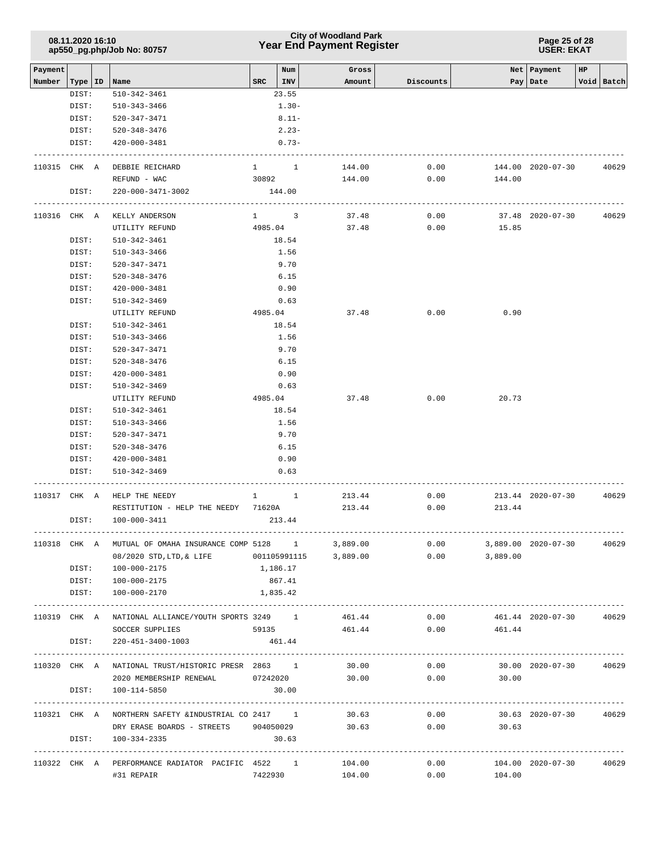## **Year End Payment Register City of Woodland Park 08.11.2020 16:10**

**Page 25 of 28 USER: EKAT**

| Payment<br>Number | Type   ID    | Name                                                        | SRC                                                      | Num<br>INV | Gross<br>Amount | Discounts |                         | Net Payment<br>Pay   Date | HP | Void Batch   |
|-------------------|--------------|-------------------------------------------------------------|----------------------------------------------------------|------------|-----------------|-----------|-------------------------|---------------------------|----|--------------|
|                   | DIST:        | 510-342-3461                                                |                                                          | 23.55      |                 |           |                         |                           |    |              |
|                   | DIST:        | 510-343-3466                                                |                                                          | $1.30-$    |                 |           |                         |                           |    |              |
|                   | DIST:        | 520-347-3471                                                |                                                          | $8.11 -$   |                 |           |                         |                           |    |              |
|                   | DIST:        | $520 - 348 - 3476$                                          |                                                          | $2.23-$    |                 |           |                         |                           |    |              |
|                   | DIST:        | 420-000-3481                                                |                                                          | $0.73 -$   |                 |           |                         |                           |    |              |
|                   |              |                                                             |                                                          |            |                 |           |                         |                           |    |              |
|                   | 110315 CHK A | DEBBIE REICHARD                                             | $1 \quad 1$                                              |            | 144.00          | 0.00      |                         | 144.00 2020-07-30         |    | 40629        |
|                   |              | REFUND - WAC                                                |                                                          | 30892      | 144.00          | 0.00      | 144.00                  |                           |    |              |
|                   | DIST:        | 220-000-3471-3002                                           |                                                          | 144.00     |                 |           |                         |                           |    |              |
|                   | 110316 CHK A | KELLY ANDERSON                                              | $1 \quad 3$                                              |            | 37.48           | 0.00      |                         | 37.48 2020-07-30          |    | 40629        |
|                   |              | UTILITY REFUND                                              | 4985.04                                                  |            | 37.48           | 0.00      | 15.85                   |                           |    |              |
|                   | DIST:        | 510-342-3461                                                |                                                          | 18.54      |                 |           |                         |                           |    |              |
|                   | DIST:        | 510-343-3466                                                |                                                          | 1.56       |                 |           |                         |                           |    |              |
|                   | DIST:        | 520-347-3471                                                |                                                          | 9.70       |                 |           |                         |                           |    |              |
|                   | DIST:        | 520-348-3476                                                |                                                          | 6.15       |                 |           |                         |                           |    |              |
|                   |              |                                                             |                                                          |            |                 |           |                         |                           |    |              |
|                   | DIST:        | 420-000-3481                                                |                                                          | 0.90       |                 |           |                         |                           |    |              |
|                   | DIST:        | 510-342-3469                                                |                                                          | 0.63       |                 |           |                         |                           |    |              |
|                   |              | UTILITY REFUND                                              | 4985.04                                                  |            | 37.48           | 0.00      | 0.90                    |                           |    |              |
|                   | DIST:        | 510-342-3461                                                |                                                          | 18.54      |                 |           |                         |                           |    |              |
|                   | DIST:        | 510-343-3466                                                |                                                          | 1.56       |                 |           |                         |                           |    |              |
|                   | DIST:        | 520-347-3471                                                |                                                          | 9.70       |                 |           |                         |                           |    |              |
|                   | DIST:        | 520-348-3476                                                |                                                          | 6.15       |                 |           |                         |                           |    |              |
|                   | DIST:        | 420-000-3481                                                |                                                          | 0.90       |                 |           |                         |                           |    |              |
|                   | DIST:        | 510-342-3469                                                |                                                          | 0.63       |                 |           |                         |                           |    |              |
|                   |              | UTILITY REFUND                                              | 4985.04                                                  |            | 37.48           | 0.00      | 20.73                   |                           |    |              |
|                   | DIST:        | 510-342-3461                                                |                                                          | 18.54      |                 |           |                         |                           |    |              |
|                   | DIST:        | 510-343-3466                                                |                                                          | 1.56       |                 |           |                         |                           |    |              |
|                   | DIST:        | 520-347-3471                                                |                                                          | 9.70       |                 |           |                         |                           |    |              |
|                   | DIST:        | 520-348-3476                                                |                                                          | 6.15       |                 |           |                         |                           |    |              |
|                   | DIST:        | 420-000-3481                                                |                                                          | 0.90       |                 |           |                         |                           |    |              |
|                   | DIST:        | 510-342-3469                                                |                                                          | 0.63       |                 |           |                         |                           |    |              |
|                   | 110317 CHK A | HELP THE NEEDY                                              | $\begin{array}{cccc} 1 & \hspace{1.5cm} & 1 \end{array}$ |            | 213.44          | 0.00      |                         | 213.44 2020-07-30         |    | 40629        |
|                   |              | RESTITUTION - HELP THE NEEDY 71620A                         |                                                          |            | 213.44          | 0.00      | 213.44                  |                           |    |              |
|                   | DIST:        | 100-000-3411                                                |                                                          | 213.44     |                 |           |                         |                           |    |              |
|                   |              |                                                             |                                                          |            |                 |           |                         |                           |    |              |
|                   |              | 110318 CHK A MUTUAL OF OMAHA INSURANCE COMP 5128 1 3,889.00 |                                                          |            |                 | 0.00      |                         | 3,889.00 2020-07-30       |    | 40629        |
|                   |              | 08/2020 STD, LTD, & LIFE 001105991115                       |                                                          |            | 3,889.00        | 0.00      | 3,889.00                |                           |    |              |
|                   |              | DIST: 100-000-2175                                          | 1,186.17                                                 |            |                 |           |                         |                           |    |              |
|                   |              | DIST: 100-000-2175                                          | 867.41                                                   |            |                 |           |                         |                           |    |              |
|                   |              | DIST: 100-000-2170                                          | 1,835.42                                                 |            |                 |           |                         |                           |    |              |
|                   |              | 110319 CHK A NATIONAL ALLIANCE/YOUTH SPORTS 3249 1 461.44   |                                                          |            |                 |           | 0.00                    | 461.44 2020-07-30         |    | 40629        |
|                   |              | SOCCER SUPPLIES                                             |                                                          |            | 59135 461.44    |           | $0.00$ 461.44           |                           |    |              |
|                   |              | DIST: 220-451-3400-1003                                     |                                                          | 461.44     |                 |           |                         |                           |    |              |
|                   |              |                                                             |                                                          |            |                 |           |                         |                           |    |              |
|                   |              | 110320 CHK A NATIONAL TRUST/HISTORIC PRESR 2863 1           |                                                          |            | 30.00           | 0.00      |                         | 30.00 2020-07-30          |    | 40629        |
|                   |              | 2020 MEMBERSHIP RENEWAL 07242020                            |                                                          |            | 30.00           | 0.00      | 30.00                   |                           |    |              |
|                   |              | DIST: 100-114-5850                                          |                                                          | 30.00      |                 |           |                         |                           |    |              |
|                   |              | 110321 CHK A NORTHERN SAFETY & INDUSTRIAL CO 2417 1         |                                                          |            |                 | 30.63     | $0.00$ 30.63 2020-07-30 |                           |    | 40629        |
|                   |              | DRY ERASE BOARDS - STREETS 904050029                        |                                                          |            |                 | 30.63     | $0.00$ 30.63            |                           |    |              |
|                   |              | DIST: 100-334-2335                                          |                                                          | 30.63      |                 |           |                         |                           |    |              |
|                   |              |                                                             |                                                          |            |                 |           |                         |                           |    | ------------ |
|                   |              | 110322 CHK A PERFORMANCE RADIATOR PACIFIC 4522 1            |                                                          |            | 104.00          | 0.00      |                         | 104.00 2020-07-30 40629   |    |              |
|                   |              | #31 REPAIR                                                  | 7422930                                                  |            | 104.00          | 0.00      | 104.00                  |                           |    |              |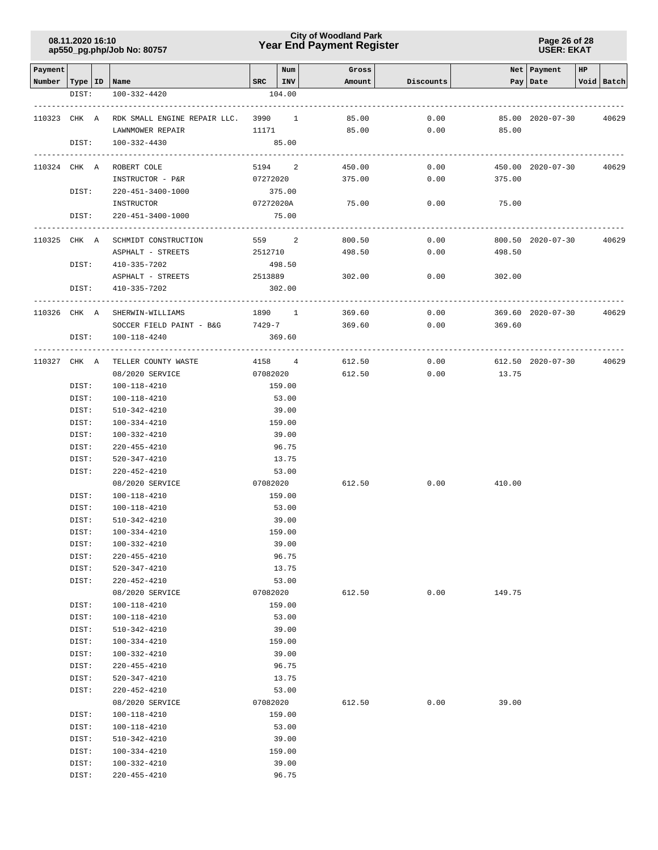### **Year End Payment Register City of Woodland Park 08.11.2020 16:10**

**Page 26 of 28 USER: EKAT**

| Payment                   |                |                                                     |                        | Num            | Gross  |           |        | Net   Payment     | HP |            |
|---------------------------|----------------|-----------------------------------------------------|------------------------|----------------|--------|-----------|--------|-------------------|----|------------|
| Number   Type   ID   Name |                |                                                     | $SRC$   INV            |                | Amount | Discounts |        | Pay   Date        |    | Void Batch |
|                           | DIST:          | 100-332-4420                                        |                        | 104.00         |        |           |        |                   |    |            |
|                           |                |                                                     |                        |                |        |           |        |                   |    |            |
| 110323 CHK A              |                | RDK SMALL ENGINE REPAIR LLC. 3990 1                 |                        |                | 85.00  | 0.00      |        | 85.00 2020-07-30  |    | 40629      |
|                           |                | LAWNMOWER REPAIR                                    | 11171                  |                | 85.00  | 0.00      | 85.00  |                   |    |            |
|                           | DIST:          | 100-332-4430                                        |                        | 85.00          |        |           |        |                   |    |            |
| 110324 CHK A              |                | ROBERT COLE                                         | 5194 2                 |                | 450.00 | 0.00      |        | 450.00 2020-07-30 |    | 40629      |
|                           |                | INSTRUCTOR - P&R                                    | 07272020               |                | 375.00 | 0.00      | 375.00 |                   |    |            |
|                           | DIST:          | 220-451-3400-1000                                   |                        | 375.00         |        |           |        |                   |    |            |
|                           |                | INSTRUCTOR                                          | 07272020A              |                | 75.00  | 0.00      | 75.00  |                   |    |            |
|                           | DIST:          | 220-451-3400-1000                                   |                        | 75.00          |        |           |        |                   |    |            |
|                           |                |                                                     |                        |                |        |           |        |                   |    |            |
| 110325 CHK A              |                | SCHMIDT CONSTRUCTION                                | 559 2                  |                | 800.50 | 0.00      |        | 800.50 2020-07-30 |    | 40629      |
|                           |                | ASPHALT - STREETS                                   | 2512710                |                | 498.50 | 0.00      | 498.50 |                   |    |            |
|                           | DIST:          | 410-335-7202                                        |                        | 498.50         |        |           |        |                   |    |            |
|                           |                | ASPHALT - STREETS                                   | 2513889                |                | 302.00 | 0.00      | 302.00 |                   |    |            |
|                           | DIST:          | 410-335-7202                                        |                        | 302.00         |        |           |        |                   |    |            |
| 110326 CHK A              |                | ---------------                                     | ------------<br>1890 1 |                | 369.60 | 0.00      |        | 369.60 2020-07-30 |    | 40629      |
|                           |                | SHERWIN-WILLIAMS<br>SOCCER FIELD PAINT - B&G 7429-7 |                        |                | 369.60 | 0.00      | 369.60 |                   |    |            |
|                           | DIST:          | 100-118-4240                                        |                        | 369.60         |        |           |        |                   |    |            |
|                           |                |                                                     | .                      |                |        |           |        |                   |    |            |
|                           |                | 110327 CHK A TELLER COUNTY WASTE                    | 4158 4                 |                | 612.50 | 0.00      |        | 612.50 2020-07-30 |    | 40629      |
|                           |                | 08/2020 SERVICE                                     | 07082020               |                | 612.50 | 0.00      | 13.75  |                   |    |            |
|                           | DIST:          | 100-118-4210                                        |                        | 159.00         |        |           |        |                   |    |            |
|                           | DIST:          | 100-118-4210                                        |                        | 53.00          |        |           |        |                   |    |            |
|                           | DIST:          | 510-342-4210                                        |                        | 39.00          |        |           |        |                   |    |            |
|                           | DIST:          | 100-334-4210                                        |                        | 159.00         |        |           |        |                   |    |            |
|                           | DIST:          | 100-332-4210                                        |                        | 39.00          |        |           |        |                   |    |            |
|                           | DIST:          | 220-455-4210                                        |                        | 96.75          |        |           |        |                   |    |            |
|                           | DIST:          | 520-347-4210                                        |                        | 13.75          |        |           |        |                   |    |            |
|                           | DIST:          | 220-452-4210                                        |                        | 53.00          |        |           |        |                   |    |            |
|                           |                | 08/2020 SERVICE                                     | 07082020               |                | 612.50 | 0.00      | 410.00 |                   |    |            |
|                           | DIST:          | 100-118-4210                                        |                        | 159.00         |        |           |        |                   |    |            |
|                           | DIST:          | 100-118-4210                                        |                        | 53.00          |        |           |        |                   |    |            |
|                           | DIST:          | 510-342-4210                                        |                        | 39.00          |        |           |        |                   |    |            |
|                           | DIST:          | 100-334-4210                                        |                        | 159.00         |        |           |        |                   |    |            |
|                           | DIST:          | 100-332-4210                                        |                        | 39.00          |        |           |        |                   |    |            |
|                           | DIST:          | 220-455-4210                                        |                        | 96.75          |        |           |        |                   |    |            |
|                           | DIST:          | $520 - 347 - 4210$                                  |                        | 13.75          |        |           |        |                   |    |            |
|                           | DIST:          | $220 - 452 - 4210$                                  |                        | 53.00          |        |           |        |                   |    |            |
|                           |                | 08/2020 SERVICE                                     | 07082020               |                | 612.50 | 0.00      | 149.75 |                   |    |            |
|                           | DIST:          | 100-118-4210                                        |                        | 159.00         |        |           |        |                   |    |            |
|                           | DIST:          | 100-118-4210                                        |                        | 53.00          |        |           |        |                   |    |            |
|                           | DIST:          | 510-342-4210                                        |                        | 39.00          |        |           |        |                   |    |            |
|                           | DIST:          | 100-334-4210                                        |                        | 159.00         |        |           |        |                   |    |            |
|                           | DIST:          | 100-332-4210                                        |                        | 39.00          |        |           |        |                   |    |            |
|                           | DIST:<br>DIST: | 220-455-4210<br>$520 - 347 - 4210$                  |                        | 96.75<br>13.75 |        |           |        |                   |    |            |
|                           | DIST:          | 220-452-4210                                        |                        | 53.00          |        |           |        |                   |    |            |
|                           |                | 08/2020 SERVICE                                     | 07082020               |                | 612.50 | 0.00      | 39.00  |                   |    |            |
|                           | DIST:          | $100 - 118 - 4210$                                  |                        | 159.00         |        |           |        |                   |    |            |
|                           | DIST:          | 100-118-4210                                        |                        | 53.00          |        |           |        |                   |    |            |
|                           | DIST:          | $510 - 342 - 4210$                                  |                        | 39.00          |        |           |        |                   |    |            |
|                           | DIST:          | 100-334-4210                                        |                        | 159.00         |        |           |        |                   |    |            |
|                           | DIST:          | 100-332-4210                                        |                        | 39.00          |        |           |        |                   |    |            |
|                           | DIST:          | 220-455-4210                                        |                        | 96.75          |        |           |        |                   |    |            |
|                           |                |                                                     |                        |                |        |           |        |                   |    |            |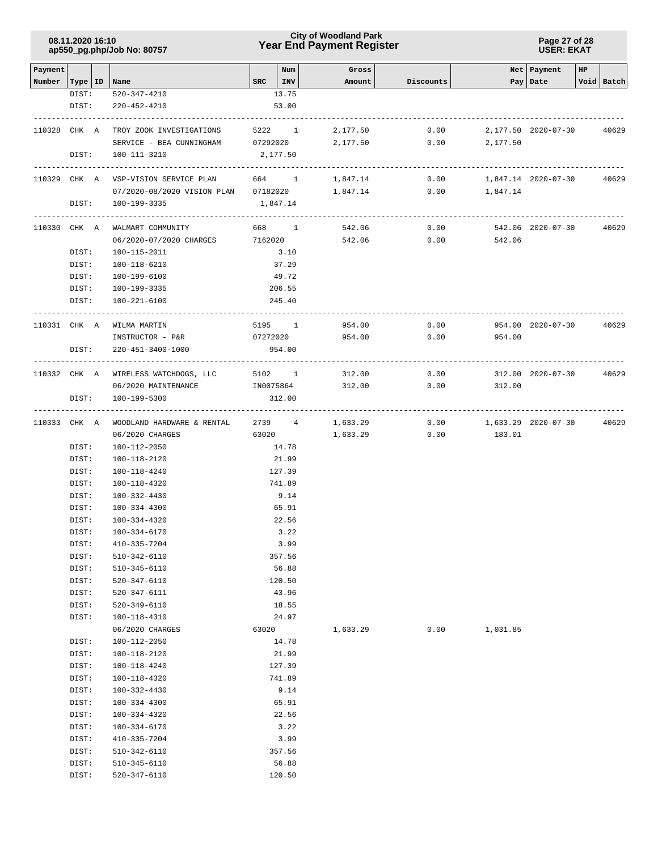### **Year End Payment Register City of Woodland Park 08.11.2020 16:10**

**Page 27 of 28 USER: EKAT**

| Payment |                  |                                      |           | Num            | Gross    |              |                     | Net   Payment       | HP |            |
|---------|------------------|--------------------------------------|-----------|----------------|----------|--------------|---------------------|---------------------|----|------------|
| Number  | Type   ID   Name | 520-347-4210                         |           | $SRC$   INV    | Amount   | Discounts    |                     | Pay   Date          |    | Void Batch |
|         | DIST:<br>DIST:   | 220-452-4210                         |           | 13.75<br>53.00 |          |              |                     |                     |    |            |
|         | 110328 CHK A     | TROY ZOOK INVESTIGATIONS             |           |                | 2,177.50 |              |                     |                     |    | 40629      |
|         |                  | SERVICE - BEA CUNNINGHAM 07292020    |           | 5222 1         | 2,177.50 | 0.00<br>0.00 | 2,177.50            | 2,177.50 2020-07-30 |    |            |
|         | DIST:            | $100 - 111 - 3210$                   |           | 2,177.50       |          |              |                     |                     |    |            |
|         |                  |                                      |           |                |          |              |                     |                     |    |            |
|         |                  | 110329 CHK A VSP-VISION SERVICE PLAN |           | 664 1          | 1,847.14 | 0.00         |                     | 1,847.14 2020-07-30 |    | 40629      |
|         |                  | 07/2020-08/2020 VISION PLAN 07182020 |           |                | 1,847.14 | 0.00         | 1,847.14            |                     |    |            |
|         | DIST:            | 100-199-3335                         |           | 1,847.14       |          |              |                     |                     |    |            |
|         | 110330 CHK A     | WALMART COMMUNITY                    |           | 668 1          | 542.06   | 0.00         |                     | 542.06 2020-07-30   |    | 40629      |
|         |                  | 06/2020-07/2020 CHARGES              |           | 7162020        | 542.06   | 0.00         | 542.06              |                     |    |            |
|         | DIST:            | 100-115-2011                         |           | 3.10           |          |              |                     |                     |    |            |
|         | DIST:            | 100-118-6210                         |           | 37.29          |          |              |                     |                     |    |            |
|         | DIST:            | 100-199-6100                         |           | 49.72          |          |              |                     |                     |    |            |
|         | DIST:            | 100-199-3335                         |           | 206.55         |          |              |                     |                     |    |            |
|         | DIST:            | 100-221-6100                         |           | 245.40         |          |              |                     |                     |    |            |
|         | 110331 CHK A     | WILMA MARTIN                         |           | 5195 1         | 954.00   | 0.00         |                     | 954.00 2020-07-30   |    | 40629      |
|         |                  | INSTRUCTOR - P&R                     | 07272020  |                | 954.00   | 0.00         | 954.00              |                     |    |            |
|         | DIST:            | 220-451-3400-1000                    |           | 954.00         |          |              |                     |                     |    |            |
|         |                  |                                      |           |                |          |              |                     |                     |    |            |
|         |                  | 110332 CHK A WIRELESS WATCHDOGS, LLC |           | 5102 1         | 312.00   | 0.00         |                     | 312.00 2020-07-30   |    | 40629      |
|         |                  | 06/2020 MAINTENANCE                  | IN0075864 |                | 312.00   | 0.00         | 312.00              |                     |    |            |
|         | DIST:            | 100-199-5300                         |           | 312.00         |          |              |                     |                     |    |            |
|         | 110333 CHK A     | WOODLAND HARDWARE & RENTAL           |           | 2739 4         | 1,633.29 | 0.00         | 1,633.29 2020-07-30 |                     |    | 40629      |
|         |                  | 06/2020 CHARGES                      |           | 63020          | 1,633.29 | 0.00         | 183.01              |                     |    |            |
|         | DIST:            | 100-112-2050                         |           | 14.78          |          |              |                     |                     |    |            |
|         | DIST:            | 100-118-2120                         |           | 21.99          |          |              |                     |                     |    |            |
|         | DIST:            | 100-118-4240                         |           | 127.39         |          |              |                     |                     |    |            |
|         | DIST:            | 100-118-4320                         |           | 741.89         |          |              |                     |                     |    |            |
|         | DIST:            | 100-332-4430                         |           | 9.14           |          |              |                     |                     |    |            |
|         | DIST:            | 100-334-4300                         |           | 65.91          |          |              |                     |                     |    |            |
|         | DIST:<br>DIST:   | 100-334-4320<br>100-334-6170         |           | 22.56<br>3.22  |          |              |                     |                     |    |            |
|         | DIST:            | 410-335-7204                         |           | 3.99           |          |              |                     |                     |    |            |
|         | DIST:            | 510-342-6110                         |           | 357.56         |          |              |                     |                     |    |            |
|         | DIST:            | 510-345-6110                         |           | 56.88          |          |              |                     |                     |    |            |
|         | DIST:            | 520-347-6110                         |           | 120.50         |          |              |                     |                     |    |            |
|         | DIST:            | 520-347-6111                         |           | 43.96          |          |              |                     |                     |    |            |
|         | DIST:            | 520-349-6110                         |           | 18.55          |          |              |                     |                     |    |            |
|         | DIST:            | 100-118-4310                         |           | 24.97          |          |              |                     |                     |    |            |
|         |                  | 06/2020 CHARGES                      | 63020     |                | 1,633.29 | 0.00         | 1,031.85            |                     |    |            |
|         | DIST:            | 100-112-2050                         |           | 14.78          |          |              |                     |                     |    |            |
|         | DIST:            | 100-118-2120                         |           | 21.99          |          |              |                     |                     |    |            |
|         | DIST:            | 100-118-4240                         |           | 127.39         |          |              |                     |                     |    |            |
|         | DIST:<br>DIST:   | 100-118-4320<br>100-332-4430         |           | 741.89<br>9.14 |          |              |                     |                     |    |            |
|         | DIST:            | 100-334-4300                         |           | 65.91          |          |              |                     |                     |    |            |
|         | DIST:            | 100-334-4320                         |           | 22.56          |          |              |                     |                     |    |            |
|         | DIST:            | 100-334-6170                         |           | 3.22           |          |              |                     |                     |    |            |
|         | DIST:            | 410-335-7204                         |           | 3.99           |          |              |                     |                     |    |            |
|         | DIST:            | 510-342-6110                         |           | 357.56         |          |              |                     |                     |    |            |
|         | DIST:            | 510-345-6110                         |           | 56.88          |          |              |                     |                     |    |            |
|         | DIST:            | 520-347-6110                         |           | 120.50         |          |              |                     |                     |    |            |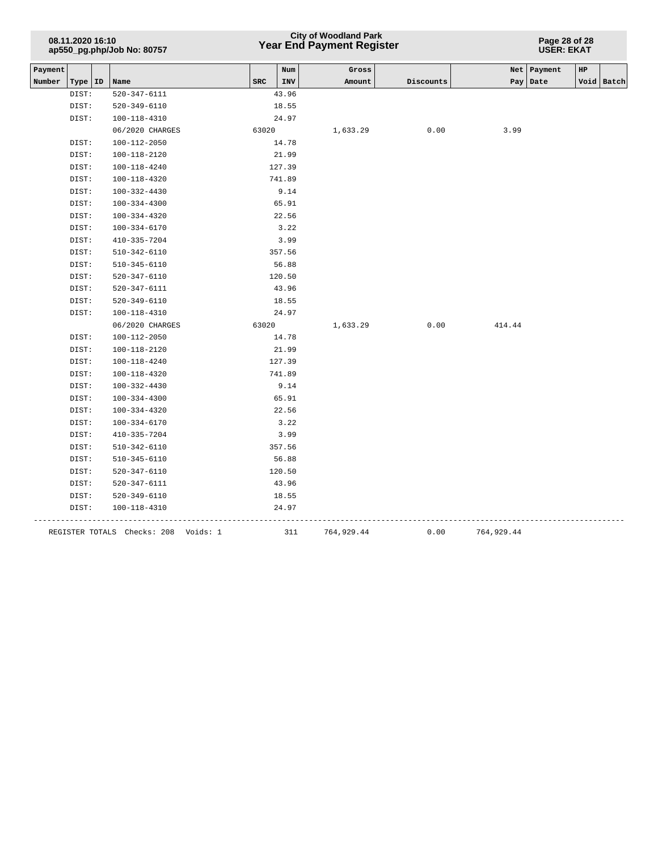## **Year End Payment Register City of Woodland Park 08.11.2020 16:10**

**Page 28 of 28 USER: EKAT**

| Payment |           |                                      |            | Num    | Gross      |           |            | Net Payment<br>HP |            |
|---------|-----------|--------------------------------------|------------|--------|------------|-----------|------------|-------------------|------------|
| Number  | Type   ID | Name                                 | <b>SRC</b> | INV    | Amount     | Discounts |            | Pay   Date        | Void Batch |
|         | DIST:     | 520-347-6111                         |            | 43.96  |            |           |            |                   |            |
|         | DIST:     | 520-349-6110                         |            | 18.55  |            |           |            |                   |            |
|         | DIST:     | 100-118-4310                         |            | 24.97  |            |           |            |                   |            |
|         |           | 06/2020 CHARGES                      | 63020      |        | 1,633.29   | 0.00      | 3.99       |                   |            |
|         | DIST:     | 100-112-2050                         |            | 14.78  |            |           |            |                   |            |
|         | DIST:     | 100-118-2120                         |            | 21.99  |            |           |            |                   |            |
|         | DIST:     | 100-118-4240                         |            | 127.39 |            |           |            |                   |            |
|         | DIST:     | 100-118-4320                         |            | 741.89 |            |           |            |                   |            |
|         | DIST:     | 100-332-4430                         |            | 9.14   |            |           |            |                   |            |
|         | DIST:     | 100-334-4300                         |            | 65.91  |            |           |            |                   |            |
|         | DIST:     | 100-334-4320                         |            | 22.56  |            |           |            |                   |            |
|         | DIST:     | $100 - 334 - 6170$                   |            | 3.22   |            |           |            |                   |            |
|         | DIST:     | 410-335-7204                         |            | 3.99   |            |           |            |                   |            |
|         | DIST:     | 510-342-6110                         |            | 357.56 |            |           |            |                   |            |
|         | DIST:     | 510-345-6110                         |            | 56.88  |            |           |            |                   |            |
|         | DIST:     | 520-347-6110                         |            | 120.50 |            |           |            |                   |            |
|         | DIST:     | 520-347-6111                         |            | 43.96  |            |           |            |                   |            |
|         | DIST:     | 520-349-6110                         |            | 18.55  |            |           |            |                   |            |
|         | DIST:     | 100-118-4310                         |            | 24.97  |            |           |            |                   |            |
|         |           | 06/2020 CHARGES                      | 63020      |        | 1,633.29   | 0.00      | 414.44     |                   |            |
|         | DIST:     | $100 - 112 - 2050$                   |            | 14.78  |            |           |            |                   |            |
|         | DIST:     | 100-118-2120                         |            | 21.99  |            |           |            |                   |            |
|         | DIST:     | 100-118-4240                         |            | 127.39 |            |           |            |                   |            |
|         | DIST:     | 100-118-4320                         |            | 741.89 |            |           |            |                   |            |
|         | DIST:     | 100-332-4430                         |            | 9.14   |            |           |            |                   |            |
|         | DIST:     | $100 - 334 - 4300$                   |            | 65.91  |            |           |            |                   |            |
|         | DIST:     | 100-334-4320                         |            | 22.56  |            |           |            |                   |            |
|         | DIST:     | $100 - 334 - 6170$                   |            | 3.22   |            |           |            |                   |            |
|         | DIST:     | 410-335-7204                         |            | 3.99   |            |           |            |                   |            |
|         | DIST:     | 510-342-6110                         |            | 357.56 |            |           |            |                   |            |
|         | DIST:     | 510-345-6110                         |            | 56.88  |            |           |            |                   |            |
|         | DIST:     | $520 - 347 - 6110$                   |            | 120.50 |            |           |            |                   |            |
|         | DIST:     | 520-347-6111                         |            | 43.96  |            |           |            |                   |            |
|         | DIST:     | 520-349-6110                         |            | 18.55  |            |           |            |                   |            |
|         | DIST:     | 100-118-4310                         |            | 24.97  |            |           |            |                   |            |
|         |           | REGISTER TOTALS Checks: 208 Voids: 1 |            | 311    | 764,929.44 | 0.00      | 764,929.44 |                   |            |